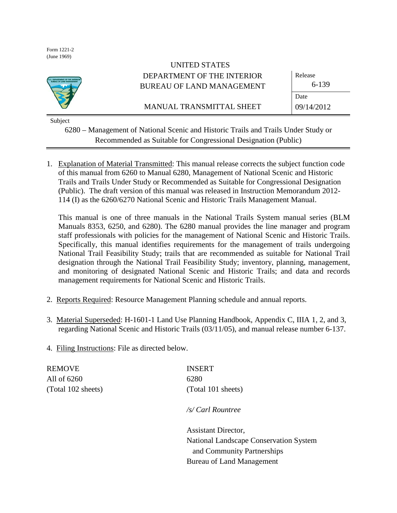Form 1221-2 (June 1969)



# UNITED STATES DEPARTMENT OF THE INTERIOR BUREAU OF LAND MANAGEMENT

Release

MANUAL TRANSMITTAL SHEET

6-139

09/14/2012

Date

Subject

6280 – Management of National Scenic and Historic Trails and Trails Under Study or Recommended as Suitable for Congressional Designation (Public)

1. Explanation of Material Transmitted: This manual release corrects the subject function code of this manual from 6260 to Manual 6280, Management of National Scenic and Historic Trails and Trails Under Study or Recommended as Suitable for Congressional Designation (Public). The draft version of this manual was released in Instruction Memorandum 2012- 114 (I) as the 6260/6270 National Scenic and Historic Trails Management Manual.

This manual is one of three manuals in the National Trails System manual series (BLM Manuals 8353, 6250, and 6280). The 6280 manual provides the line manager and program staff professionals with policies for the management of National Scenic and Historic Trails. Specifically, this manual identifies requirements for the management of trails undergoing National Trail Feasibility Study; trails that are recommended as suitable for National Trail designation through the National Trail Feasibility Study; inventory, planning, management, and monitoring of designated National Scenic and Historic Trails; and data and records management requirements for National Scenic and Historic Trails.

- 2. Reports Required: Resource Management Planning schedule and annual reports.
- 3. Material Superseded: H-1601-1 Land Use Planning Handbook, Appendix C, IIIA 1, 2, and 3, regarding National Scenic and Historic Trails (03/11/05), and manual release number 6-137.

Bureau of Land Management

4. Filing Instructions: File as directed below.

| <b>REMOVE</b>      | <b>INSERT</b>                          |
|--------------------|----------------------------------------|
| All of 6260        | 6280                                   |
| (Total 102 sheets) | (Total 101 sheets)                     |
|                    | /s/ Carl Rountree                      |
|                    | <b>Assistant Director,</b>             |
|                    | National Landscape Conservation System |
|                    | and Community Partnerships             |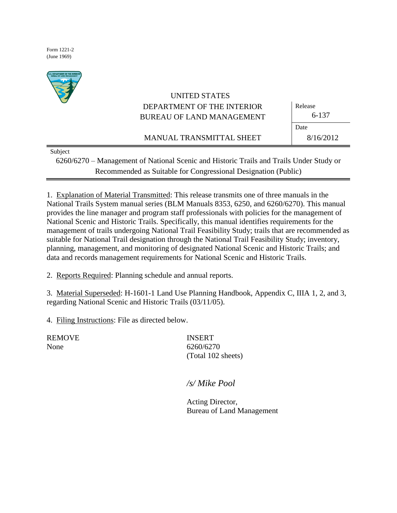Form 1221-2 (June 1969)



# UNITED STATES DEPARTMENT OF THE INTERIOR BUREAU OF LAND MANAGEMENT

MANUAL TRANSMITTAL SHEET

Release 6-137 Date 8/16/2012

Subject

6260/6270 – Management of National Scenic and Historic Trails and Trails Under Study or Recommended as Suitable for Congressional Designation (Public)

1. Explanation of Material Transmitted: This release transmits one of three manuals in the National Trails System manual series (BLM Manuals 8353, 6250, and 6260/6270). This manual provides the line manager and program staff professionals with policies for the management of National Scenic and Historic Trails. Specifically, this manual identifies requirements for the management of trails undergoing National Trail Feasibility Study; trails that are recommended as suitable for National Trail designation through the National Trail Feasibility Study; inventory, planning, management, and monitoring of designated National Scenic and Historic Trails; and data and records management requirements for National Scenic and Historic Trails.

2. Reports Required: Planning schedule and annual reports.

3. Material Superseded: H-1601-1 Land Use Planning Handbook, Appendix C, IIIA 1, 2, and 3, regarding National Scenic and Historic Trails (03/11/05).

4. Filing Instructions: File as directed below.

REMOVE INSERT

None 6260/6270 (Total 102 sheets)

*/s/ Mike Pool*

Acting Director, Bureau of Land Management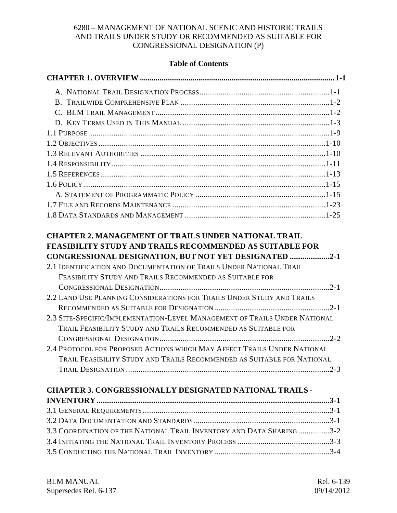# **Table of Contents**

| <b>CHAPTER 2. MANAGEMENT OF TRAILS UNDER NATIONAL TRAIL</b><br><b>FEASIBILITY STUDY AND TRAILS RECOMMENDED AS SUITABLE FOR</b><br>CONGRESSIONAL DESIGNATION, BUT NOT YET DESIGNATED 2-1<br>2.1 IDENTIFICATION AND DOCUMENTATION OF TRAILS UNDER NATIONAL TRAIL<br>FEASIBILITY STUDY AND TRAILS RECOMMENDED AS SUITABLE FOR |                |
|----------------------------------------------------------------------------------------------------------------------------------------------------------------------------------------------------------------------------------------------------------------------------------------------------------------------------|----------------|
|                                                                                                                                                                                                                                                                                                                            |                |
| 2.2 LAND USE PLANNING CONSIDERATIONS FOR TRAILS UNDER STUDY AND TRAILS                                                                                                                                                                                                                                                     |                |
| 2.3 SITE-SPECIFIC/IMPLEMENTATION-LEVEL MANAGEMENT OF TRAILS UNDER NATIONAL<br>TRAIL FEASIBILITY STUDY AND TRAILS RECOMMENDED AS SUITABLE FOR                                                                                                                                                                               |                |
| 2.4 PROTOCOL FOR PROPOSED ACTIONS WHICH MAY AFFECT TRAILS UNDER NATIONAL                                                                                                                                                                                                                                                   |                |
| TRAIL FEASIBILITY STUDY AND TRAILS RECOMMENDED AS SUITABLE FOR NATIONAL                                                                                                                                                                                                                                                    |                |
|                                                                                                                                                                                                                                                                                                                            |                |
| <b>CHAPTER 3. CONGRESSIONALLY DESIGNATED NATIONAL TRAILS -</b>                                                                                                                                                                                                                                                             |                |
|                                                                                                                                                                                                                                                                                                                            |                |
|                                                                                                                                                                                                                                                                                                                            |                |
|                                                                                                                                                                                                                                                                                                                            |                |
| 3.3 COORDINATION OF THE NATIONAL TRAIL INVENTORY AND DATA SHARING3-2                                                                                                                                                                                                                                                       |                |
| 2 4 INJELA TIME THE NATIONAL TRAIL INVENTORY PROGRES                                                                                                                                                                                                                                                                       | 2 <sub>2</sub> |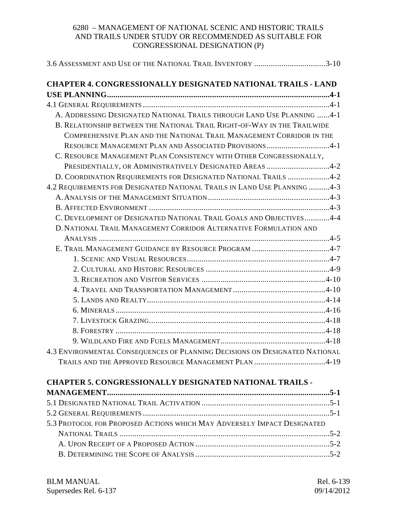| 3.6 ASSESSMENT AND USE OF THE NATIONAL TRAIL INVENTORY 3-10                 |
|-----------------------------------------------------------------------------|
| <b>CHAPTER 4. CONGRESSIONALLY DESIGNATED NATIONAL TRAILS - LAND</b>         |
|                                                                             |
|                                                                             |
| A. ADDRESSING DESIGNATED NATIONAL TRAILS THROUGH LAND USE PLANNING 4-1      |
| B. RELATIONSHIP BETWEEN THE NATIONAL TRAIL RIGHT-OF-WAY IN THE TRAILWIDE    |
| COMPREHENSIVE PLAN AND THE NATIONAL TRAIL MANAGEMENT CORRIDOR IN THE        |
| RESOURCE MANAGEMENT PLAN AND ASSOCIATED PROVISIONS 4-1                      |
| C. RESOURCE MANAGEMENT PLAN CONSISTENCY WITH OTHER CONGRESSIONALLY,         |
| PRESIDENTIALLY, OR ADMINISTRATIVELY DESIGNATED AREAS 4-2                    |
| D. COORDINATION REQUIREMENTS FOR DESIGNATED NATIONAL TRAILS 4-2             |
| 4.2 REQUIREMENTS FOR DESIGNATED NATIONAL TRAILS IN LAND USE PLANNING 4-3    |
|                                                                             |
|                                                                             |
| C. DEVELOPMENT OF DESIGNATED NATIONAL TRAIL GOALS AND OBJECTIVES4-4         |
| D. NATIONAL TRAIL MANAGEMENT CORRIDOR ALTERNATIVE FORMULATION AND           |
|                                                                             |
| E. TRAIL MANAGEMENT GUIDANCE BY RESOURCE PROGRAM 4-7                        |
|                                                                             |
|                                                                             |
|                                                                             |
|                                                                             |
|                                                                             |
|                                                                             |
|                                                                             |
|                                                                             |
|                                                                             |
| 4.3 ENVIRONMENTAL CONSEQUENCES OF PLANNING DECISIONS ON DESIGNATED NATIONAL |
| TRAILS AND THE APPROVED RESOURCE MANAGEMENT PLAN 4-19                       |
| <b>CHAPTER 5. CONGRESSIONALLY DESIGNATED NATIONAL TRAILS -</b>              |
|                                                                             |
|                                                                             |
|                                                                             |
| 5.3 PROTOCOL FOR PROPOSED ACTIONS WHICH MAY ADVERSELY IMPACT DESIGNATED     |
|                                                                             |
|                                                                             |
|                                                                             |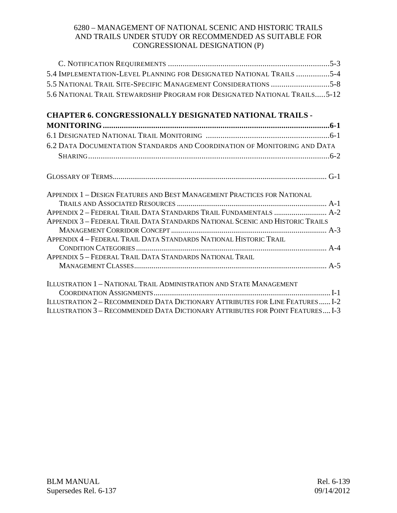| 5.4 IMPLEMENTATION-LEVEL PLANNING FOR DESIGNATED NATIONAL TRAILS 5-4      |  |
|---------------------------------------------------------------------------|--|
| 5.5 NATIONAL TRAIL SITE-SPECIFIC MANAGEMENT CONSIDERATIONS 5-8            |  |
| 5.6 NATIONAL TRAIL STEWARDSHIP PROGRAM FOR DESIGNATED NATIONAL TRAILS5-12 |  |
|                                                                           |  |

# **CHAPTER 6. CONGRESSIONALLY DESIGNATED NATIONAL TRAILS -**

| 6.2 DATA DOCUMENTATION STANDARDS AND COORDINATION OF MONITORING AND DATA       |
|--------------------------------------------------------------------------------|
|                                                                                |
|                                                                                |
| APPENDIX 1 - DESIGN FEATURES AND BEST MANAGEMENT PRACTICES FOR NATIONAL        |
|                                                                                |
|                                                                                |
| APPENDIX 3 - FEDERAL TRAIL DATA STANDARDS NATIONAL SCENIC AND HISTORIC TRAILS  |
|                                                                                |
| APPENDIX 4 - FEDERAL TRAIL DATA STANDARDS NATIONAL HISTORIC TRAIL              |
|                                                                                |
| APPENDIX 5 - FEDERAL TRAIL DATA STANDARDS NATIONAL TRAIL                       |
|                                                                                |
| ILLUSTRATION 1 - NATIONAL TRAIL ADMINISTRATION AND STATE MANAGEMENT            |
|                                                                                |
| ILLUSTRATION 2 - RECOMMENDED DATA DICTIONARY ATTRIBUTES FOR LINE FEATURES I-2  |
| ILLUSTRATION 3 - RECOMMENDED DATA DICTIONARY ATTRIBUTES FOR POINT FEATURES I-3 |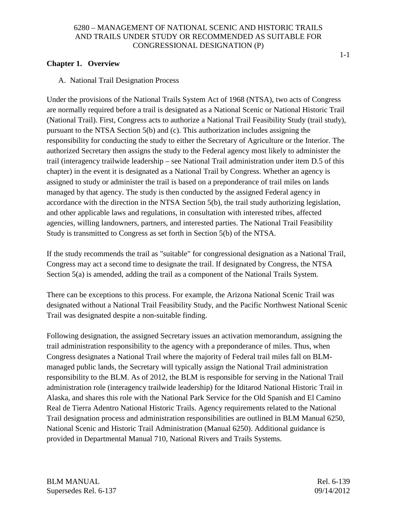# **Chapter 1. Overview**

A. National Trail Designation Process

Under the provisions of the National Trails System Act of 1968 (NTSA), two acts of Congress are normally required before a trail is designated as a National Scenic or National Historic Trail (National Trail). First, Congress acts to authorize a National Trail Feasibility Study (trail study), pursuant to the NTSA Section 5(b) and (c). This authorization includes assigning the responsibility for conducting the study to either the Secretary of Agriculture or the Interior. The authorized Secretary then assigns the study to the Federal agency most likely to administer the trail (interagency trailwide leadership – see National Trail administration under item D.5 of this chapter) in the event it is designated as a National Trail by Congress. Whether an agency is assigned to study or administer the trail is based on a preponderance of trail miles on lands managed by that agency. The study is then conducted by the assigned Federal agency in accordance with the direction in the NTSA Section 5(b), the trail study authorizing legislation, and other applicable laws and regulations, in consultation with interested tribes, affected agencies, willing landowners, partners, and interested parties. The National Trail Feasibility Study is transmitted to Congress as set forth in Section 5(b) of the NTSA.

If the study recommends the trail as "suitable" for congressional designation as a National Trail, Congress may act a second time to designate the trail. If designated by Congress, the NTSA Section 5(a) is amended, adding the trail as a component of the National Trails System.

There can be exceptions to this process. For example, the Arizona National Scenic Trail was designated without a National Trail Feasibility Study, and the Pacific Northwest National Scenic Trail was designated despite a non-suitable finding.

Following designation, the assigned Secretary issues an activation memorandum, assigning the trail administration responsibility to the agency with a preponderance of miles. Thus, when Congress designates a National Trail where the majority of Federal trail miles fall on BLMmanaged public lands, the Secretary will typically assign the National Trail administration responsibility to the BLM. As of 2012, the BLM is responsible for serving in the National Trail administration role (interagency trailwide leadership) for the Iditarod National Historic Trail in Alaska, and shares this role with the National Park Service for the Old Spanish and El Camino Real de Tierra Adentro National Historic Trails. Agency requirements related to the National Trail designation process and administration responsibilities are outlined in BLM Manual 6250, National Scenic and Historic Trail Administration (Manual 6250). Additional guidance is provided in Departmental Manual 710, National Rivers and Trails Systems.

BLM MANUAL Rel. 6-139 Supersedes Rel. 6-137 09/14/2012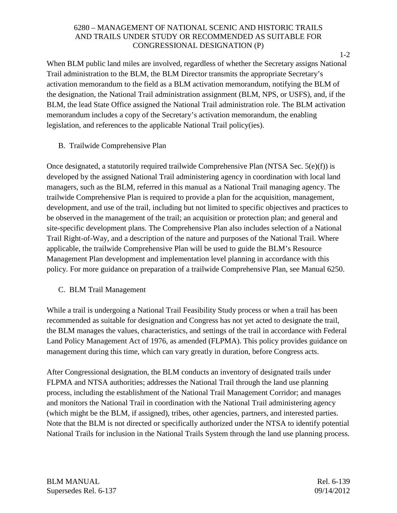When BLM public land miles are involved, regardless of whether the Secretary assigns National Trail administration to the BLM, the BLM Director transmits the appropriate Secretary's activation memorandum to the field as a BLM activation memorandum, notifying the BLM of the designation, the National Trail administration assignment (BLM, NPS, or USFS), and, if the BLM, the lead State Office assigned the National Trail administration role. The BLM activation memorandum includes a copy of the Secretary's activation memorandum, the enabling legislation, and references to the applicable National Trail policy(ies).

# B. Trailwide Comprehensive Plan

Once designated, a statutorily required trailwide Comprehensive Plan (NTSA Sec. 5(e)(f)) is developed by the assigned National Trail administering agency in coordination with local land managers, such as the BLM, referred in this manual as a National Trail managing agency. The trailwide Comprehensive Plan is required to provide a plan for the acquisition, management, development, and use of the trail, including but not limited to specific objectives and practices to be observed in the management of the trail; an acquisition or protection plan; and general and site-specific development plans. The Comprehensive Plan also includes selection of a National Trail Right-of-Way, and a description of the nature and purposes of the National Trail. Where applicable, the trailwide Comprehensive Plan will be used to guide the BLM's Resource Management Plan development and implementation level planning in accordance with this policy. For more guidance on preparation of a trailwide Comprehensive Plan, see Manual 6250.

# C. BLM Trail Management

While a trail is undergoing a National Trail Feasibility Study process or when a trail has been recommended as suitable for designation and Congress has not yet acted to designate the trail, the BLM manages the values, characteristics, and settings of the trail in accordance with Federal Land Policy Management Act of 1976, as amended (FLPMA). This policy provides guidance on management during this time, which can vary greatly in duration, before Congress acts.

After Congressional designation, the BLM conducts an inventory of designated trails under FLPMA and NTSA authorities; addresses the National Trail through the land use planning process, including the establishment of the National Trail Management Corridor; and manages and monitors the National Trail in coordination with the National Trail administering agency (which might be the BLM, if assigned), tribes, other agencies, partners, and interested parties. Note that the BLM is not directed or specifically authorized under the NTSA to identify potential National Trails for inclusion in the National Trails System through the land use planning process.

BLM MANUAL Rel. 6-139 Supersedes Rel. 6-137 09/14/2012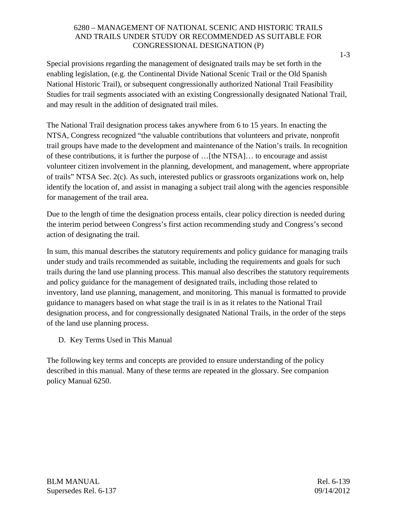Special provisions regarding the management of designated trails may be set forth in the enabling legislation, (e.g. the Continental Divide National Scenic Trail or the Old Spanish National Historic Trail), or subsequent congressionally authorized National Trail Feasibility Studies for trail segments associated with an existing Congressionally designated National Trail, and may result in the addition of designated trail miles.

The National Trail designation process takes anywhere from 6 to 15 years. In enacting the NTSA, Congress recognized "the valuable contributions that volunteers and private, nonprofit trail groups have made to the development and maintenance of the Nation's trails. In recognition of these contributions, it is further the purpose of …[the NTSA]… to encourage and assist volunteer citizen involvement in the planning, development, and management, where appropriate of trails" NTSA Sec. 2(c). As such, interested publics or grassroots organizations work on, help identify the location of, and assist in managing a subject trail along with the agencies responsible for management of the trail area.

Due to the length of time the designation process entails, clear policy direction is needed during the interim period between Congress's first action recommending study and Congress's second action of designating the trail.

In sum, this manual describes the statutory requirements and policy guidance for managing trails under study and trails recommended as suitable, including the requirements and goals for such trails during the land use planning process. This manual also describes the statutory requirements and policy guidance for the management of designated trails, including those related to inventory, land use planning, management, and monitoring. This manual is formatted to provide guidance to managers based on what stage the trail is in as it relates to the National Trail designation process, and for congressionally designated National Trails, in the order of the steps of the land use planning process.

D. Key Terms Used in This Manual

The following key terms and concepts are provided to ensure understanding of the policy described in this manual. Many of these terms are repeated in the glossary. See companion policy Manual 6250.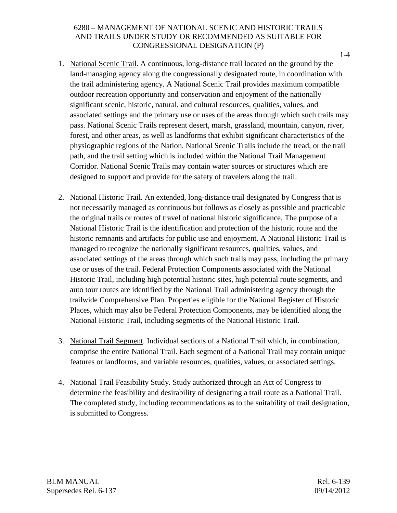- 1. National Scenic Trail. A continuous, long-distance trail located on the ground by the land-managing agency along the congressionally designated route, in coordination with the trail administering agency. A National Scenic Trail provides maximum compatible outdoor recreation opportunity and conservation and enjoyment of the nationally significant scenic, historic, natural, and cultural resources, qualities, values, and associated settings and the primary use or uses of the areas through which such trails may pass. National Scenic Trails represent desert, marsh, grassland, mountain, canyon, river, forest, and other areas, as well as landforms that exhibit significant characteristics of the physiographic regions of the Nation. National Scenic Trails include the tread, or the trail path, and the trail setting which is included within the National Trail Management Corridor. National Scenic Trails may contain water sources or structures which are designed to support and provide for the safety of travelers along the trail.
- 2. National Historic Trail. An extended, long-distance trail designated by Congress that is not necessarily managed as continuous but follows as closely as possible and practicable the original trails or routes of travel of national historic significance. The purpose of a National Historic Trail is the identification and protection of the historic route and the historic remnants and artifacts for public use and enjoyment. A National Historic Trail is managed to recognize the nationally significant resources, qualities, values, and associated settings of the areas through which such trails may pass, including the primary use or uses of the trail. Federal Protection Components associated with the National Historic Trail, including high potential historic sites, high potential route segments, and auto tour routes are identified by the National Trail administering agency through the trailwide Comprehensive Plan. Properties eligible for the National Register of Historic Places, which may also be Federal Protection Components, may be identified along the National Historic Trail, including segments of the National Historic Trail.
- 3. National Trail Segment. Individual sections of a National Trail which, in combination, comprise the entire National Trail. Each segment of a National Trail may contain unique features or landforms, and variable resources, qualities, values, or associated settings.
- 4. National Trail Feasibility Study. Study authorized through an Act of Congress to determine the feasibility and desirability of designating a trail route as a National Trail. The completed study, including recommendations as to the suitability of trail designation, is submitted to Congress.

BLM MANUAL Rel. 6-139 Supersedes Rel. 6-137 09/14/2012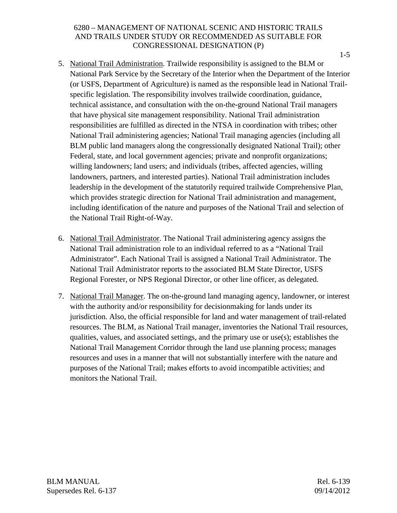- 5. National Trail Administration. Trailwide responsibility is assigned to the BLM or National Park Service by the Secretary of the Interior when the Department of the Interior (or USFS, Department of Agriculture) is named as the responsible lead in National Trailspecific legislation. The responsibility involves trailwide coordination, guidance, technical assistance, and consultation with the on-the-ground National Trail managers that have physical site management responsibility. National Trail administration responsibilities are fulfilled as directed in the NTSA in coordination with tribes; other National Trail administering agencies; National Trail managing agencies (including all BLM public land managers along the congressionally designated National Trail); other Federal, state, and local government agencies; private and nonprofit organizations; willing landowners; land users; and individuals (tribes, affected agencies, willing landowners, partners, and interested parties). National Trail administration includes leadership in the development of the statutorily required trailwide Comprehensive Plan, which provides strategic direction for National Trail administration and management, including identification of the nature and purposes of the National Trail and selection of the National Trail Right-of-Way.
- 6. National Trail Administrator. The National Trail administering agency assigns the National Trail administration role to an individual referred to as a "National Trail Administrator". Each National Trail is assigned a National Trail Administrator. The National Trail Administrator reports to the associated BLM State Director, USFS Regional Forester, or NPS Regional Director, or other line officer, as delegated.
- 7. National Trail Manager. The on-the-ground land managing agency, landowner, or interest with the authority and/or responsibility for decision making for lands under its jurisdiction. Also, the official responsible for land and water management of trail-related resources. The BLM, as National Trail manager, inventories the National Trail resources, qualities, values, and associated settings, and the primary use or use(s); establishes the National Trail Management Corridor through the land use planning process; manages resources and uses in a manner that will not substantially interfere with the nature and purposes of the National Trail; makes efforts to avoid incompatible activities; and monitors the National Trail.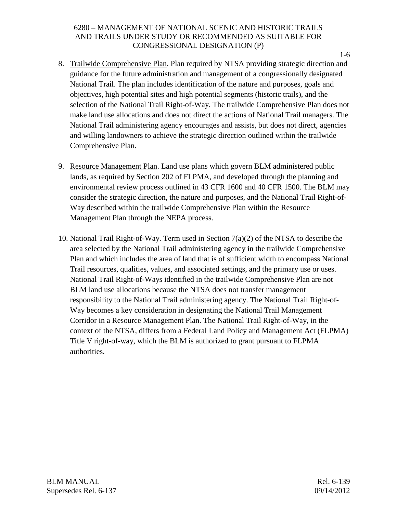- 8. Trailwide Comprehensive Plan. Plan required by NTSA providing strategic direction and guidance for the future administration and management of a congressionally designated National Trail. The plan includes identification of the nature and purposes, goals and objectives, high potential sites and high potential segments (historic trails), and the selection of the National Trail Right-of-Way. The trailwide Comprehensive Plan does not make land use allocations and does not direct the actions of National Trail managers. The National Trail administering agency encourages and assists, but does not direct, agencies and willing landowners to achieve the strategic direction outlined within the trailwide Comprehensive Plan.
- 9. Resource Management Plan. Land use plans which govern BLM administered public lands, as required by Section 202 of FLPMA, and developed through the planning and environmental review process outlined in 43 CFR 1600 and 40 CFR 1500. The BLM may consider the strategic direction, the nature and purposes, and the National Trail Right-of-Way described within the trailwide Comprehensive Plan within the Resource Management Plan through the NEPA process.
- 10. National Trail Right-of-Way. Term used in Section  $7(a)(2)$  of the NTSA to describe the area selected by the National Trail administering agency in the trailwide Comprehensive Plan and which includes the area of land that is of sufficient width to encompass National Trail resources, qualities, values, and associated settings, and the primary use or uses. National Trail Right-of-Ways identified in the trailwide Comprehensive Plan are not BLM land use allocations because the NTSA does not transfer management responsibility to the National Trail administering agency. The National Trail Right-of-Way becomes a key consideration in designating the National Trail Management Corridor in a Resource Management Plan. The National Trail Right-of-Way, in the context of the NTSA, differs from a Federal Land Policy and Management Act (FLPMA) Title V right-of-way, which the BLM is authorized to grant pursuant to FLPMA authorities.

BLM MANUAL Rel. 6-139 Supersedes Rel. 6-137 09/14/2012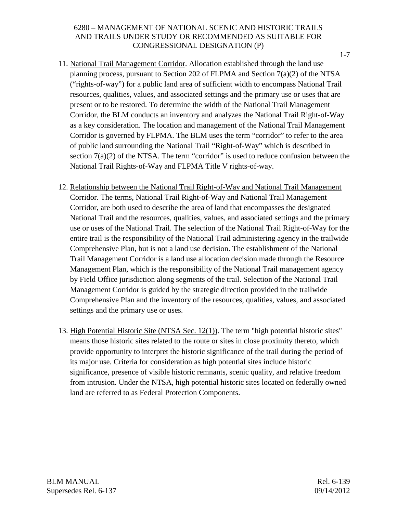- 11. National Trail Management Corridor. Allocation established through the land use planning process, pursuant to Section 202 of FLPMA and Section 7(a)(2) of the NTSA ("rights-of-way") for a public land area of sufficient width to encompass National Trail resources, qualities, values, and associated settings and the primary use or uses that are present or to be restored. To determine the width of the National Trail Management Corridor, the BLM conducts an inventory and analyzes the National Trail Right-of-Way as a key consideration. The location and management of the National Trail Management Corridor is governed by FLPMA. The BLM uses the term "corridor" to refer to the area of public land surrounding the National Trail "Right-of-Way" which is described in section  $7(a)(2)$  of the NTSA. The term "corridor" is used to reduce confusion between the National Trail Rights-of-Way and FLPMA Title V rights-of-way.
- 12. Relationship between the National Trail Right-of-Way and National Trail Management Corridor. The terms, National Trail Right-of-Way and National Trail Management Corridor, are both used to describe the area of land that encompasses the designated National Trail and the resources, qualities, values, and associated settings and the primary use or uses of the National Trail. The selection of the National Trail Right-of-Way for the entire trail is the responsibility of the National Trail administering agency in the trailwide Comprehensive Plan, but is not a land use decision. The establishment of the National Trail Management Corridor is a land use allocation decision made through the Resource Management Plan, which is the responsibility of the National Trail management agency by Field Office jurisdiction along segments of the trail. Selection of the National Trail Management Corridor is guided by the strategic direction provided in the trailwide Comprehensive Plan and the inventory of the resources, qualities, values, and associated settings and the primary use or uses.
- 13. High Potential Historic Site (NTSA Sec. 12(1)). The term "high potential historic sites" means those historic sites related to the route or sites in close proximity thereto, which provide opportunity to interpret the historic significance of the trail during the period of its major use. Criteria for consideration as high potential sites include historic significance, presence of visible historic remnants, scenic quality, and relative freedom from intrusion. Under the NTSA, high potential historic sites located on federally owned land are referred to as Federal Protection Components.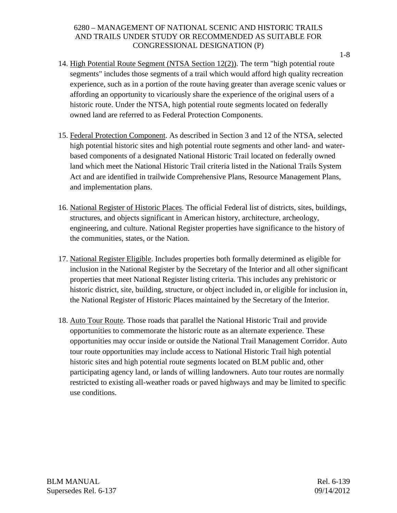- 14. High Potential Route Segment (NTSA Section 12(2)). The term "high potential route segments" includes those segments of a trail which would afford high quality recreation experience, such as in a portion of the route having greater than average scenic values or affording an opportunity to vicariously share the experience of the original users of a historic route. Under the NTSA, high potential route segments located on federally owned land are referred to as Federal Protection Components.
- 15. Federal Protection Component. As described in Section 3 and 12 of the NTSA, selected high potential historic sites and high potential route segments and other land- and waterbased components of a designated National Historic Trail located on federally owned land which meet the National Historic Trail criteria listed in the National Trails System Act and are identified in trailwide Comprehensive Plans, Resource Management Plans, and implementation plans.
- 16. National Register of Historic Places. The official Federal list of districts, sites, buildings, structures, and objects significant in American history, architecture, archeology, engineering, and culture. National Register properties have significance to the history of the communities, states, or the Nation.
- 17. National Register Eligible. Includes properties both formally determined as eligible for inclusion in the National Register by the Secretary of the Interior and all other significant properties that meet National Register listing criteria. This includes any prehistoric or historic district, site, building, structure, or object included in, or eligible for inclusion in, the National Register of Historic Places maintained by the Secretary of the Interior.
- 18. Auto Tour Route. Those roads that parallel the National Historic Trail and provide opportunities to commemorate the historic route as an alternate experience. These opportunities may occur inside or outside the National Trail Management Corridor. Auto tour route opportunities may include access to National Historic Trail high potential historic sites and high potential route segments located on BLM public and, other participating agency land, or lands of willing landowners. Auto tour routes are normally restricted to existing all-weather roads or paved highways and may be limited to specific use conditions.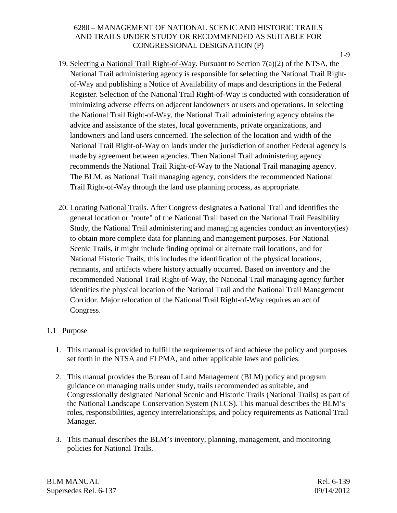- 19. Selecting a National Trail Right-of-Way. Pursuant to Section 7(a)(2) of the NTSA, the National Trail administering agency is responsible for selecting the National Trail Rightof-Way and publishing a Notice of Availability of maps and descriptions in the Federal Register. Selection of the National Trail Right-of-Way is conducted with consideration of minimizing adverse effects on adjacent landowners or users and operations. In selecting the National Trail Right-of-Way, the National Trail administering agency obtains the advice and assistance of the states, local governments, private organizations, and landowners and land users concerned. The selection of the location and width of the National Trail Right-of-Way on lands under the jurisdiction of another Federal agency is made by agreement between agencies. Then National Trail administering agency recommends the National Trail Right-of-Way to the National Trail managing agency. The BLM, as National Trail managing agency, considers the recommended National Trail Right-of-Way through the land use planning process, as appropriate.
- 20. Locating National Trails. After Congress designates a National Trail and identifies the general location or "route" of the National Trail based on the National Trail Feasibility Study, the National Trail administering and managing agencies conduct an inventory(ies) to obtain more complete data for planning and management purposes. For National Scenic Trails, it might include finding optimal or alternate trail locations, and for National Historic Trails, this includes the identification of the physical locations, remnants, and artifacts where history actually occurred. Based on inventory and the recommended National Trail Right-of-Way, the National Trail managing agency further identifies the physical location of the National Trail and the National Trail Management Corridor. Major relocation of the National Trail Right-of-Way requires an act of Congress.

# 1.1 Purpose

- 1. This manual is provided to fulfill the requirements of and achieve the policy and purposes set forth in the NTSA and FLPMA, and other applicable laws and policies.
- 2. This manual provides the Bureau of Land Management (BLM) policy and program guidance on managing trails under study, trails recommended as suitable, and Congressionally designated National Scenic and Historic Trails (National Trails) as part of the National Landscape Conservation System (NLCS). This manual describes the BLM's roles, responsibilities, agency interrelationships, and policy requirements as National Trail Manager.
- 3. This manual describes the BLM's inventory, planning, management, and monitoring policies for National Trails.

BLM MANUAL Rel. 6-139 Supersedes Rel. 6-137 09/14/2012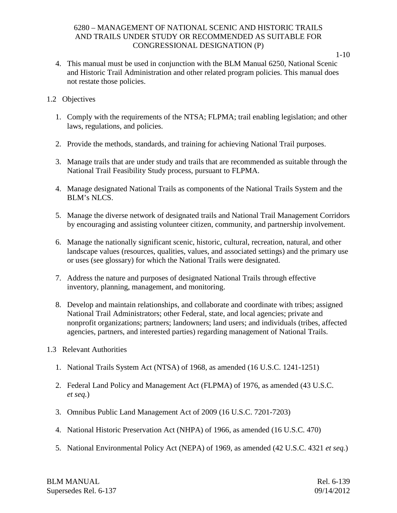1-10

4. This manual must be used in conjunction with the BLM Manual 6250, National Scenic and Historic Trail Administration and other related program policies. This manual does not restate those policies.

# 1.2 Objectives

- 1. Comply with the requirements of the NTSA; FLPMA; trail enabling legislation; and other laws, regulations, and policies.
- 2. Provide the methods, standards, and training for achieving National Trail purposes.
- 3. Manage trails that are under study and trails that are recommended as suitable through the National Trail Feasibility Study process, pursuant to FLPMA.
- 4. Manage designated National Trails as components of the National Trails System and the BLM's NLCS.
- 5. Manage the diverse network of designated trails and National Trail Management Corridors by encouraging and assisting volunteer citizen, community, and partnership involvement.
- 6. Manage the nationally significant scenic, historic, cultural, recreation, natural, and other landscape values (resources, qualities, values, and associated settings) and the primary use or uses (see glossary) for which the National Trails were designated.
- 7. Address the nature and purposes of designated National Trails through effective inventory, planning, management, and monitoring.
- 8. Develop and maintain relationships, and collaborate and coordinate with tribes; assigned National Trail Administrators; other Federal, state, and local agencies; private and nonprofit organizations; partners; landowners; land users; and individuals (tribes, affected agencies, partners, and interested parties) regarding management of National Trails.
- 1.3 Relevant Authorities
	- 1. National Trails System Act (NTSA) of 1968, as amended (16 U.S.C. 1241-1251)
	- 2. Federal Land Policy and Management Act (FLPMA) of 1976, as amended (43 U.S.C. *et seq.*)
	- 3. Omnibus Public Land Management Act of 2009 (16 U.S.C. 7201-7203)
	- 4. National Historic Preservation Act (NHPA) of 1966, as amended (16 U.S.C. 470)
	- 5. National Environmental Policy Act (NEPA) of 1969, as amended (42 U.S.C. 4321 *et seq.*)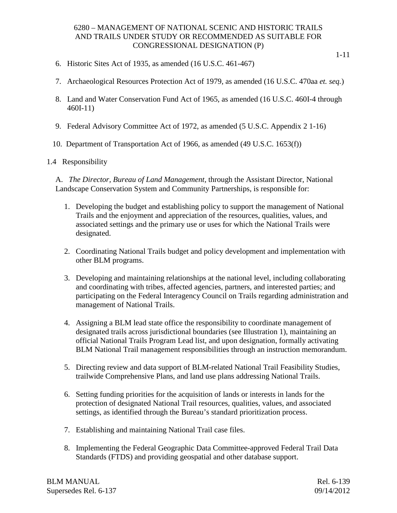- 6. Historic Sites Act of 1935, as amended (16 U.S.C. 461-467)
- 7. Archaeological Resources Protection Act of 1979, as amended (16 U.S.C. 470aa *et. seq.*)
- 8. Land and Water Conservation Fund Act of 1965, as amended (16 U.S.C. 460I-4 through 460I-11)
- 9. Federal Advisory Committee Act of 1972, as amended (5 U.S.C. Appendix 2 1-16)
- 10. Department of Transportation Act of 1966, as amended (49 U.S.C. 1653(f))

#### 1.4 Responsibility

A. *The Director, Bureau of Land Management,* through the Assistant Director, National Landscape Conservation System and Community Partnerships, is responsible for:

- 1. Developing the budget and establishing policy to support the management of National Trails and the enjoyment and appreciation of the resources, qualities, values, and associated settings and the primary use or uses for which the National Trails were designated.
- 2. Coordinating National Trails budget and policy development and implementation with other BLM programs.
- 3. Developing and maintaining relationships at the national level, including collaborating and coordinating with tribes, affected agencies, partners, and interested parties; and participating on the Federal Interagency Council on Trails regarding administration and management of National Trails.
- 4. Assigning a BLM lead state office the responsibility to coordinate management of designated trails across jurisdictional boundaries (see Illustration 1), maintaining an official National Trails Program Lead list, and upon designation, formally activating BLM National Trail management responsibilities through an instruction memorandum.
- 5. Directing review and data support of BLM-related National Trail Feasibility Studies, trailwide Comprehensive Plans, and land use plans addressing National Trails.
- 6. Setting funding priorities for the acquisition of lands or interests in lands for the protection of designated National Trail resources, qualities, values, and associated settings, as identified through the Bureau's standard prioritization process.
- 7. Establishing and maintaining National Trail case files.
- 8. Implementing the Federal Geographic Data Committee-approved Federal Trail Data Standards (FTDS) and providing geospatial and other database support.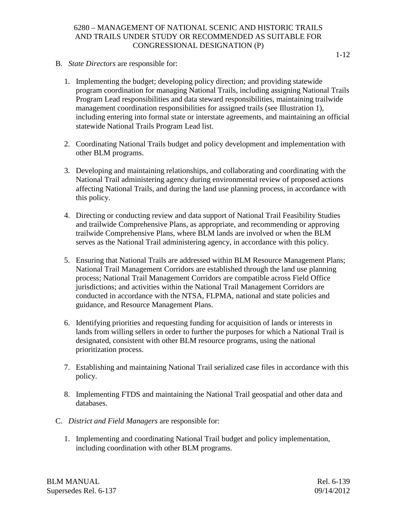- B. *State Directors* are responsible for:
	- 1. Implementing the budget; developing policy direction; and providing statewide program coordination for managing National Trails, including assigning National Trails Program Lead responsibilities and data steward responsibilities, maintaining trailwide management coordination responsibilities for assigned trails (see Illustration 1), including entering into formal state or interstate agreements, and maintaining an official statewide National Trails Program Lead list.
	- 2. Coordinating National Trails budget and policy development and implementation with other BLM programs.
	- 3. Developing and maintaining relationships, and collaborating and coordinating with the National Trail administering agency during environmental review of proposed actions affecting National Trails, and during the land use planning process, in accordance with this policy.
	- 4. Directing or conducting review and data support of National Trail Feasibility Studies and trailwide Comprehensive Plans, as appropriate, and recommending or approving trailwide Comprehensive Plans, where BLM lands are involved or when the BLM serves as the National Trail administering agency, in accordance with this policy.
	- 5. Ensuring that National Trails are addressed within BLM Resource Management Plans; National Trail Management Corridors are established through the land use planning process; National Trail Management Corridors are compatible across Field Office jurisdictions; and activities within the National Trail Management Corridors are conducted in accordance with the NTSA, FLPMA, national and state policies and guidance, and Resource Management Plans.
	- 6. Identifying priorities and requesting funding for acquisition of lands or interests in lands from willing sellers in order to further the purposes for which a National Trail is designated, consistent with other BLM resource programs, using the national prioritization process.
	- 7. Establishing and maintaining National Trail serialized case files in accordance with this policy.
	- 8. Implementing FTDS and maintaining the National Trail geospatial and other data and databases.
- C. *District and Field Managers* are responsible for:
	- 1. Implementing and coordinating National Trail budget and policy implementation, including coordination with other BLM programs.

BLM MANUAL Rel. 6-139 Supersedes Rel. 6-137 09/14/2012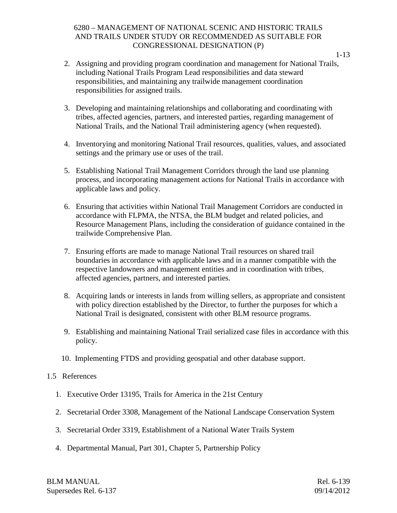- 2. Assigning and providing program coordination and management for National Trails, including National Trails Program Lead responsibilities and data steward responsibilities, and maintaining any trailwide management coordination responsibilities for assigned trails.
- 3. Developing and maintaining relationships and collaborating and coordinating with tribes, affected agencies, partners, and interested parties, regarding management of National Trails, and the National Trail administering agency (when requested).
- 4. Inventorying and monitoring National Trail resources, qualities, values, and associated settings and the primary use or uses of the trail.
- 5. Establishing National Trail Management Corridors through the land use planning process, and incorporating management actions for National Trails in accordance with applicable laws and policy.
- 6. Ensuring that activities within National Trail Management Corridors are conducted in accordance with FLPMA, the NTSA, the BLM budget and related policies, and Resource Management Plans, including the consideration of guidance contained in the trailwide Comprehensive Plan.
- 7. Ensuring efforts are made to manage National Trail resources on shared trail boundaries in accordance with applicable laws and in a manner compatible with the respective landowners and management entities and in coordination with tribes, affected agencies, partners, and interested parties.
- 8. Acquiring lands or interests in lands from willing sellers, as appropriate and consistent with policy direction established by the Director, to further the purposes for which a National Trail is designated, consistent with other BLM resource programs.
- 9. Establishing and maintaining National Trail serialized case files in accordance with this policy.
- 10. Implementing FTDS and providing geospatial and other database support.

#### 1.5 References

- 1. Executive Order 13195, Trails for America in the 21st Century
- 2. Secretarial Order 3308, Management of the National Landscape Conservation System
- 3. Secretarial Order 3319, Establishment of a National Water Trails System
- 4. Departmental Manual, Part 301, Chapter 5, Partnership Policy

BLM MANUAL Rel. 6-139 Supersedes Rel. 6-137 09/14/2012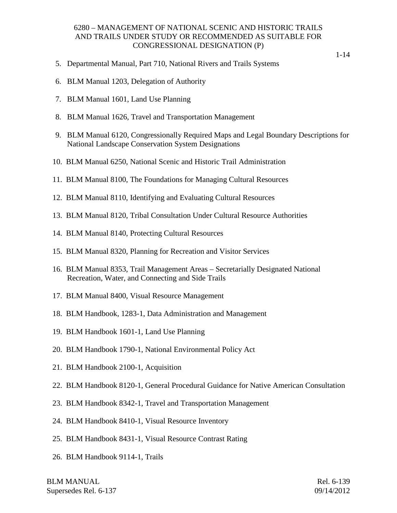- 5. Departmental Manual, Part 710, National Rivers and Trails Systems
- 6. BLM Manual 1203, Delegation of Authority
- 7. BLM Manual 1601, Land Use Planning
- 8. BLM Manual 1626, Travel and Transportation Management
- 9. BLM Manual 6120, Congressionally Required Maps and Legal Boundary Descriptions for National Landscape Conservation System Designations
- 10. BLM Manual 6250, National Scenic and Historic Trail Administration
- 11. BLM Manual 8100, The Foundations for Managing Cultural Resources
- 12. BLM Manual 8110, Identifying and Evaluating Cultural Resources
- 13. BLM Manual 8120, Tribal Consultation Under Cultural Resource Authorities
- 14. BLM Manual 8140, Protecting Cultural Resources
- 15. BLM Manual 8320, Planning for Recreation and Visitor Services
- 16. BLM Manual 8353, Trail Management Areas Secretarially Designated National Recreation, Water, and Connecting and Side Trails
- 17. BLM Manual 8400, Visual Resource Management
- 18. BLM Handbook, 1283-1, Data Administration and Management
- 19. BLM Handbook 1601-1, Land Use Planning
- 20. BLM Handbook 1790-1, National Environmental Policy Act
- 21. BLM Handbook 2100-1, Acquisition
- 22. BLM Handbook 8120-1, General Procedural Guidance for Native American Consultation
- 23. BLM Handbook 8342-1, Travel and Transportation Management
- 24. BLM Handbook 8410-1, Visual Resource Inventory
- 25. BLM Handbook 8431-1, Visual Resource Contrast Rating
- 26. BLM Handbook 9114-1, Trails

BLM MANUAL Rel. 6-139 Supersedes Rel. 6-137 09/14/2012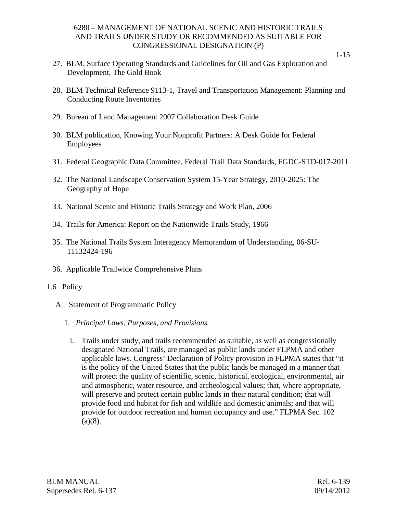- 27. BLM, Surface Operating Standards and Guidelines for Oil and Gas Exploration and Development, The Gold Book
- 28. BLM Technical Reference 9113-1, Travel and Transportation Management: Planning and Conducting Route Inventories
- 29. Bureau of Land Management 2007 Collaboration Desk Guide
- 30. BLM publication, Knowing Your Nonprofit Partners: A Desk Guide for Federal Employees
- 31. Federal Geographic Data Committee, Federal Trail Data Standards, FGDC-STD-017-2011
- 32. The National Landscape Conservation System 15-Year Strategy, 2010-2025: The Geography of Hope
- 33. National Scenic and Historic Trails Strategy and Work Plan, 2006
- 34. Trails for America: Report on the Nationwide Trails Study, 1966
- 35. The National Trails System Interagency Memorandum of Understanding, 06-SU-11132424-196
- 36. Applicable Trailwide Comprehensive Plans
- 1.6 Policy
	- A. Statement of Programmatic Policy
		- 1. *Principal Laws, Purposes, and Provisions.* 
			- i. Trails under study, and trails recommended as suitable, as well as congressionally designated National Trails, are managed as public lands under FLPMA and other applicable laws. Congress' Declaration of Policy provision in FLPMA states that "it is the policy of the United States that the public lands be managed in a manner that will protect the quality of scientific, scenic, historical, ecological, environmental, air and atmospheric, water resource, and archeological values; that, where appropriate, will preserve and protect certain public lands in their natural condition; that will provide food and habitat for fish and wildlife and domestic animals; and that will provide for outdoor recreation and human occupancy and use." FLPMA Sec. 102  $(a)(8)$ .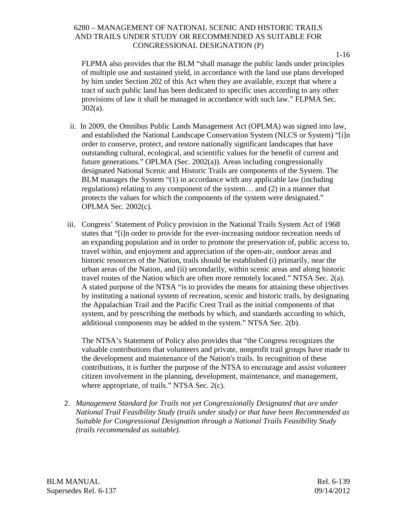1-16

FLPMA also provides that the BLM "shall manage the public lands under principles of multiple use and sustained yield, in accordance with the land use plans developed by him under Section 202 of this Act when they are available, except that where a tract of such public land has been dedicated to specific uses according to any other provisions of law it shall be managed in accordance with such law." FLPMA Sec. 302(a).

- ii. In 2009, the Omnibus Public Lands Management Act (OPLMA) was signed into law, and established the National Landscape Conservation System (NLCS or System) "[i]n order to conserve, protect, and restore nationally significant landscapes that have outstanding cultural, ecological, and scientific values for the benefit of current and future generations." OPLMA (Sec. 2002(a)). Areas including congressionally designated National Scenic and Historic Trails are components of the System. The BLM manages the System "(1) in accordance with any applicable law (including regulations) relating to any component of the system… and (2) in a manner that protects the values for which the components of the system were designated." OPLMA Sec. 2002(c).
- iii. Congress' Statement of Policy provision in the National Trails System Act of 1968 states that "[i]n order to provide for the ever-increasing outdoor recreation needs of an expanding population and in order to promote the preservation of, public access to, travel within, and enjoyment and appreciation of the open-air, outdoor areas and historic resources of the Nation, trails should be established (i) primarily, near the urban areas of the Nation, and (ii) secondarily, within scenic areas and along historic travel routes of the Nation which are often more remotely located." NTSA Sec. 2(a). A stated purpose of the NTSA "is to provides the means for attaining these objectives by instituting a national system of recreation, scenic and historic trails, by designating the Appalachian Trail and the Pacific Crest Trail as the initial components of that system, and by prescribing the methods by which, and standards according to which, additional components may be added to the system." NTSA Sec. 2(b).

The NTSA's Statement of Policy also provides that "the Congress recognizes the valuable contributions that volunteers and private, nonprofit trail groups have made to the development and maintenance of the Nation's trails. In recognition of these contributions, it is further the purpose of the NTSA to encourage and assist volunteer citizen involvement in the planning, development, maintenance, and management, where appropriate, of trails." NTSA Sec. 2(c).

2. *Management Standard for Trails not yet Congressionally Designated that are under National Trail Feasibility Study (trails under study) or that have been Recommended as Suitable for Congressional Designation through a National Trails Feasibility Study (trails recommended as suitable).*

BLM MANUAL Rel. 6-139 Supersedes Rel. 6-137 09/14/2012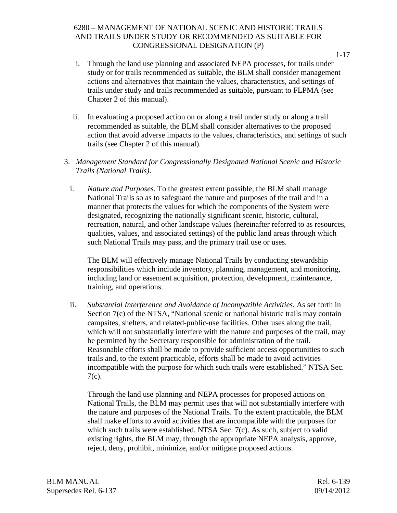- i. Through the land use planning and associated NEPA processes, for trails under study or for trails recommended as suitable, the BLM shall consider management actions and alternatives that maintain the values, characteristics, and settings of trails under study and trails recommended as suitable, pursuant to FLPMA (see Chapter 2 of this manual).
- ii. In evaluating a proposed action on or along a trail under study or along a trail recommended as suitable, the BLM shall consider alternatives to the proposed action that avoid adverse impacts to the values, characteristics, and settings of such trails (see Chapter 2 of this manual).
- 3. *Management Standard for Congressionally Designated National Scenic and Historic Trails (National Trails)*.
	- i. *Nature and Purposes.* To the greatest extent possible, the BLM shall manage National Trails so as to safeguard the nature and purposes of the trail and in a manner that protects the values for which the components of the System were designated, recognizing the nationally significant scenic, historic, cultural, recreation, natural, and other landscape values (hereinafter referred to as resources, qualities, values, and associated settings) of the public land areas through which such National Trails may pass, and the primary trail use or uses.

The BLM will effectively manage National Trails by conducting stewardship responsibilities which include inventory, planning, management, and monitoring, including land or easement acquisition, protection, development, maintenance, training, and operations.

ii. *Substantial Interference and Avoidance of Incompatible Activities*. As set forth in Section 7(c) of the NTSA, "National scenic or national historic trails may contain campsites, shelters, and related-public-use facilities. Other uses along the trail, which will not substantially interfere with the nature and purposes of the trail, may be permitted by the Secretary responsible for administration of the trail. Reasonable efforts shall be made to provide sufficient access opportunities to such trails and, to the extent practicable, efforts shall be made to avoid activities incompatible with the purpose for which such trails were established." NTSA Sec. 7(c).

Through the land use planning and NEPA processes for proposed actions on National Trails, the BLM may permit uses that will not substantially interfere with the nature and purposes of the National Trails. To the extent practicable, the BLM shall make efforts to avoid activities that are incompatible with the purposes for which such trails were established. NTSA Sec. 7(c). As such, subject to valid existing rights, the BLM may, through the appropriate NEPA analysis, approve, reject, deny, prohibit, minimize, and/or mitigate proposed actions.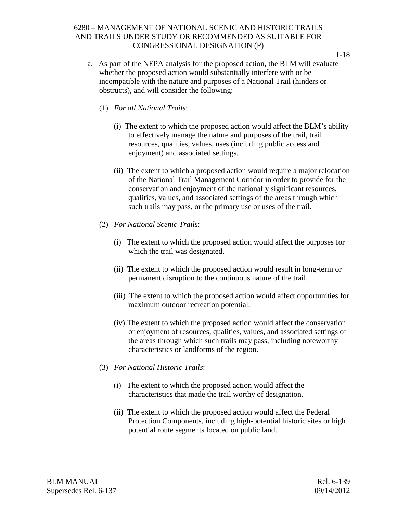- a. As part of the NEPA analysis for the proposed action, the BLM will evaluate whether the proposed action would substantially interfere with or be incompatible with the nature and purposes of a National Trail (hinders or obstructs), and will consider the following:
	- (1) *For all National Trails*:
		- (i) The extent to which the proposed action would affect the BLM's ability to effectively manage the nature and purposes of the trail, trail resources, qualities, values, uses (including public access and enjoyment) and associated settings.
		- (ii) The extent to which a proposed action would require a major relocation of the National Trail Management Corridor in order to provide for the conservation and enjoyment of the nationally significant resources, qualities, values, and associated settings of the areas through which such trails may pass, or the primary use or uses of the trail.
	- (2) *For National Scenic Trails*:
		- (i) The extent to which the proposed action would affect the purposes for which the trail was designated.
		- (ii) The extent to which the proposed action would result in long-term or permanent disruption to the continuous nature of the trail.
		- (iii) The extent to which the proposed action would affect opportunities for maximum outdoor recreation potential.
		- (iv) The extent to which the proposed action would affect the conservation or enjoyment of resources, qualities, values, and associated settings of the areas through which such trails may pass, including noteworthy characteristics or landforms of the region.
	- (3) *For National Historic Trails*:
		- (i) The extent to which the proposed action would affect the characteristics that made the trail worthy of designation.
		- (ii) The extent to which the proposed action would affect the Federal Protection Components, including high-potential historic sites or high potential route segments located on public land.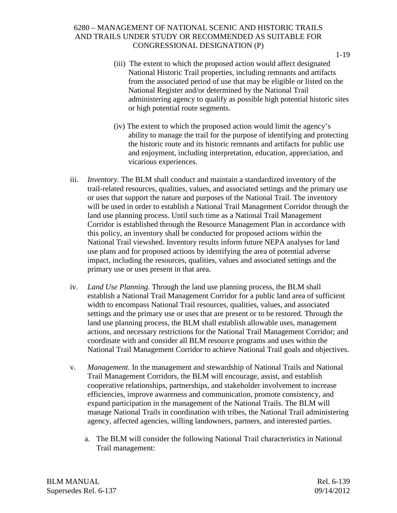- (iii) The extent to which the proposed action would affect designated National Historic Trail properties, including remnants and artifacts from the associated period of use that may be eligible or listed on the National Register and/or determined by the National Trail administering agency to qualify as possible high potential historic sites or high potential route segments.
- (iv) The extent to which the proposed action would limit the agency's ability to manage the trail for the purpose of identifying and protecting the historic route and its historic remnants and artifacts for public use and enjoyment, including interpretation, education, appreciation, and vicarious experiences.
- iii. *Inventory.* The BLM shall conduct and maintain a standardized inventory of the trail-related resources, qualities, values, and associated settings and the primary use or uses that support the nature and purposes of the National Trail. The inventory will be used in order to establish a National Trail Management Corridor through the land use planning process. Until such time as a National Trail Management Corridor is established through the Resource Management Plan in accordance with this policy, an inventory shall be conducted for proposed actions within the National Trail viewshed. Inventory results inform future NEPA analyses for land use plans and for proposed actions by identifying the area of potential adverse impact, including the resources, qualities, values and associated settings and the primary use or uses present in that area.
- iv. *Land Use Planning.* Through the land use planning process, the BLM shall establish a National Trail Management Corridor for a public land area of sufficient width to encompass National Trail resources, qualities, values, and associated settings and the primary use or uses that are present or to be restored. Through the land use planning process, the BLM shall establish allowable uses, management actions, and necessary restrictions for the National Trail Management Corridor; and coordinate with and consider all BLM resource programs and uses within the National Trail Management Corridor to achieve National Trail goals and objectives.
- v. *Management.* In the management and stewardship of National Trails and National Trail Management Corridors, the BLM will encourage, assist, and establish cooperative relationships, partnerships, and stakeholder involvement to increase efficiencies, improve awareness and communication, promote consistency, and expand participation in the management of the National Trails. The BLM will manage National Trails in coordination with tribes, the National Trail administering agency, affected agencies, willing landowners, partners, and interested parties.
	- a. The BLM will consider the following National Trail characteristics in National Trail management:

BLM MANUAL Rel. 6-139 Supersedes Rel. 6-137 09/14/2012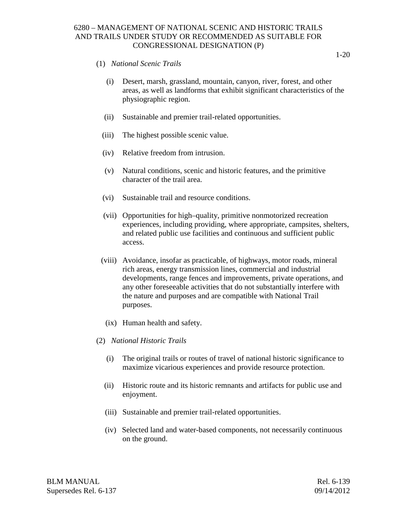- (1) *National Scenic Trails*
	- (i) Desert, marsh, grassland, mountain, canyon, river, forest, and other areas, as well as landforms that exhibit significant characteristics of the physiographic region.
	- (ii) Sustainable and premier trail-related opportunities.
	- (iii) The highest possible scenic value.
	- (iv) Relative freedom from intrusion.
	- (v) Natural conditions, scenic and historic features, and the primitive character of the trail area.
	- (vi) Sustainable trail and resource conditions.
	- (vii) Opportunities for high–quality, primitive nonmotorized recreation experiences, including providing, where appropriate, campsites, shelters, and related public use facilities and continuous and sufficient public access.
	- (viii) Avoidance, insofar as practicable, of highways, motor roads, mineral rich areas, energy transmission lines, commercial and industrial developments, range fences and improvements, private operations, and any other foreseeable activities that do not substantially interfere with the nature and purposes and are compatible with National Trail purposes.
	- (ix) Human health and safety.
- (2) *National Historic Trails*
	- (i) The original trails or routes of travel of national historic significance to maximize vicarious experiences and provide resource protection.
	- (ii) Historic route and its historic remnants and artifacts for public use and enjoyment.
	- (iii) Sustainable and premier trail-related opportunities.
	- (iv) Selected land and water-based components, not necessarily continuous on the ground.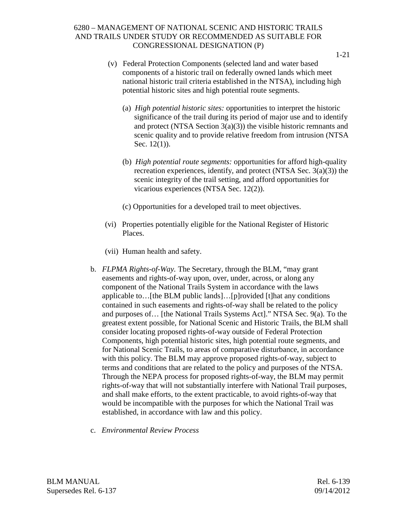- (v) Federal Protection Components (selected land and water based components of a historic trail on federally owned lands which meet national historic trail criteria established in the NTSA), including high potential historic sites and high potential route segments.
	- (a) *High potential historic sites:* opportunities to interpret the historic significance of the trail during its period of major use and to identify and protect (NTSA Section 3(a)(3)) the visible historic remnants and scenic quality and to provide relative freedom from intrusion (NTSA Sec. 12(1)).
	- (b) *High potential route segments:* opportunities for afford high-quality recreation experiences, identify, and protect (NTSA Sec. 3(a)(3)) the scenic integrity of the trail setting, and afford opportunities for vicarious experiences (NTSA Sec. 12(2)).
	- (c) Opportunities for a developed trail to meet objectives.
- (vi) Properties potentially eligible for the National Register of Historic Places.
- (vii) Human health and safety.
- b. *FLPMA Rights-of-Way.* The Secretary, through the BLM, "may grant easements and rights-of-way upon, over, under, across, or along any component of the National Trails System in accordance with the laws applicable to…[the BLM public lands]…[p]rovided [t]hat any conditions contained in such easements and rights-of-way shall be related to the policy and purposes of… [the National Trails Systems Act]." NTSA Sec. 9(a). To the greatest extent possible, for National Scenic and Historic Trails, the BLM shall consider locating proposed rights-of-way outside of Federal Protection Components, high potential historic sites, high potential route segments, and for National Scenic Trails, to areas of comparative disturbance, in accordance with this policy. The BLM may approve proposed rights-of-way, subject to terms and conditions that are related to the policy and purposes of the NTSA. Through the NEPA process for proposed rights-of-way, the BLM may permit rights-of-way that will not substantially interfere with National Trail purposes, and shall make efforts, to the extent practicable, to avoid rights-of-way that would be incompatible with the purposes for which the National Trail was established, in accordance with law and this policy.
- c. *Environmental Review Process*

BLM MANUAL Rel. 6-139 Supersedes Rel. 6-137 09/14/2012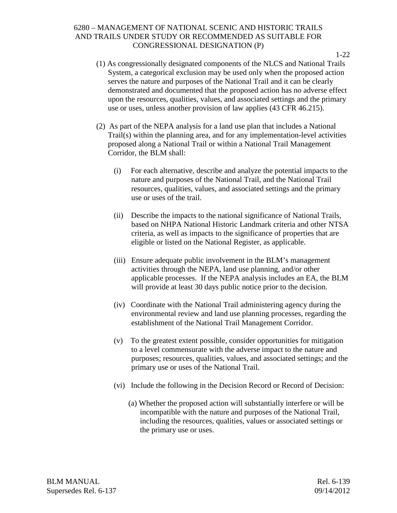(1) As congressionally designated components of the NLCS and National Trails System, a categorical exclusion may be used only when the proposed action serves the nature and purposes of the National Trail and it can be clearly demonstrated and documented that the proposed action has no adverse effect upon the resources, qualities, values, and associated settings and the primary use or uses, unless another provision of law applies (43 CFR 46.215).

- (2) As part of the NEPA analysis for a land use plan that includes a National Trail(s) within the planning area, and for any implementation-level activities proposed along a National Trail or within a National Trail Management Corridor, the BLM shall:
	- (i) For each alternative, describe and analyze the potential impacts to the nature and purposes of the National Trail, and the National Trail resources, qualities, values, and associated settings and the primary use or uses of the trail.
	- (ii) Describe the impacts to the national significance of National Trails, based on NHPA National Historic Landmark criteria and other NTSA criteria, as well as impacts to the significance of properties that are eligible or listed on the National Register, as applicable.
	- (iii) Ensure adequate public involvement in the BLM's management activities through the NEPA, land use planning, and/or other applicable processes. If the NEPA analysis includes an EA, the BLM will provide at least 30 days public notice prior to the decision.
	- (iv) Coordinate with the National Trail administering agency during the environmental review and land use planning processes, regarding the establishment of the National Trail Management Corridor.
	- (v) To the greatest extent possible, consider opportunities for mitigation to a level commensurate with the adverse impact to the nature and purposes; resources, qualities, values, and associated settings; and the primary use or uses of the National Trail.
	- (vi) Include the following in the Decision Record or Record of Decision:
		- (a) Whether the proposed action will substantially interfere or will be incompatible with the nature and purposes of the National Trail, including the resources, qualities, values or associated settings or the primary use or uses.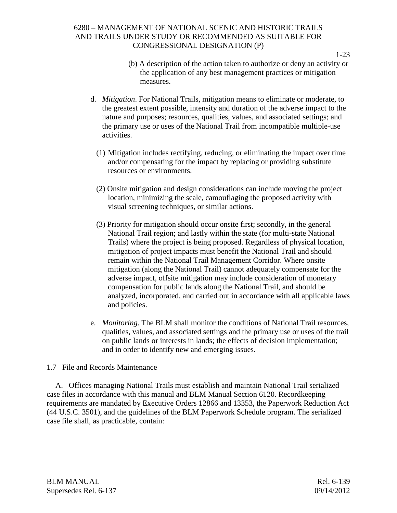- (b) A description of the action taken to authorize or deny an activity or the application of any best management practices or mitigation measures.
- d. *Mitigation*. For National Trails, mitigation means to eliminate or moderate, to the greatest extent possible, intensity and duration of the adverse impact to the nature and purposes; resources, qualities, values, and associated settings; and the primary use or uses of the National Trail from incompatible multiple-use activities.
	- (1) Mitigation includes rectifying, reducing, or eliminating the impact over time and/or compensating for the impact by replacing or providing substitute resources or environments.
	- (2) Onsite mitigation and design considerations can include moving the project location, minimizing the scale, camouflaging the proposed activity with visual screening techniques, or similar actions.
	- (3) Priority for mitigation should occur onsite first; secondly, in the general National Trail region; and lastly within the state (for multi-state National Trails) where the project is being proposed. Regardless of physical location, mitigation of project impacts must benefit the National Trail and should remain within the National Trail Management Corridor. Where onsite mitigation (along the National Trail) cannot adequately compensate for the adverse impact, offsite mitigation may include consideration of monetary compensation for public lands along the National Trail, and should be analyzed, incorporated, and carried out in accordance with all applicable laws and policies.
- e. *Monitoring.* The BLM shall monitor the conditions of National Trail resources, qualities, values, and associated settings and the primary use or uses of the trail on public lands or interests in lands; the effects of decision implementation; and in order to identify new and emerging issues.

#### 1.7 File and Records Maintenance

A. Offices managing National Trails must establish and maintain National Trail serialized case files in accordance with this manual and BLM Manual Section 6120. Recordkeeping requirements are mandated by Executive Orders 12866 and 13353, the Paperwork Reduction Act (44 U.S.C. 3501), and the guidelines of the BLM Paperwork Schedule program. The serialized case file shall, as practicable, contain:

BLM MANUAL Rel. 6-139 Supersedes Rel. 6-137 09/14/2012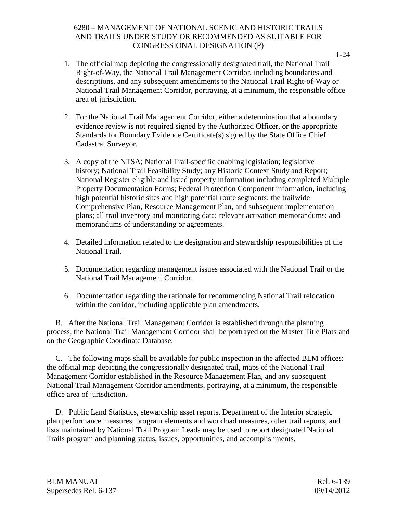- 1. The official map depicting the congressionally designated trail, the National Trail Right-of-Way, the National Trail Management Corridor, including boundaries and descriptions, and any subsequent amendments to the National Trail Right-of-Way or National Trail Management Corridor, portraying, at a minimum, the responsible office area of jurisdiction.
- 2. For the National Trail Management Corridor, either a determination that a boundary evidence review is not required signed by the Authorized Officer, or the appropriate Standards for Boundary Evidence Certificate(s) signed by the State Office Chief Cadastral Surveyor.
- 3. A copy of the NTSA; National Trail-specific enabling legislation; legislative history; National Trail Feasibility Study; any Historic Context Study and Report; National Register eligible and listed property information including completed Multiple Property Documentation Forms; Federal Protection Component information, including high potential historic sites and high potential route segments; the trailwide Comprehensive Plan, Resource Management Plan, and subsequent implementation plans; all trail inventory and monitoring data; relevant activation memorandums; and memorandums of understanding or agreements.
- 4. Detailed information related to the designation and stewardship responsibilities of the National Trail.
- 5. Documentation regarding management issues associated with the National Trail or the National Trail Management Corridor.
- 6. Documentation regarding the rationale for recommending National Trail relocation within the corridor, including applicable plan amendments.

B. After the National Trail Management Corridor is established through the planning process, the National Trail Management Corridor shall be portrayed on the Master Title Plats and on the Geographic Coordinate Database.

C. The following maps shall be available for public inspection in the affected BLM offices: the official map depicting the congressionally designated trail, maps of the National Trail Management Corridor established in the Resource Management Plan, and any subsequent National Trail Management Corridor amendments, portraying, at a minimum, the responsible office area of jurisdiction.

D. Public Land Statistics, stewardship asset reports, Department of the Interior strategic plan performance measures, program elements and workload measures, other trail reports, and lists maintained by National Trail Program Leads may be used to report designated National Trails program and planning status, issues, opportunities, and accomplishments.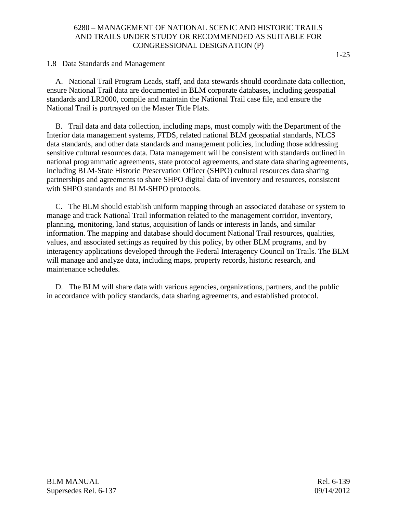1.8 Data Standards and Management

A. National Trail Program Leads, staff, and data stewards should coordinate data collection, ensure National Trail data are documented in BLM corporate databases, including geospatial standards and LR2000, compile and maintain the National Trail case file, and ensure the National Trail is portrayed on the Master Title Plats.

B. Trail data and data collection, including maps, must comply with the Department of the Interior data management systems, FTDS, related national BLM geospatial standards, NLCS data standards, and other data standards and management policies, including those addressing sensitive cultural resources data. Data management will be consistent with standards outlined in national programmatic agreements, state protocol agreements, and state data sharing agreements, including BLM-State Historic Preservation Officer (SHPO) cultural resources data sharing partnerships and agreements to share SHPO digital data of inventory and resources, consistent with SHPO standards and BLM-SHPO protocols.

C. The BLM should establish uniform mapping through an associated database or system to manage and track National Trail information related to the management corridor, inventory, planning, monitoring, land status, acquisition of lands or interests in lands, and similar information. The mapping and database should document National Trail resources, qualities, values, and associated settings as required by this policy, by other BLM programs, and by interagency applications developed through the Federal Interagency Council on Trails. The BLM will manage and analyze data, including maps, property records, historic research, and maintenance schedules.

D. The BLM will share data with various agencies, organizations, partners, and the public in accordance with policy standards, data sharing agreements, and established protocol.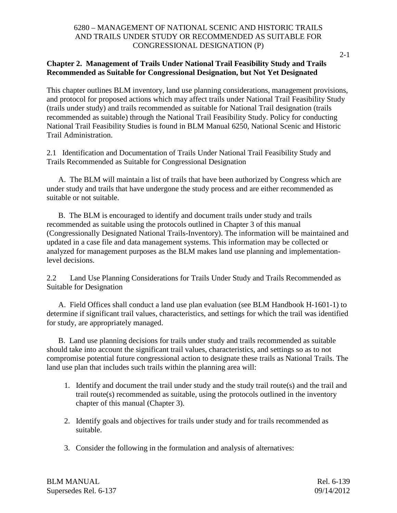2-1

# **Chapter 2. Management of Trails Under National Trail Feasibility Study and Trails Recommended as Suitable for Congressional Designation, but Not Yet Designated**

This chapter outlines BLM inventory, land use planning considerations, management provisions, and protocol for proposed actions which may affect trails under National Trail Feasibility Study (trails under study) and trails recommended as suitable for National Trail designation (trails recommended as suitable) through the National Trail Feasibility Study. Policy for conducting National Trail Feasibility Studies is found in BLM Manual 6250, National Scenic and Historic Trail Administration.

2.1 Identification and Documentation of Trails Under National Trail Feasibility Study and Trails Recommended as Suitable for Congressional Designation

A. The BLM will maintain a list of trails that have been authorized by Congress which are under study and trails that have undergone the study process and are either recommended as suitable or not suitable.

B. The BLM is encouraged to identify and document trails under study and trails recommended as suitable using the protocols outlined in Chapter 3 of this manual (Congressionally Designated National Trails-Inventory). The information will be maintained and updated in a case file and data management systems. This information may be collected or analyzed for management purposes as the BLM makes land use planning and implementationlevel decisions.

2.2 Land Use Planning Considerations for Trails Under Study and Trails Recommended as Suitable for Designation

A. Field Offices shall conduct a land use plan evaluation (see BLM Handbook H-1601-1) to determine if significant trail values, characteristics, and settings for which the trail was identified for study, are appropriately managed.

B. Land use planning decisions for trails under study and trails recommended as suitable should take into account the significant trail values, characteristics, and settings so as to not compromise potential future congressional action to designate these trails as National Trails. The land use plan that includes such trails within the planning area will:

- 1. Identify and document the trail under study and the study trail route(s) and the trail and trail route(s) recommended as suitable, using the protocols outlined in the inventory chapter of this manual (Chapter 3).
- 2. Identify goals and objectives for trails under study and for trails recommended as suitable.
- 3. Consider the following in the formulation and analysis of alternatives: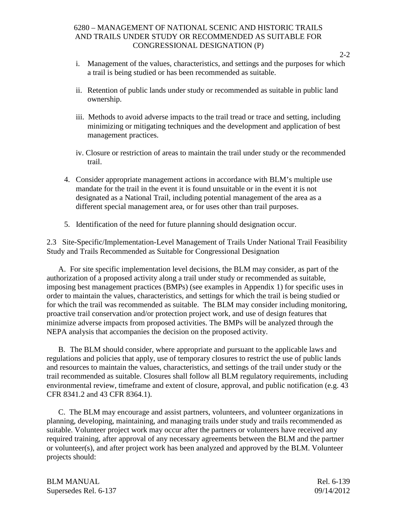- i. Management of the values, characteristics, and settings and the purposes for which a trail is being studied or has been recommended as suitable.
- ii. Retention of public lands under study or recommended as suitable in public land ownership.
- iii. Methods to avoid adverse impacts to the trail tread or trace and setting, including minimizing or mitigating techniques and the development and application of best management practices.
- iv. Closure or restriction of areas to maintain the trail under study or the recommended trail.
- 4. Consider appropriate management actions in accordance with BLM's multiple use mandate for the trail in the event it is found unsuitable or in the event it is not designated as a National Trail, including potential management of the area as a different special management area, or for uses other than trail purposes.
- 5. Identification of the need for future planning should designation occur.

2.3 Site-Specific/Implementation-Level Management of Trails Under National Trail Feasibility Study and Trails Recommended as Suitable for Congressional Designation

A. For site specific implementation level decisions, the BLM may consider, as part of the authorization of a proposed activity along a trail under study or recommended as suitable, imposing best management practices (BMPs) (see examples in Appendix 1) for specific uses in order to maintain the values, characteristics, and settings for which the trail is being studied or for which the trail was recommended as suitable. The BLM may consider including monitoring, proactive trail conservation and/or protection project work, and use of design features that minimize adverse impacts from proposed activities. The BMPs will be analyzed through the NEPA analysis that accompanies the decision on the proposed activity.

B. The BLM should consider, where appropriate and pursuant to the applicable laws and regulations and policies that apply, use of temporary closures to restrict the use of public lands and resources to maintain the values, characteristics, and settings of the trail under study or the trail recommended as suitable. Closures shall follow all BLM regulatory requirements, including environmental review, timeframe and extent of closure, approval, and public notification (e.g. 43 CFR 8341.2 and 43 CFR 8364.1).

C. The BLM may encourage and assist partners, volunteers, and volunteer organizations in planning, developing, maintaining, and managing trails under study and trails recommended as suitable. Volunteer project work may occur after the partners or volunteers have received any required training, after approval of any necessary agreements between the BLM and the partner or volunteer(s), and after project work has been analyzed and approved by the BLM. Volunteer projects should:

BLM MANUAL Rel. 6-139 Supersedes Rel. 6-137 09/14/2012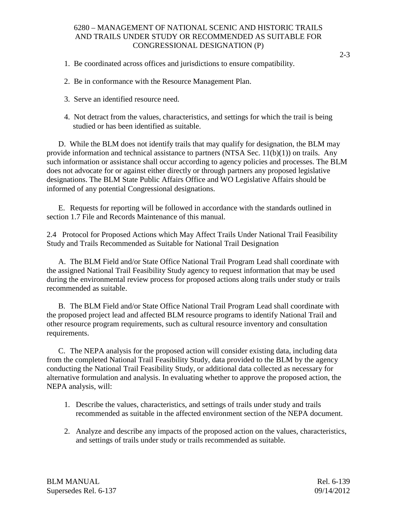- 1. Be coordinated across offices and jurisdictions to ensure compatibility.
- 2. Be in conformance with the Resource Management Plan.
- 3. Serve an identified resource need.
- 4. Not detract from the values, characteristics, and settings for which the trail is being studied or has been identified as suitable.

D. While the BLM does not identify trails that may qualify for designation, the BLM may provide information and technical assistance to partners (NTSA Sec. 11(b)(1)) on trails. Any such information or assistance shall occur according to agency policies and processes. The BLM does not advocate for or against either directly or through partners any proposed legislative designations. The BLM State Public Affairs Office and WO Legislative Affairs should be informed of any potential Congressional designations.

E. Requests for reporting will be followed in accordance with the standards outlined in section 1.7 File and Records Maintenance of this manual.

2.4 Protocol for Proposed Actions which May Affect Trails Under National Trail Feasibility Study and Trails Recommended as Suitable for National Trail Designation

A. The BLM Field and/or State Office National Trail Program Lead shall coordinate with the assigned National Trail Feasibility Study agency to request information that may be used during the environmental review process for proposed actions along trails under study or trails recommended as suitable.

B. The BLM Field and/or State Office National Trail Program Lead shall coordinate with the proposed project lead and affected BLM resource programs to identify National Trail and other resource program requirements, such as cultural resource inventory and consultation requirements.

C. The NEPA analysis for the proposed action will consider existing data, including data from the completed National Trail Feasibility Study, data provided to the BLM by the agency conducting the National Trail Feasibility Study, or additional data collected as necessary for alternative formulation and analysis. In evaluating whether to approve the proposed action, the NEPA analysis, will:

- 1. Describe the values, characteristics, and settings of trails under study and trails recommended as suitable in the affected environment section of the NEPA document.
- 2. Analyze and describe any impacts of the proposed action on the values, characteristics, and settings of trails under study or trails recommended as suitable.

BLM MANUAL Rel. 6-139 Supersedes Rel. 6-137 09/14/2012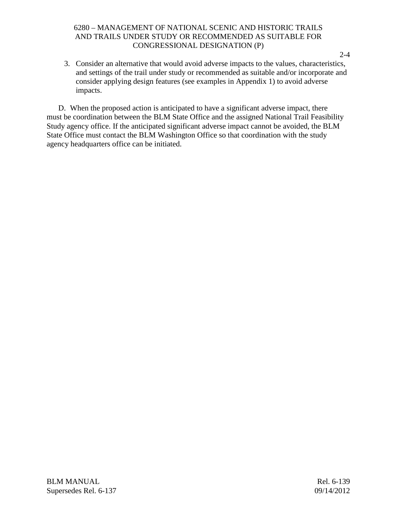3. Consider an alternative that would avoid adverse impacts to the values, characteristics, and settings of the trail under study or recommended as suitable and/or incorporate and consider applying design features (see examples in Appendix 1) to avoid adverse impacts.

D. When the proposed action is anticipated to have a significant adverse impact, there must be coordination between the BLM State Office and the assigned National Trail Feasibility Study agency office. If the anticipated significant adverse impact cannot be avoided, the BLM State Office must contact the BLM Washington Office so that coordination with the study agency headquarters office can be initiated.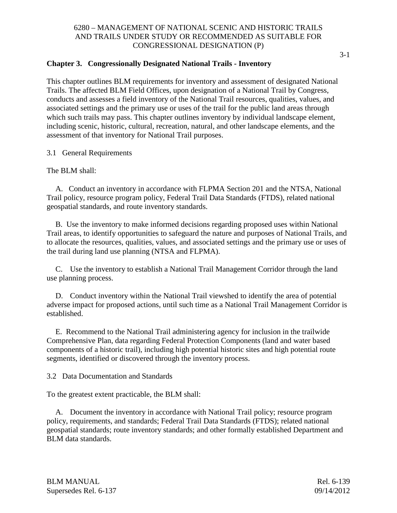# **Chapter 3. Congressionally Designated National Trails - Inventory**

This chapter outlines BLM requirements for inventory and assessment of designated National Trails. The affected BLM Field Offices, upon designation of a National Trail by Congress, conducts and assesses a field inventory of the National Trail resources, qualities, values, and associated settings and the primary use or uses of the trail for the public land areas through which such trails may pass. This chapter outlines inventory by individual landscape element, including scenic, historic, cultural, recreation, natural, and other landscape elements, and the assessment of that inventory for National Trail purposes.

3.1 General Requirements

The BLM shall:

A. Conduct an inventory in accordance with FLPMA Section 201 and the NTSA, National Trail policy, resource program policy, Federal Trail Data Standards (FTDS), related national geospatial standards, and route inventory standards.

B. Use the inventory to make informed decisions regarding proposed uses within National Trail areas, to identify opportunities to safeguard the nature and purposes of National Trails, and to allocate the resources, qualities, values, and associated settings and the primary use or uses of the trail during land use planning (NTSA and FLPMA).

C. Use the inventory to establish a National Trail Management Corridor through the land use planning process.

D. Conduct inventory within the National Trail viewshed to identify the area of potential adverse impact for proposed actions, until such time as a National Trail Management Corridor is established.

E. Recommend to the National Trail administering agency for inclusion in the trailwide Comprehensive Plan, data regarding Federal Protection Components (land and water based components of a historic trail), including high potential historic sites and high potential route segments, identified or discovered through the inventory process.

3.2 Data Documentation and Standards

To the greatest extent practicable, the BLM shall:

A. Document the inventory in accordance with National Trail policy; resource program policy, requirements, and standards; Federal Trail Data Standards (FTDS); related national geospatial standards; route inventory standards; and other formally established Department and BLM data standards.

BLM MANUAL Rel. 6-139 Supersedes Rel. 6-137 09/14/2012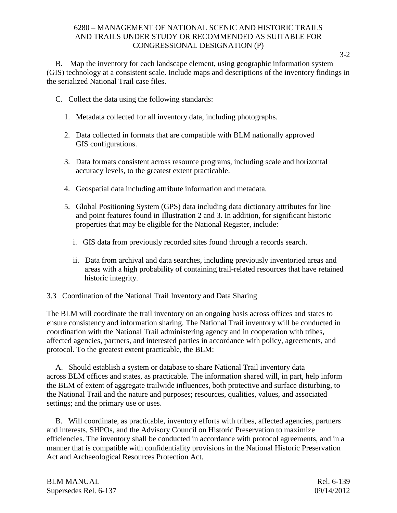B. Map the inventory for each landscape element, using geographic information system (GIS) technology at a consistent scale. Include maps and descriptions of the inventory findings in the serialized National Trail case files.

- C. Collect the data using the following standards:
	- 1. Metadata collected for all inventory data, including photographs.
	- 2. Data collected in formats that are compatible with BLM nationally approved GIS configurations.
	- 3. Data formats consistent across resource programs, including scale and horizontal accuracy levels, to the greatest extent practicable.
	- 4. Geospatial data including attribute information and metadata.
	- 5. Global Positioning System (GPS) data including data dictionary attributes for line and point features found in Illustration 2 and 3. In addition, for significant historic properties that may be eligible for the National Register, include:
		- i. GIS data from previously recorded sites found through a records search.
		- ii. Data from archival and data searches, including previously inventoried areas and areas with a high probability of containing trail-related resources that have retained historic integrity.
- 3.3 Coordination of the National Trail Inventory and Data Sharing

The BLM will coordinate the trail inventory on an ongoing basis across offices and states to ensure consistency and information sharing. The National Trail inventory will be conducted in coordination with the National Trail administering agency and in cooperation with tribes, affected agencies, partners, and interested parties in accordance with policy, agreements, and protocol. To the greatest extent practicable, the BLM:

A. Should establish a system or database to share National Trail inventory data across BLM offices and states, as practicable. The information shared will, in part, help inform the BLM of extent of aggregate trailwide influences, both protective and surface disturbing, to the National Trail and the nature and purposes; resources, qualities, values, and associated settings; and the primary use or uses.

B. Will coordinate, as practicable, inventory efforts with tribes, affected agencies, partners and interests, SHPOs, and the Advisory Council on Historic Preservation to maximize efficiencies. The inventory shall be conducted in accordance with protocol agreements, and in a manner that is compatible with confidentiality provisions in the National Historic Preservation Act and Archaeological Resources Protection Act.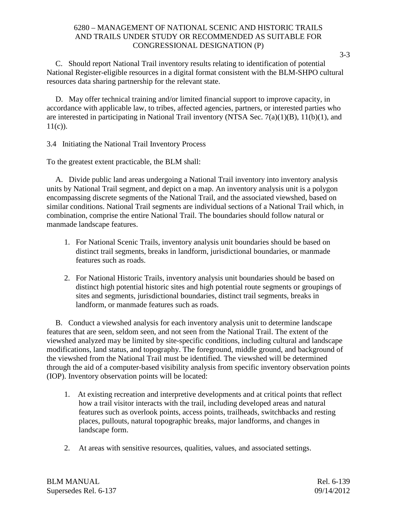C. Should report National Trail inventory results relating to identification of potential National Register-eligible resources in a digital format consistent with the BLM-SHPO cultural resources data sharing partnership for the relevant state.

D. May offer technical training and/or limited financial support to improve capacity, in accordance with applicable law, to tribes, affected agencies, partners, or interested parties who are interested in participating in National Trail inventory (NTSA Sec. 7(a)(1)(B), 11(b)(1), and  $11(c)$ ).

3.4 Initiating the National Trail Inventory Process

To the greatest extent practicable, the BLM shall:

A. Divide public land areas undergoing a National Trail inventory into inventory analysis units by National Trail segment, and depict on a map. An inventory analysis unit is a polygon encompassing discrete segments of the National Trail, and the associated viewshed, based on similar conditions. National Trail segments are individual sections of a National Trail which, in combination, comprise the entire National Trail. The boundaries should follow natural or manmade landscape features.

- 1. For National Scenic Trails, inventory analysis unit boundaries should be based on distinct trail segments, breaks in landform, jurisdictional boundaries, or manmade features such as roads.
- 2. For National Historic Trails, inventory analysis unit boundaries should be based on distinct high potential historic sites and high potential route segments or groupings of sites and segments, jurisdictional boundaries, distinct trail segments, breaks in landform, or manmade features such as roads.

B. Conduct a viewshed analysis for each inventory analysis unit to determine landscape features that are seen, seldom seen, and not seen from the National Trail. The extent of the viewshed analyzed may be limited by site-specific conditions, including cultural and landscape modifications, land status, and topography. The foreground, middle ground, and background of the viewshed from the National Trail must be identified. The viewshed will be determined through the aid of a computer-based visibility analysis from specific inventory observation points (IOP). Inventory observation points will be located:

- 1. At existing recreation and interpretive developments and at critical points that reflect how a trail visitor interacts with the trail, including developed areas and natural features such as overlook points, access points, trailheads, switchbacks and resting places, pullouts, natural topographic breaks, major landforms, and changes in landscape form.
- 2. At areas with sensitive resources, qualities, values, and associated settings.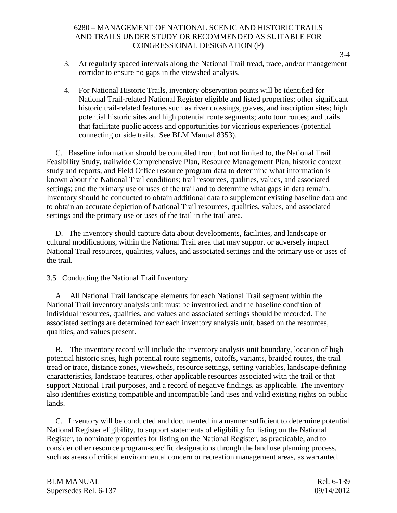- 3. At regularly spaced intervals along the National Trail tread, trace, and/or management corridor to ensure no gaps in the viewshed analysis.
- 4. For National Historic Trails, inventory observation points will be identified for National Trail-related National Register eligible and listed properties; other significant historic trail-related features such as river crossings, graves, and inscription sites; high potential historic sites and high potential route segments; auto tour routes; and trails that facilitate public access and opportunities for vicarious experiences (potential connecting or side trails. See BLM Manual 8353).

C. Baseline information should be compiled from, but not limited to, the National Trail Feasibility Study, trailwide Comprehensive Plan, Resource Management Plan, historic context study and reports, and Field Office resource program data to determine what information is known about the National Trail conditions; trail resources, qualities, values, and associated settings; and the primary use or uses of the trail and to determine what gaps in data remain. Inventory should be conducted to obtain additional data to supplement existing baseline data and to obtain an accurate depiction of National Trail resources, qualities, values, and associated settings and the primary use or uses of the trail in the trail area.

D. The inventory should capture data about developments, facilities, and landscape or cultural modifications, within the National Trail area that may support or adversely impact National Trail resources, qualities, values, and associated settings and the primary use or uses of the trail.

# 3.5 Conducting the National Trail Inventory

A. All National Trail landscape elements for each National Trail segment within the National Trail inventory analysis unit must be inventoried, and the baseline condition of individual resources, qualities, and values and associated settings should be recorded. The associated settings are determined for each inventory analysis unit, based on the resources, qualities, and values present.

B. The inventory record will include the inventory analysis unit boundary, location of high potential historic sites, high potential route segments, cutoffs, variants, braided routes, the trail tread or trace, distance zones, viewsheds, resource settings, setting variables, landscape-defining characteristics, landscape features, other applicable resources associated with the trail or that support National Trail purposes, and a record of negative findings, as applicable. The inventory also identifies existing compatible and incompatible land uses and valid existing rights on public lands.

C. Inventory will be conducted and documented in a manner sufficient to determine potential National Register eligibility, to support statements of eligibility for listing on the National Register, to nominate properties for listing on the National Register, as practicable, and to consider other resource program-specific designations through the land use planning process, such as areas of critical environmental concern or recreation management areas, as warranted.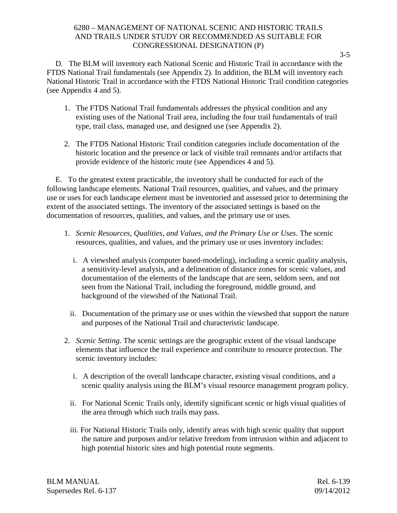D. The BLM will inventory each National Scenic and Historic Trail in accordance with the FTDS National Trail fundamentals (see Appendix 2). In addition, the BLM will inventory each National Historic Trail in accordance with the FTDS National Historic Trail condition categories (see Appendix 4 and 5).

- 1. The FTDS National Trail fundamentals addresses the physical condition and any existing uses of the National Trail area, including the four trail fundamentals of trail type, trail class, managed use, and designed use (see Appendix 2).
- 2. The FTDS National Historic Trail condition categories include documentation of the historic location and the presence or lack of visible trail remnants and/or artifacts that provide evidence of the historic route (see Appendices 4 and 5).

E. To the greatest extent practicable, the inventory shall be conducted for each of the following landscape elements. National Trail resources, qualities, and values, and the primary use or uses for each landscape element must be inventoried and assessed prior to determining the extent of the associated settings. The inventory of the associated settings is based on the documentation of resources, qualities, and values, and the primary use or uses.

- 1. *Scenic Resources, Qualities, and Values, and the Primary Use or Uses*. The scenic resources, qualities, and values, and the primary use or uses inventory includes:
	- i. A viewshed analysis (computer based-modeling), including a scenic quality analysis, a sensitivity-level analysis, and a delineation of distance zones for scenic values, and documentation of the elements of the landscape that are seen, seldom seen, and not seen from the National Trail, including the foreground, middle ground, and background of the viewshed of the National Trail.
	- ii. Documentation of the primary use or uses within the viewshed that support the nature and purposes of the National Trail and characteristic landscape.
- 2. *Scenic Setting*. The scenic settings are the geographic extent of the visual landscape elements that influence the trail experience and contribute to resource protection. The scenic inventory includes:
	- i. A description of the overall landscape character, existing visual conditions, and a scenic quality analysis using the BLM's visual resource management program policy.
	- ii. For National Scenic Trails only, identify significant scenic or high visual qualities of the area through which such trails may pass.
	- iii. For National Historic Trails only, identify areas with high scenic quality that support the nature and purposes and/or relative freedom from intrusion within and adjacent to high potential historic sites and high potential route segments.

BLM MANUAL Rel. 6-139 Supersedes Rel. 6-137 09/14/2012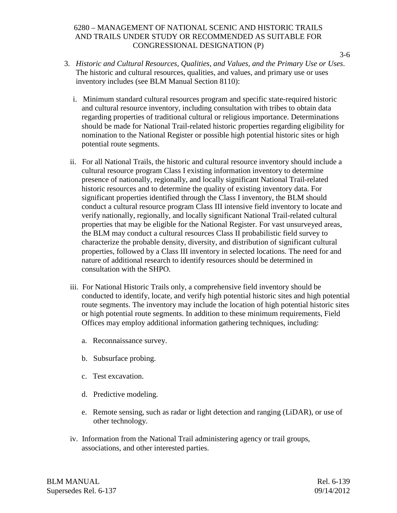- 3. *Historic and Cultural Resources, Qualities, and Values, and the Primary Use or Uses*. The historic and cultural resources, qualities, and values, and primary use or uses inventory includes (see BLM Manual Section 8110):
	- i. Minimum standard cultural resources program and specific state-required historic and cultural resource inventory, including consultation with tribes to obtain data regarding properties of traditional cultural or religious importance. Determinations should be made for National Trail-related historic properties regarding eligibility for nomination to the National Register or possible high potential historic sites or high potential route segments.
	- ii. For all National Trails, the historic and cultural resource inventory should include a cultural resource program Class I existing information inventory to determine presence of nationally, regionally, and locally significant National Trail-related historic resources and to determine the quality of existing inventory data. For significant properties identified through the Class I inventory, the BLM should conduct a cultural resource program Class III intensive field inventory to locate and verify nationally, regionally, and locally significant National Trail-related cultural properties that may be eligible for the National Register. For vast unsurveyed areas, the BLM may conduct a cultural resources Class II probabilistic field survey to characterize the probable density, diversity, and distribution of significant cultural properties, followed by a Class III inventory in selected locations. The need for and nature of additional research to identify resources should be determined in consultation with the SHPO.
	- iii. For National Historic Trails only, a comprehensive field inventory should be conducted to identify, locate, and verify high potential historic sites and high potential route segments. The inventory may include the location of high potential historic sites or high potential route segments. In addition to these minimum requirements, Field Offices may employ additional information gathering techniques, including:
		- a. Reconnaissance survey.
		- b. Subsurface probing.
		- c. Test excavation.
		- d. Predictive modeling.
		- e. Remote sensing, such as radar or light detection and ranging (LiDAR), or use of other technology.
	- iv. Information from the National Trail administering agency or trail groups, associations, and other interested parties.

BLM MANUAL Rel. 6-139 Supersedes Rel. 6-137 09/14/2012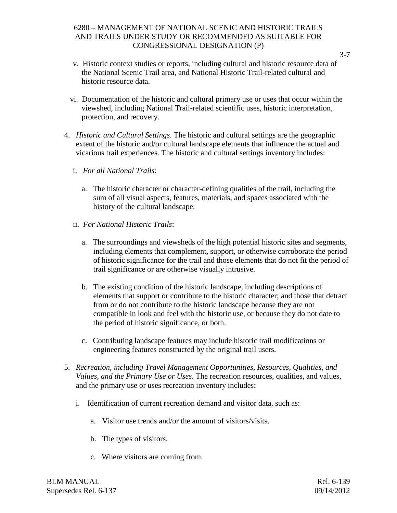- v. Historic context studies or reports, including cultural and historic resource data of the National Scenic Trail area, and National Historic Trail-related cultural and historic resource data.
- vi. Documentation of the historic and cultural primary use or uses that occur within the viewshed, including National Trail-related scientific uses, historic interpretation, protection, and recovery.
- 4. *Historic and Cultural Settings*. The historic and cultural settings are the geographic extent of the historic and/or cultural landscape elements that influence the actual and vicarious trail experiences. The historic and cultural settings inventory includes:
	- i. *For all National Trails*:
		- a. The historic character or character-defining qualities of the trail, including the sum of all visual aspects, features, materials, and spaces associated with the history of the cultural landscape.
	- ii. *For National Historic Trails*:
		- a. The surroundings and viewsheds of the high potential historic sites and segments, including elements that complement, support, or otherwise corroborate the period of historic significance for the trail and those elements that do not fit the period of trail significance or are otherwise visually intrusive.
		- b. The existing condition of the historic landscape, including descriptions of elements that support or contribute to the historic character; and those that detract from or do not contribute to the historic landscape because they are not compatible in look and feel with the historic use, or because they do not date to the period of historic significance, or both.
		- c. Contributing landscape features may include historic trail modifications or engineering features constructed by the original trail users.
- 5. *Recreation, including Travel Management Opportunities, Resources, Qualities, and Values, and the Primary Use or Uses*. The recreation resources, qualities, and values, and the primary use or uses recreation inventory includes:
	- i. Identification of current recreation demand and visitor data, such as:
		- a. Visitor use trends and/or the amount of visitors/visits.
		- b. The types of visitors.
		- c. Where visitors are coming from.

BLM MANUAL Rel. 6-139 Supersedes Rel. 6-137 09/14/2012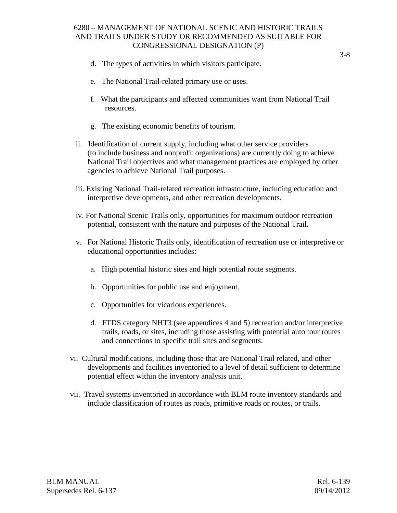- d. The types of activities in which visitors participate.
- e. The National Trail-related primary use or uses.
- f. What the participants and affected communities want from National Trail resources.
- g. The existing economic benefits of tourism.
- ii. Identification of current supply, including what other service providers (to include business and nonprofit organizations) are currently doing to achieve National Trail objectives and what management practices are employed by other agencies to achieve National Trail purposes.
- iii. Existing National Trail-related recreation infrastructure, including education and interpretive developments, and other recreation developments.
- iv. For National Scenic Trails only, opportunities for maximum outdoor recreation potential, consistent with the nature and purposes of the National Trail.
- v. For National Historic Trails only, identification of recreation use or interpretive or educational opportunities includes:
	- a. High potential historic sites and high potential route segments.
	- b. Opportunities for public use and enjoyment.
	- c. Opportunities for vicarious experiences.
	- d. FTDS category NHT3 (see appendices 4 and 5) recreation and/or interpretive trails, roads, or sites, including those assisting with potential auto tour routes and connections to specific trail sites and segments.
- vi. Cultural modifications, including those that are National Trail related, and other developments and facilities inventoried to a level of detail sufficient to determine potential effect within the inventory analysis unit.
- vii. Travel systems inventoried in accordance with BLM route inventory standards and include classification of routes as roads, primitive roads or routes, or trails.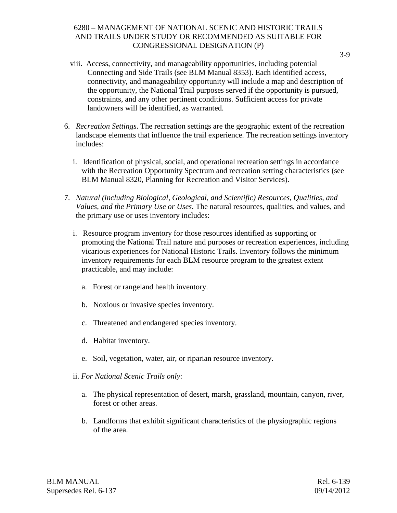- viii. Access, connectivity, and manageability opportunities, including potential Connecting and Side Trails (see BLM Manual 8353). Each identified access, connectivity, and manageability opportunity will include a map and description of the opportunity, the National Trail purposes served if the opportunity is pursued, constraints, and any other pertinent conditions. Sufficient access for private landowners will be identified, as warranted.
- 6. *Recreation Settings*. The recreation settings are the geographic extent of the recreation landscape elements that influence the trail experience. The recreation settings inventory includes:
	- i. Identification of physical, social, and operational recreation settings in accordance with the Recreation Opportunity Spectrum and recreation setting characteristics (see BLM Manual 8320, Planning for Recreation and Visitor Services).
- 7. *Natural (including Biological, Geological, and Scientific) Resources, Qualities, and Values, and the Primary Use or Uses*. The natural resources, qualities, and values, and the primary use or uses inventory includes:
	- i. Resource program inventory for those resources identified as supporting or promoting the National Trail nature and purposes or recreation experiences, including vicarious experiences for National Historic Trails. Inventory follows the minimum inventory requirements for each BLM resource program to the greatest extent practicable, and may include:
		- a. Forest or rangeland health inventory.
		- b. Noxious or invasive species inventory.
		- c. Threatened and endangered species inventory.
		- d. Habitat inventory.
		- e. Soil, vegetation, water, air, or riparian resource inventory.
	- ii. *For National Scenic Trails only*:
		- a. The physical representation of desert, marsh, grassland, mountain, canyon, river, forest or other areas.
		- b. Landforms that exhibit significant characteristics of the physiographic regions of the area.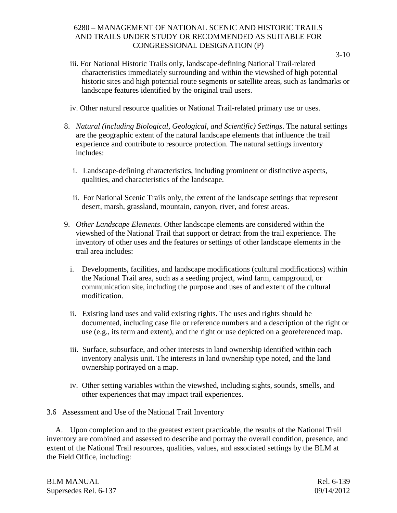- iii. For National Historic Trails only, landscape-defining National Trail-related characteristics immediately surrounding and within the viewshed of high potential historic sites and high potential route segments or satellite areas, such as landmarks or landscape features identified by the original trail users.
- iv. Other natural resource qualities or National Trail-related primary use or uses.
- 8. *Natural (including Biological, Geological, and Scientific) Settings*. The natural settings are the geographic extent of the natural landscape elements that influence the trail experience and contribute to resource protection. The natural settings inventory includes:
	- i. Landscape-defining characteristics, including prominent or distinctive aspects, qualities, and characteristics of the landscape.
	- ii. For National Scenic Trails only, the extent of the landscape settings that represent desert, marsh, grassland, mountain, canyon, river, and forest areas.
- 9. *Other Landscape Elements*. Other landscape elements are considered within the viewshed of the National Trail that support or detract from the trail experience. The inventory of other uses and the features or settings of other landscape elements in the trail area includes:
	- i. Developments, facilities, and landscape modifications (cultural modifications) within the National Trail area, such as a seeding project, wind farm, campground, or communication site, including the purpose and uses of and extent of the cultural modification.
	- ii. Existing land uses and valid existing rights. The uses and rights should be documented, including case file or reference numbers and a description of the right or use (e.g., its term and extent), and the right or use depicted on a georeferenced map.
	- iii. Surface, subsurface, and other interests in land ownership identified within each inventory analysis unit. The interests in land ownership type noted, and the land ownership portrayed on a map.
	- iv. Other setting variables within the viewshed, including sights, sounds, smells, and other experiences that may impact trail experiences.
- 3.6 Assessment and Use of the National Trail Inventory

A. Upon completion and to the greatest extent practicable, the results of the National Trail inventory are combined and assessed to describe and portray the overall condition, presence, and extent of the National Trail resources, qualities, values, and associated settings by the BLM at the Field Office, including:

| BLM MANUAL            | Rel. 6-139 |
|-----------------------|------------|
| Supersedes Rel. 6-137 | 09/14/2012 |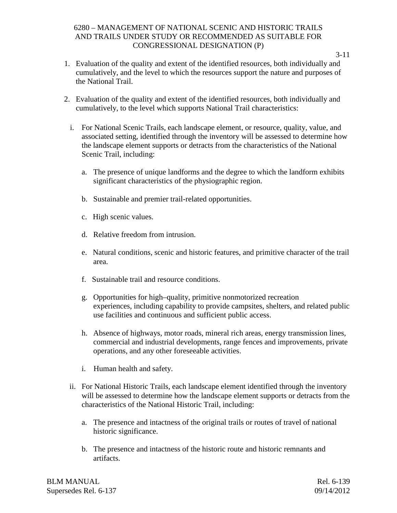- 1. Evaluation of the quality and extent of the identified resources, both individually and cumulatively, and the level to which the resources support the nature and purposes of the National Trail.
- 2. Evaluation of the quality and extent of the identified resources, both individually and cumulatively, to the level which supports National Trail characteristics:
	- i. For National Scenic Trails, each landscape element, or resource, quality, value, and associated setting, identified through the inventory will be assessed to determine how the landscape element supports or detracts from the characteristics of the National Scenic Trail, including:
		- a. The presence of unique landforms and the degree to which the landform exhibits significant characteristics of the physiographic region.
		- b. Sustainable and premier trail-related opportunities.
		- c. High scenic values.
		- d. Relative freedom from intrusion.
		- e. Natural conditions, scenic and historic features, and primitive character of the trail area.
		- f. Sustainable trail and resource conditions.
		- g. Opportunities for high–quality, primitive nonmotorized recreation experiences, including capability to provide campsites, shelters, and related public use facilities and continuous and sufficient public access.
		- h. Absence of highways, motor roads, mineral rich areas, energy transmission lines, commercial and industrial developments, range fences and improvements, private operations, and any other foreseeable activities.
		- i. Human health and safety.
	- ii. For National Historic Trails, each landscape element identified through the inventory will be assessed to determine how the landscape element supports or detracts from the characteristics of the National Historic Trail, including:
		- a. The presence and intactness of the original trails or routes of travel of national historic significance.
		- b. The presence and intactness of the historic route and historic remnants and artifacts.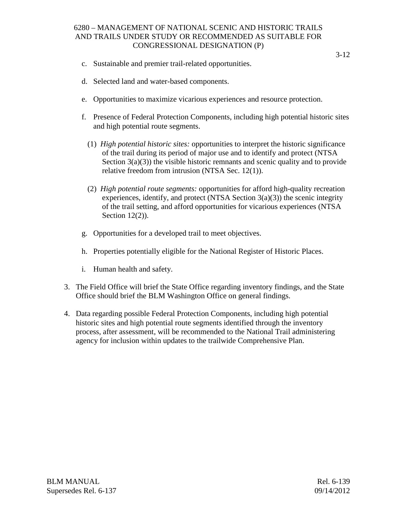- c. Sustainable and premier trail-related opportunities.
- d. Selected land and water-based components.
- e. Opportunities to maximize vicarious experiences and resource protection.
- f. Presence of Federal Protection Components, including high potential historic sites and high potential route segments.
	- (1) *High potential historic sites:* opportunities to interpret the historic significance of the trail during its period of major use and to identify and protect (NTSA Section  $3(a)(3)$ ) the visible historic remnants and scenic quality and to provide relative freedom from intrusion (NTSA Sec. 12(1)).
	- (2) *High potential route segments:* opportunities for afford high-quality recreation experiences, identify, and protect (NTSA Section  $3(a)(3)$ ) the scenic integrity of the trail setting, and afford opportunities for vicarious experiences (NTSA Section 12(2)).
- g. Opportunities for a developed trail to meet objectives.
- h. Properties potentially eligible for the National Register of Historic Places.
- i. Human health and safety.
- 3. The Field Office will brief the State Office regarding inventory findings, and the State Office should brief the BLM Washington Office on general findings.
- 4. Data regarding possible Federal Protection Components, including high potential historic sites and high potential route segments identified through the inventory process, after assessment, will be recommended to the National Trail administering agency for inclusion within updates to the trailwide Comprehensive Plan.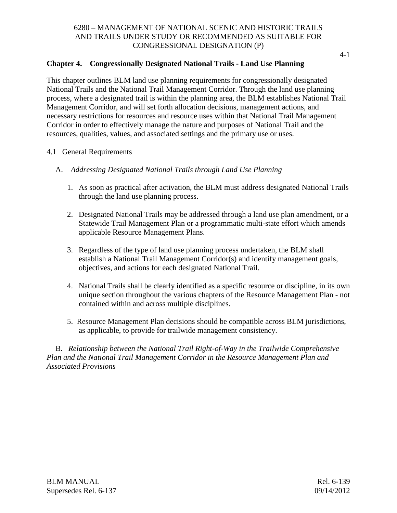# **Chapter 4. Congressionally Designated National Trails - Land Use Planning**

This chapter outlines BLM land use planning requirements for congressionally designated National Trails and the National Trail Management Corridor. Through the land use planning process, where a designated trail is within the planning area, the BLM establishes National Trail Management Corridor, and will set forth allocation decisions, management actions, and necessary restrictions for resources and resource uses within that National Trail Management Corridor in order to effectively manage the nature and purposes of National Trail and the resources, qualities, values, and associated settings and the primary use or uses.

- 4.1 General Requirements
	- A. *Addressing Designated National Trails through Land Use Planning*
		- 1. As soon as practical after activation, the BLM must address designated National Trails through the land use planning process.
		- 2. Designated National Trails may be addressed through a land use plan amendment, or a Statewide Trail Management Plan or a programmatic multi-state effort which amends applicable Resource Management Plans.
		- 3. Regardless of the type of land use planning process undertaken, the BLM shall establish a National Trail Management Corridor(s) and identify management goals, objectives, and actions for each designated National Trail.
		- 4. National Trails shall be clearly identified as a specific resource or discipline, in its own unique section throughout the various chapters of the Resource Management Plan - not contained within and across multiple disciplines.
		- 5. Resource Management Plan decisions should be compatible across BLM jurisdictions, as applicable, to provide for trailwide management consistency.

B. *Relationship between the National Trail Right-of-Way in the Trailwide Comprehensive Plan and the National Trail Management Corridor in the Resource Management Plan and Associated Provisions*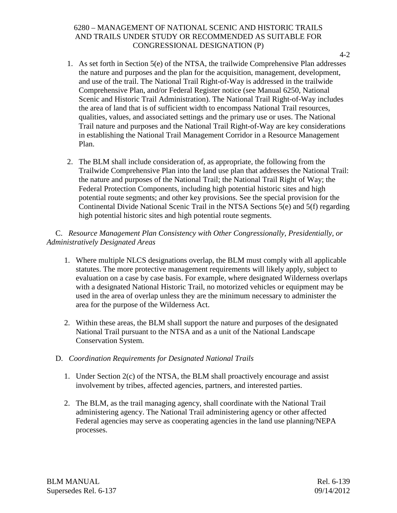- 1. As set forth in Section 5(e) of the NTSA, the trailwide Comprehensive Plan addresses the nature and purposes and the plan for the acquisition, management, development, and use of the trail. The National Trail Right-of-Way is addressed in the trailwide Comprehensive Plan, and/or Federal Register notice (see Manual 6250, National Scenic and Historic Trail Administration). The National Trail Right-of-Way includes the area of land that is of sufficient width to encompass National Trail resources, qualities, values, and associated settings and the primary use or uses. The National Trail nature and purposes and the National Trail Right-of-Way are key considerations in establishing the National Trail Management Corridor in a Resource Management Plan.
- 2. The BLM shall include consideration of, as appropriate, the following from the Trailwide Comprehensive Plan into the land use plan that addresses the National Trail: the nature and purposes of the National Trail; the National Trail Right of Way; the Federal Protection Components, including high potential historic sites and high potential route segments; and other key provisions. See the special provision for the Continental Divide National Scenic Trail in the NTSA Sections 5(e) and 5(f) regarding high potential historic sites and high potential route segments.

# C. *Resource Management Plan Consistency with Other Congressionally, Presidentially, or Administratively Designated Areas*

- 1. Where multiple NLCS designations overlap, the BLM must comply with all applicable statutes. The more protective management requirements will likely apply, subject to evaluation on a case by case basis. For example, where designated Wilderness overlaps with a designated National Historic Trail, no motorized vehicles or equipment may be used in the area of overlap unless they are the minimum necessary to administer the area for the purpose of the Wilderness Act.
- 2. Within these areas, the BLM shall support the nature and purposes of the designated National Trail pursuant to the NTSA and as a unit of the National Landscape Conservation System.

# D. *Coordination Requirements for Designated National Trails*

- 1. Under Section 2(c) of the NTSA, the BLM shall proactively encourage and assist involvement by tribes, affected agencies, partners, and interested parties.
- 2. The BLM, as the trail managing agency, shall coordinate with the National Trail administering agency. The National Trail administering agency or other affected Federal agencies may serve as cooperating agencies in the land use planning/NEPA processes.

BLM MANUAL Rel. 6-139 Supersedes Rel. 6-137 09/14/2012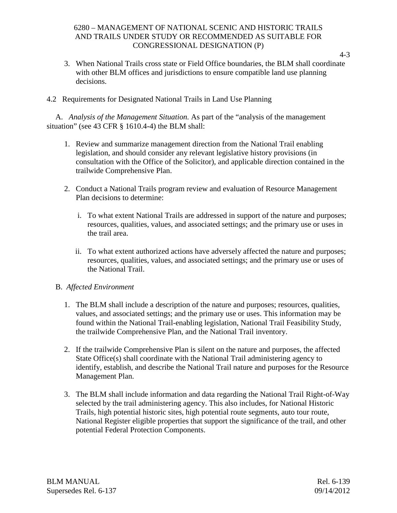- 3. When National Trails cross state or Field Office boundaries, the BLM shall coordinate with other BLM offices and jurisdictions to ensure compatible land use planning decisions.
- 4.2 Requirements for Designated National Trails in Land Use Planning

A. *Analysis of the Management Situation.* As part of the "analysis of the management situation" (see 43 CFR § 1610.4-4) the BLM shall:

- 1. Review and summarize management direction from the National Trail enabling legislation, and should consider any relevant legislative history provisions (in consultation with the Office of the Solicitor), and applicable direction contained in the trailwide Comprehensive Plan.
- 2. Conduct a National Trails program review and evaluation of Resource Management Plan decisions to determine:
	- i. To what extent National Trails are addressed in support of the nature and purposes; resources, qualities, values, and associated settings; and the primary use or uses in the trail area.
	- ii. To what extent authorized actions have adversely affected the nature and purposes; resources, qualities, values, and associated settings; and the primary use or uses of the National Trail.

#### B. *Affected Environment*

- 1. The BLM shall include a description of the nature and purposes; resources, qualities, values, and associated settings; and the primary use or uses. This information may be found within the National Trail-enabling legislation, National Trail Feasibility Study, the trailwide Comprehensive Plan, and the National Trail inventory.
- 2. If the trailwide Comprehensive Plan is silent on the nature and purposes, the affected State Office(s) shall coordinate with the National Trail administering agency to identify, establish, and describe the National Trail nature and purposes for the Resource Management Plan.
- 3. The BLM shall include information and data regarding the National Trail Right-of-Way selected by the trail administering agency. This also includes, for National Historic Trails, high potential historic sites, high potential route segments, auto tour route, National Register eligible properties that support the significance of the trail, and other potential Federal Protection Components.

BLM MANUAL Rel. 6-139 Supersedes Rel. 6-137 09/14/2012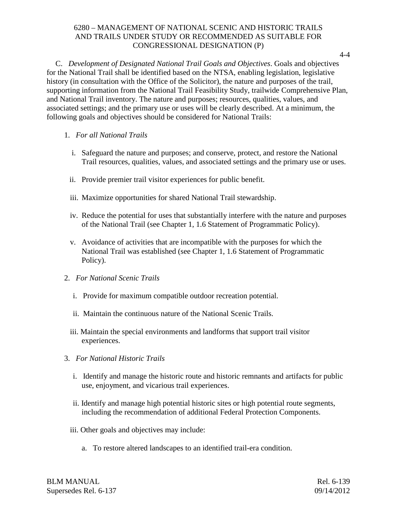4-4

C. *Development of Designated National Trail Goals and Objectives*. Goals and objectives for the National Trail shall be identified based on the NTSA, enabling legislation, legislative history (in consultation with the Office of the Solicitor), the nature and purposes of the trail, supporting information from the National Trail Feasibility Study, trailwide Comprehensive Plan, and National Trail inventory. The nature and purposes; resources, qualities, values, and associated settings; and the primary use or uses will be clearly described. At a minimum, the following goals and objectives should be considered for National Trails:

- 1. *For all National Trails*
	- i. Safeguard the nature and purposes; and conserve, protect, and restore the National Trail resources, qualities, values, and associated settings and the primary use or uses.
	- ii. Provide premier trail visitor experiences for public benefit.
	- iii. Maximize opportunities for shared National Trail stewardship.
	- iv. Reduce the potential for uses that substantially interfere with the nature and purposes of the National Trail (see Chapter 1, 1.6 Statement of Programmatic Policy).
	- v. Avoidance of activities that are incompatible with the purposes for which the National Trail was established (see Chapter 1, 1.6 Statement of Programmatic Policy).
- 2. *For National Scenic Trails*
	- i. Provide for maximum compatible outdoor recreation potential.
	- ii. Maintain the continuous nature of the National Scenic Trails.
	- iii. Maintain the special environments and landforms that support trail visitor experiences.
- 3. *For National Historic Trails*
	- i. Identify and manage the historic route and historic remnants and artifacts for public use, enjoyment, and vicarious trail experiences.
	- ii. Identify and manage high potential historic sites or high potential route segments, including the recommendation of additional Federal Protection Components.
	- iii. Other goals and objectives may include:
		- a. To restore altered landscapes to an identified trail-era condition.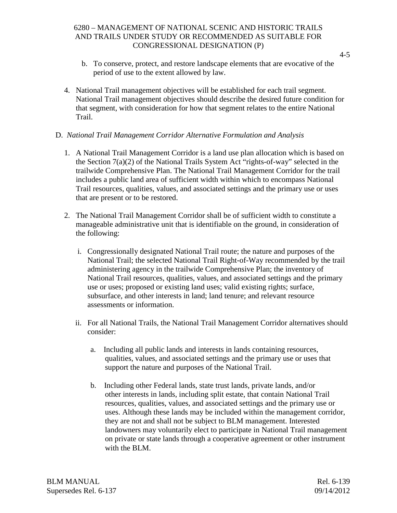- b. To conserve, protect, and restore landscape elements that are evocative of the period of use to the extent allowed by law.
- 4. National Trail management objectives will be established for each trail segment. National Trail management objectives should describe the desired future condition for that segment, with consideration for how that segment relates to the entire National Trail.

#### D. *National Trail Management Corridor Alternative Formulation and Analysis*

- 1. A National Trail Management Corridor is a land use plan allocation which is based on the Section 7(a)(2) of the National Trails System Act "rights-of-way" selected in the trailwide Comprehensive Plan. The National Trail Management Corridor for the trail includes a public land area of sufficient width within which to encompass National Trail resources, qualities, values, and associated settings and the primary use or uses that are present or to be restored.
- 2. The National Trail Management Corridor shall be of sufficient width to constitute a manageable administrative unit that is identifiable on the ground, in consideration of the following:
	- i. Congressionally designated National Trail route; the nature and purposes of the National Trail; the selected National Trail Right-of-Way recommended by the trail administering agency in the trailwide Comprehensive Plan; the inventory of National Trail resources, qualities, values, and associated settings and the primary use or uses; proposed or existing land uses; valid existing rights; surface, subsurface, and other interests in land; land tenure; and relevant resource assessments or information.
	- ii. For all National Trails, the National Trail Management Corridor alternatives should consider:
		- a. Including all public lands and interests in lands containing resources, qualities, values, and associated settings and the primary use or uses that support the nature and purposes of the National Trail.
		- b. Including other Federal lands, state trust lands, private lands, and/or other interests in lands, including split estate, that contain National Trail resources, qualities, values, and associated settings and the primary use or uses. Although these lands may be included within the management corridor, they are not and shall not be subject to BLM management. Interested landowners may voluntarily elect to participate in National Trail management on private or state lands through a cooperative agreement or other instrument with the BLM.

BLM MANUAL Rel. 6-139 Supersedes Rel. 6-137 09/14/2012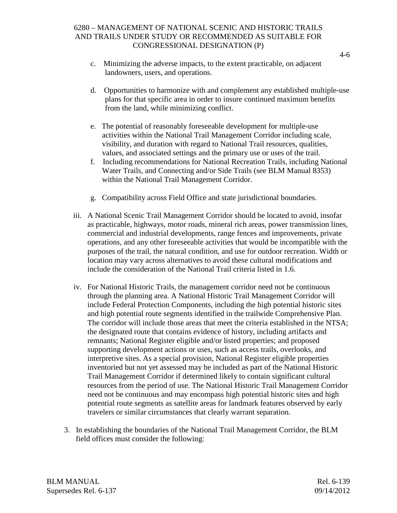- c. Minimizing the adverse impacts, to the extent practicable, on adjacent landowners, users, and operations.
- d. Opportunities to harmonize with and complement any established multiple-use plans for that specific area in order to insure continued maximum benefits from the land, while minimizing conflict.
- e. The potential of reasonably foreseeable development for multiple-use activities within the National Trail Management Corridor including scale, visibility, and duration with regard to National Trail resources, qualities, values, and associated settings and the primary use or uses of the trail.
- f. Including recommendations for National Recreation Trails, including National Water Trails, and Connecting and/or Side Trails (see BLM Manual 8353) within the National Trail Management Corridor.
- g. Compatibility across Field Office and state jurisdictional boundaries.
- iii. A National Scenic Trail Management Corridor should be located to avoid, insofar as practicable, highways, motor roads, mineral rich areas, power transmission lines, commercial and industrial developments, range fences and improvements, private operations, and any other foreseeable activities that would be incompatible with the purposes of the trail, the natural condition, and use for outdoor recreation. Width or location may vary across alternatives to avoid these cultural modifications and include the consideration of the National Trail criteria listed in 1.6.
- iv. For National Historic Trails, the management corridor need not be continuous through the planning area. A National Historic Trail Management Corridor will include Federal Protection Components, including the high potential historic sites and high potential route segments identified in the trailwide Comprehensive Plan. The corridor will include those areas that meet the criteria established in the NTSA; the designated route that contains evidence of history, including artifacts and remnants; National Register eligible and/or listed properties; and proposed supporting development actions or uses, such as access trails, overlooks, and interpretive sites. As a special provision, National Register eligible properties inventoried but not yet assessed may be included as part of the National Historic Trail Management Corridor if determined likely to contain significant cultural resources from the period of use. The National Historic Trail Management Corridor need not be continuous and may encompass high potential historic sites and high potential route segments as satellite areas for landmark features observed by early travelers or similar circumstances that clearly warrant separation.
- 3. In establishing the boundaries of the National Trail Management Corridor, the BLM field offices must consider the following:

BLM MANUAL Rel. 6-139 Supersedes Rel. 6-137 09/14/2012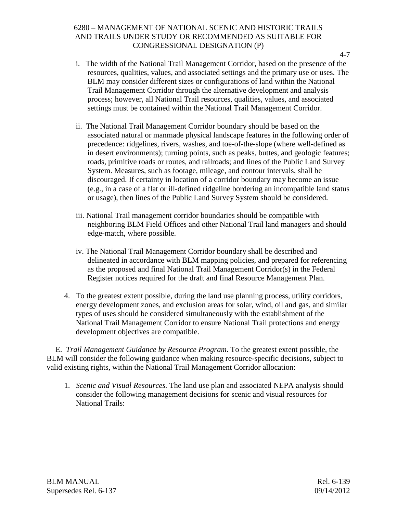- i. The width of the National Trail Management Corridor, based on the presence of the resources, qualities, values, and associated settings and the primary use or uses. The BLM may consider different sizes or configurations of land within the National Trail Management Corridor through the alternative development and analysis process; however, all National Trail resources, qualities, values, and associated settings must be contained within the National Trail Management Corridor.
- ii. The National Trail Management Corridor boundary should be based on the associated natural or manmade physical landscape features in the following order of precedence: ridgelines, rivers, washes, and toe-of-the-slope (where well-defined as in desert environments); turning points, such as peaks, buttes, and geologic features; roads, primitive roads or routes, and railroads; and lines of the Public Land Survey System. Measures, such as footage, mileage, and contour intervals, shall be discouraged. If certainty in location of a corridor boundary may become an issue (e.g., in a case of a flat or ill-defined ridgeline bordering an incompatible land status or usage), then lines of the Public Land Survey System should be considered.
- iii. National Trail management corridor boundaries should be compatible with neighboring BLM Field Offices and other National Trail land managers and should edge-match, where possible.
- iv. The National Trail Management Corridor boundary shall be described and delineated in accordance with BLM mapping policies, and prepared for referencing as the proposed and final National Trail Management Corridor(s) in the Federal Register notices required for the draft and final Resource Management Plan.
- 4. To the greatest extent possible, during the land use planning process, utility corridors, energy development zones, and exclusion areas for solar, wind, oil and gas, and similar types of uses should be considered simultaneously with the establishment of the National Trail Management Corridor to ensure National Trail protections and energy development objectives are compatible.

E. *Trail Management Guidance by Resource Program*. To the greatest extent possible, the BLM will consider the following guidance when making resource-specific decisions, subject to valid existing rights, within the National Trail Management Corridor allocation:

1. *Scenic and Visual Resources.* The land use plan and associated NEPA analysis should consider the following management decisions for scenic and visual resources for National Trails: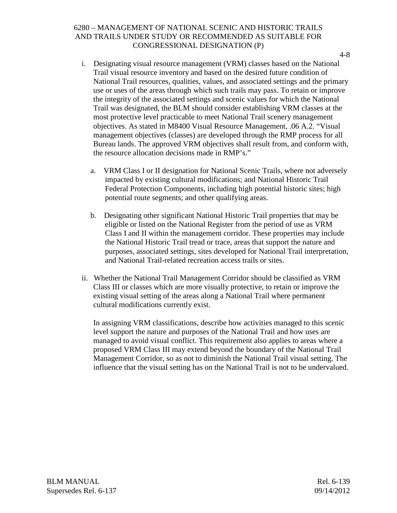- i. Designating visual resource management (VRM) classes based on the National Trail visual resource inventory and based on the desired future condition of National Trail resources, qualities, values, and associated settings and the primary use or uses of the areas through which such trails may pass. To retain or improve the integrity of the associated settings and scenic values for which the National Trail was designated, the BLM should consider establishing VRM classes at the most protective level practicable to meet National Trail scenery management objectives. As stated in M8400 Visual Resource Management, .06 A.2. "Visual management objectives (classes) are developed through the RMP process for all Bureau lands. The approved VRM objectives shall result from, and conform with, the resource allocation decisions made in RMP's."
	- a. VRM Class I or II designation for National Scenic Trails, where not adversely impacted by existing cultural modifications; and National Historic Trail Federal Protection Components, including high potential historic sites; high potential route segments; and other qualifying areas.
	- b. Designating other significant National Historic Trail properties that may be eligible or listed on the National Register from the period of use as VRM Class I and II within the management corridor. These properties may include the National Historic Trail tread or trace, areas that support the nature and purposes, associated settings, sites developed for National Trail interpretation, and National Trail-related recreation access trails or sites.
- ii. Whether the National Trail Management Corridor should be classified as VRM Class III or classes which are more visually protective, to retain or improve the existing visual setting of the areas along a National Trail where permanent cultural modifications currently exist.

In assigning VRM classifications, describe how activities managed to this scenic level support the nature and purposes of the National Trail and how uses are managed to avoid visual conflict. This requirement also applies to areas where a proposed VRM Class III may extend beyond the boundary of the National Trail Management Corridor, so as not to diminish the National Trail visual setting. The influence that the visual setting has on the National Trail is not to be undervalued.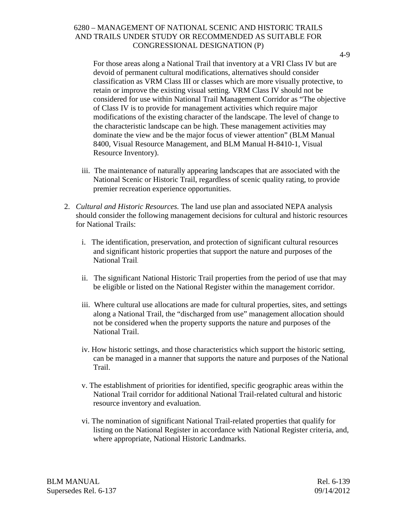4-9

For those areas along a National Trail that inventory at a VRI Class IV but are devoid of permanent cultural modifications, alternatives should consider classification as VRM Class III or classes which are more visually protective, to retain or improve the existing visual setting. VRM Class IV should not be considered for use within National Trail Management Corridor as "The objective of Class IV is to provide for management activities which require major modifications of the existing character of the landscape. The level of change to the characteristic landscape can be high. These management activities may dominate the view and be the major focus of viewer attention" (BLM Manual 8400, Visual Resource Management, and BLM Manual H-8410-1, Visual Resource Inventory).

- iii. The maintenance of naturally appearing landscapes that are associated with the National Scenic or Historic Trail, regardless of scenic quality rating, to provide premier recreation experience opportunities.
- 2. *Cultural and Historic Resources.* The land use plan and associated NEPA analysis should consider the following management decisions for cultural and historic resources for National Trails:
	- i. The identification, preservation, and protection of significant cultural resources and significant historic properties that support the nature and purposes of the National Trail.
	- ii. The significant National Historic Trail properties from the period of use that may be eligible or listed on the National Register within the management corridor.
	- iii. Where cultural use allocations are made for cultural properties, sites, and settings along a National Trail, the "discharged from use" management allocation should not be considered when the property supports the nature and purposes of the National Trail.
	- iv. How historic settings, and those characteristics which support the historic setting, can be managed in a manner that supports the nature and purposes of the National Trail.
	- v. The establishment of priorities for identified, specific geographic areas within the National Trail corridor for additional National Trail-related cultural and historic resource inventory and evaluation.
	- vi. The nomination of significant National Trail-related properties that qualify for listing on the National Register in accordance with National Register criteria, and, where appropriate, National Historic Landmarks.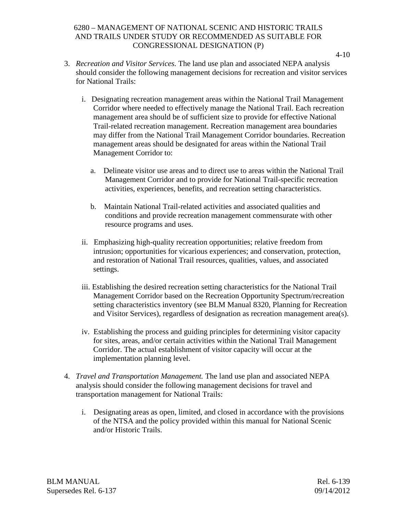- 3. *Recreation and Visitor Services.* The land use plan and associated NEPA analysis should consider the following management decisions for recreation and visitor services for National Trails:
	- i. Designating recreation management areas within the National Trail Management Corridor where needed to effectively manage the National Trail. Each recreation management area should be of sufficient size to provide for effective National Trail-related recreation management. Recreation management area boundaries may differ from the National Trail Management Corridor boundaries. Recreation management areas should be designated for areas within the National Trail Management Corridor to:
		- a. Delineate visitor use areas and to direct use to areas within the National Trail Management Corridor and to provide for National Trail-specific recreation activities, experiences, benefits, and recreation setting characteristics.
		- b. Maintain National Trail-related activities and associated qualities and conditions and provide recreation management commensurate with other resource programs and uses.
	- ii. Emphasizing high-quality recreation opportunities; relative freedom from intrusion; opportunities for vicarious experiences; and conservation, protection, and restoration of National Trail resources, qualities, values, and associated settings.
	- iii. Establishing the desired recreation setting characteristics for the National Trail Management Corridor based on the Recreation Opportunity Spectrum/recreation setting characteristics inventory (see BLM Manual 8320, Planning for Recreation and Visitor Services), regardless of designation as recreation management area(s).
	- iv. Establishing the process and guiding principles for determining visitor capacity for sites, areas, and/or certain activities within the National Trail Management Corridor. The actual establishment of visitor capacity will occur at the implementation planning level.
- 4. *Travel and Transportation Management.* The land use plan and associated NEPA analysis should consider the following management decisions for travel and transportation management for National Trails:
	- i. Designating areas as open, limited, and closed in accordance with the provisions of the NTSA and the policy provided within this manual for National Scenic and/or Historic Trails.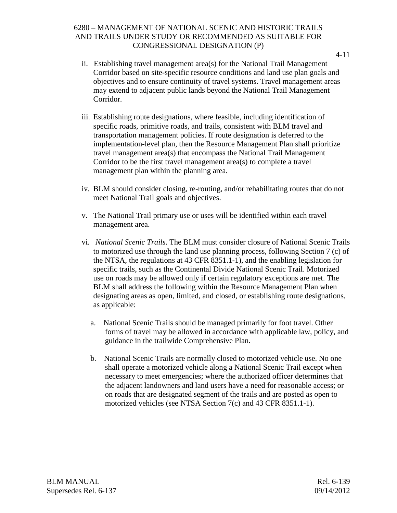- ii. Establishing travel management area(s) for the National Trail Management Corridor based on site-specific resource conditions and land use plan goals and objectives and to ensure continuity of travel systems. Travel management areas may extend to adjacent public lands beyond the National Trail Management Corridor.
- iii. Establishing route designations, where feasible, including identification of specific roads, primitive roads, and trails, consistent with BLM travel and transportation management policies. If route designation is deferred to the implementation-level plan, then the Resource Management Plan shall prioritize travel management area(s) that encompass the National Trail Management Corridor to be the first travel management area(s) to complete a travel management plan within the planning area.
- iv. BLM should consider closing, re-routing, and/or rehabilitating routes that do not meet National Trail goals and objectives.
- v. The National Trail primary use or uses will be identified within each travel management area.
- vi. *National Scenic Trails*. The BLM must consider closure of National Scenic Trails to motorized use through the land use planning process, following Section 7 (c) of the NTSA, the regulations at 43 CFR 8351.1-1), and the enabling legislation for specific trails, such as the Continental Divide National Scenic Trail. Motorized use on roads may be allowed only if certain regulatory exceptions are met. The BLM shall address the following within the Resource Management Plan when designating areas as open, limited, and closed, or establishing route designations, as applicable:
	- a. National Scenic Trails should be managed primarily for foot travel. Other forms of travel may be allowed in accordance with applicable law, policy, and guidance in the trailwide Comprehensive Plan.
	- b. National Scenic Trails are normally closed to motorized vehicle use. No one shall operate a motorized vehicle along a National Scenic Trail except when necessary to meet emergencies; where the authorized officer determines that the adjacent landowners and land users have a need for reasonable access; or on roads that are designated segment of the trails and are posted as open to motorized vehicles (see NTSA Section 7(c) and 43 CFR 8351.1-1).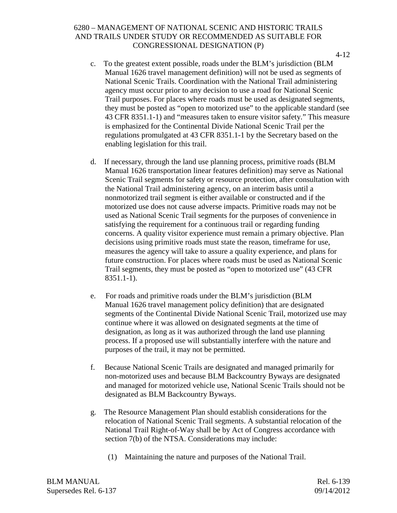- c. To the greatest extent possible, roads under the BLM's jurisdiction (BLM Manual 1626 travel management definition) will not be used as segments of National Scenic Trails. Coordination with the National Trail administering agency must occur prior to any decision to use a road for National Scenic Trail purposes. For places where roads must be used as designated segments, they must be posted as "open to motorized use" to the applicable standard (see 43 CFR 8351.1-1) and "measures taken to ensure visitor safety." This measure is emphasized for the Continental Divide National Scenic Trail per the regulations promulgated at 43 CFR 8351.1-1 by the Secretary based on the enabling legislation for this trail.
- d. If necessary, through the land use planning process, primitive roads (BLM Manual 1626 transportation linear features definition) may serve as National Scenic Trail segments for safety or resource protection, after consultation with the National Trail administering agency, on an interim basis until a nonmotorized trail segment is either available or constructed and if the motorized use does not cause adverse impacts. Primitive roads may not be used as National Scenic Trail segments for the purposes of convenience in satisfying the requirement for a continuous trail or regarding funding concerns. A quality visitor experience must remain a primary objective. Plan decisions using primitive roads must state the reason, timeframe for use, measures the agency will take to assure a quality experience, and plans for future construction. For places where roads must be used as National Scenic Trail segments, they must be posted as "open to motorized use" (43 CFR 8351.1-1).
- e. For roads and primitive roads under the BLM's jurisdiction (BLM Manual 1626 travel management policy definition) that are designated segments of the Continental Divide National Scenic Trail, motorized use may continue where it was allowed on designated segments at the time of designation, as long as it was authorized through the land use planning process. If a proposed use will substantially interfere with the nature and purposes of the trail, it may not be permitted.
- f. Because National Scenic Trails are designated and managed primarily for non-motorized uses and because BLM Backcountry Byways are designated and managed for motorized vehicle use, National Scenic Trails should not be designated as BLM Backcountry Byways.
- g. The Resource Management Plan should establish considerations for the relocation of National Scenic Trail segments. A substantial relocation of the National Trail Right-of-Way shall be by Act of Congress accordance with section 7(b) of the NTSA. Considerations may include:
	- (1) Maintaining the nature and purposes of the National Trail.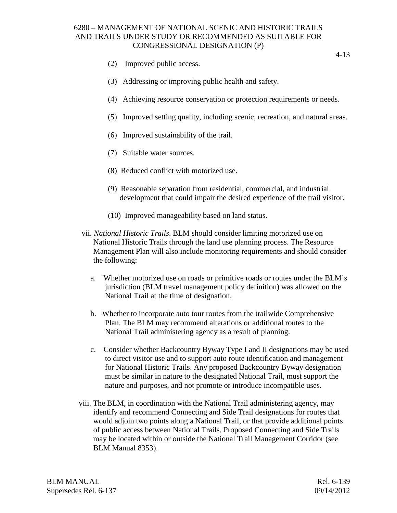- (2) Improved public access.
- (3) Addressing or improving public health and safety.
- (4) Achieving resource conservation or protection requirements or needs.
- (5) Improved setting quality, including scenic, recreation, and natural areas.
- (6) Improved sustainability of the trail.
- (7) Suitable water sources.
- (8) Reduced conflict with motorized use.
- (9) Reasonable separation from residential, commercial, and industrial development that could impair the desired experience of the trail visitor.
- (10) Improved manageability based on land status.
- vii. *National Historic Trails*. BLM should consider limiting motorized use on National Historic Trails through the land use planning process. The Resource Management Plan will also include monitoring requirements and should consider the following:
	- a. Whether motorized use on roads or primitive roads or routes under the BLM's jurisdiction (BLM travel management policy definition) was allowed on the National Trail at the time of designation.
	- b. Whether to incorporate auto tour routes from the trailwide Comprehensive Plan. The BLM may recommend alterations or additional routes to the National Trail administering agency as a result of planning.
	- c. Consider whether Backcountry Byway Type I and II designations may be used to direct visitor use and to support auto route identification and management for National Historic Trails. Any proposed Backcountry Byway designation must be similar in nature to the designated National Trail, must support the nature and purposes, and not promote or introduce incompatible uses.
- viii. The BLM, in coordination with the National Trail administering agency, may identify and recommend Connecting and Side Trail designations for routes that would adjoin two points along a National Trail, or that provide additional points of public access between National Trails. Proposed Connecting and Side Trails may be located within or outside the National Trail Management Corridor (see BLM Manual 8353).

BLM MANUAL Rel. 6-139 Supersedes Rel. 6-137 09/14/2012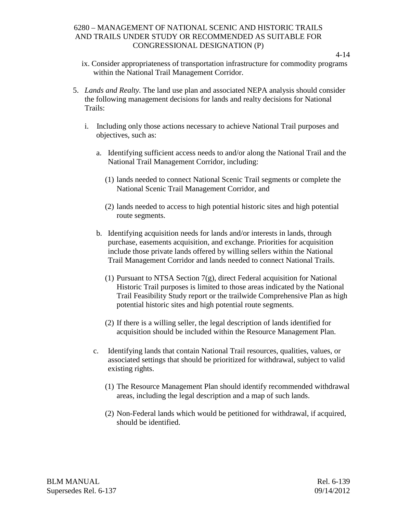- ix. Consider appropriateness of transportation infrastructure for commodity programs within the National Trail Management Corridor.
- 5. *Lands and Realty.* The land use plan and associated NEPA analysis should consider the following management decisions for lands and realty decisions for National Trails:
	- i. Including only those actions necessary to achieve National Trail purposes and objectives, such as:
		- a. Identifying sufficient access needs to and/or along the National Trail and the National Trail Management Corridor, including:
			- (1) lands needed to connect National Scenic Trail segments or complete the National Scenic Trail Management Corridor, and
			- (2) lands needed to access to high potential historic sites and high potential route segments.
		- b. Identifying acquisition needs for lands and/or interests in lands, through purchase, easements acquisition, and exchange. Priorities for acquisition include those private lands offered by willing sellers within the National Trail Management Corridor and lands needed to connect National Trails.
			- (1) Pursuant to NTSA Section 7(g), direct Federal acquisition for National Historic Trail purposes is limited to those areas indicated by the National Trail Feasibility Study report or the trailwide Comprehensive Plan as high potential historic sites and high potential route segments.
			- (2) If there is a willing seller, the legal description of lands identified for acquisition should be included within the Resource Management Plan.
		- c. Identifying lands that contain National Trail resources, qualities, values, or associated settings that should be prioritized for withdrawal, subject to valid existing rights.
			- (1) The Resource Management Plan should identify recommended withdrawal areas, including the legal description and a map of such lands.
			- (2) Non-Federal lands which would be petitioned for withdrawal, if acquired, should be identified.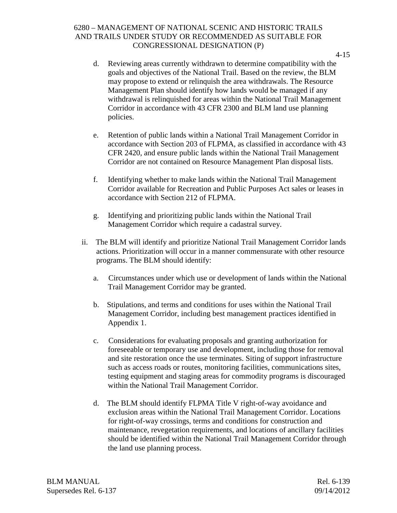- d. Reviewing areas currently withdrawn to determine compatibility with the goals and objectives of the National Trail. Based on the review, the BLM may propose to extend or relinquish the area withdrawals. The Resource Management Plan should identify how lands would be managed if any withdrawal is relinquished for areas within the National Trail Management Corridor in accordance with 43 CFR 2300 and BLM land use planning policies.
- e. Retention of public lands within a National Trail Management Corridor in accordance with Section 203 of FLPMA, as classified in accordance with 43 CFR 2420, and ensure public lands within the National Trail Management Corridor are not contained on Resource Management Plan disposal lists.
- f. Identifying whether to make lands within the National Trail Management Corridor available for Recreation and Public Purposes Act sales or leases in accordance with Section 212 of FLPMA.
- g. Identifying and prioritizing public lands within the National Trail Management Corridor which require a cadastral survey.
- ii. The BLM will identify and prioritize National Trail Management Corridor lands actions. Prioritization will occur in a manner commensurate with other resource programs. The BLM should identify:
	- a. Circumstances under which use or development of lands within the National Trail Management Corridor may be granted.
	- b. Stipulations, and terms and conditions for uses within the National Trail Management Corridor, including best management practices identified in Appendix 1.
	- c. Considerations for evaluating proposals and granting authorization for foreseeable or temporary use and development, including those for removal and site restoration once the use terminates. Siting of support infrastructure such as access roads or routes, monitoring facilities, communications sites, testing equipment and staging areas for commodity programs is discouraged within the National Trail Management Corridor.
	- d. The BLM should identify FLPMA Title V right-of-way avoidance and exclusion areas within the National Trail Management Corridor. Locations for right-of-way crossings, terms and conditions for construction and maintenance, revegetation requirements, and locations of ancillary facilities should be identified within the National Trail Management Corridor through the land use planning process.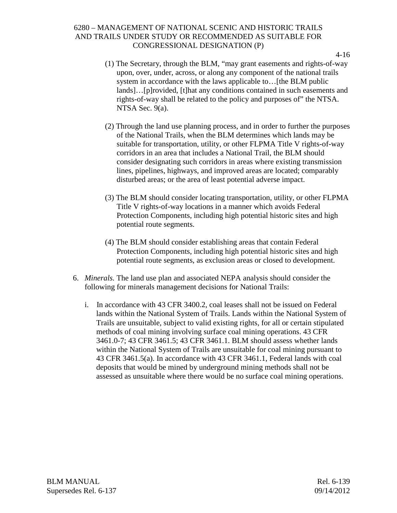- (1) The Secretary, through the BLM, "may grant easements and rights-of-way upon, over, under, across, or along any component of the national trails system in accordance with the laws applicable to…[the BLM public lands]…[p]rovided, [t]hat any conditions contained in such easements and rights-of-way shall be related to the policy and purposes of" the NTSA. NTSA Sec. 9(a).
- (2) Through the land use planning process, and in order to further the purposes of the National Trails, when the BLM determines which lands may be suitable for transportation, utility, or other FLPMA Title V rights-of-way corridors in an area that includes a National Trail, the BLM should consider designating such corridors in areas where existing transmission lines, pipelines, highways, and improved areas are located; comparably disturbed areas; or the area of least potential adverse impact.
- (3) The BLM should consider locating transportation, utility, or other FLPMA Title V rights-of-way locations in a manner which avoids Federal Protection Components, including high potential historic sites and high potential route segments.
- (4) The BLM should consider establishing areas that contain Federal Protection Components, including high potential historic sites and high potential route segments, as exclusion areas or closed to development.
- 6. *Minerals.* The land use plan and associated NEPA analysis should consider the following for minerals management decisions for National Trails:
	- i. In accordance with 43 CFR 3400.2, coal leases shall not be issued on Federal lands within the National System of Trails. Lands within the National System of Trails are unsuitable, subject to valid existing rights, for all or certain stipulated methods of coal mining involving surface coal mining operations. 43 CFR 3461.0-7; 43 CFR 3461.5; 43 CFR 3461.1. BLM should assess whether lands within the National System of Trails are unsuitable for coal mining pursuant to 43 CFR 3461.5(a). In accordance with 43 CFR 3461.1, Federal lands with coal deposits that would be mined by underground mining methods shall not be assessed as unsuitable where there would be no surface coal mining operations.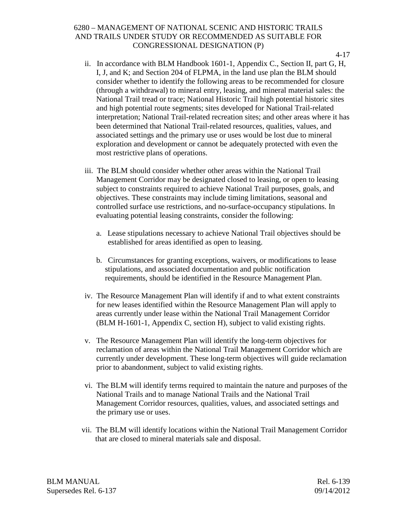- 4-17
- ii. In accordance with BLM Handbook 1601-1, Appendix C., Section II, part G, H, I, J, and K; and Section 204 of FLPMA, in the land use plan the BLM should consider whether to identify the following areas to be recommended for closure (through a withdrawal) to mineral entry, leasing, and mineral material sales: the National Trail tread or trace; National Historic Trail high potential historic sites and high potential route segments; sites developed for National Trail-related interpretation; National Trail-related recreation sites; and other areas where it has been determined that National Trail-related resources, qualities, values, and associated settings and the primary use or uses would be lost due to mineral exploration and development or cannot be adequately protected with even the most restrictive plans of operations.
- iii. The BLM should consider whether other areas within the National Trail Management Corridor may be designated closed to leasing, or open to leasing subject to constraints required to achieve National Trail purposes, goals, and objectives. These constraints may include timing limitations, seasonal and controlled surface use restrictions, and no-surface-occupancy stipulations. In evaluating potential leasing constraints, consider the following:
	- a. Lease stipulations necessary to achieve National Trail objectives should be established for areas identified as open to leasing.
	- b. Circumstances for granting exceptions, waivers, or modifications to lease stipulations, and associated documentation and public notification requirements, should be identified in the Resource Management Plan.
- iv. The Resource Management Plan will identify if and to what extent constraints for new leases identified within the Resource Management Plan will apply to areas currently under lease within the National Trail Management Corridor (BLM H-1601-1, Appendix C, section H), subject to valid existing rights.
- v. The Resource Management Plan will identify the long-term objectives for reclamation of areas within the National Trail Management Corridor which are currently under development. These long-term objectives will guide reclamation prior to abandonment, subject to valid existing rights.
- vi. The BLM will identify terms required to maintain the nature and purposes of the National Trails and to manage National Trails and the National Trail Management Corridor resources, qualities, values, and associated settings and the primary use or uses.
- vii. The BLM will identify locations within the National Trail Management Corridor that are closed to mineral materials sale and disposal.

BLM MANUAL Rel. 6-139 Supersedes Rel. 6-137 09/14/2012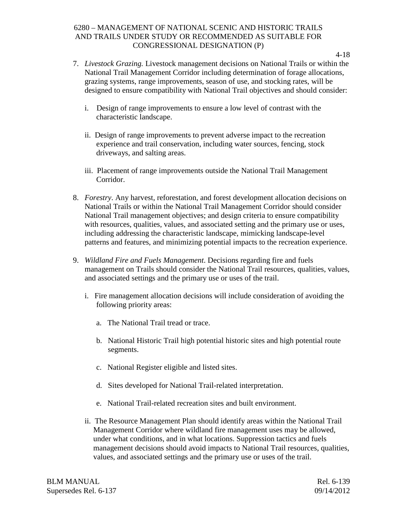- 7. *Livestock Grazing.* Livestock management decisions on National Trails or within the National Trail Management Corridor including determination of forage allocations, grazing systems, range improvements, season of use, and stocking rates, will be designed to ensure compatibility with National Trail objectives and should consider:
	- i. Design of range improvements to ensure a low level of contrast with the characteristic landscape.
	- ii. Design of range improvements to prevent adverse impact to the recreation experience and trail conservation, including water sources, fencing, stock driveways, and salting areas.
	- iii. Placement of range improvements outside the National Trail Management Corridor.
- 8. *Forestry*. Any harvest, reforestation, and forest development allocation decisions on National Trails or within the National Trail Management Corridor should consider National Trail management objectives; and design criteria to ensure compatibility with resources, qualities, values, and associated setting and the primary use or uses, including addressing the characteristic landscape, mimicking landscape-level patterns and features, and minimizing potential impacts to the recreation experience.
- 9. *Wildland Fire and Fuels Management*. Decisions regarding fire and fuels management on Trails should consider the National Trail resources, qualities, values, and associated settings and the primary use or uses of the trail.
	- i. Fire management allocation decisions will include consideration of avoiding the following priority areas:
		- a. The National Trail tread or trace.
		- b. National Historic Trail high potential historic sites and high potential route segments.
		- c. National Register eligible and listed sites.
		- d. Sites developed for National Trail-related interpretation.
		- e. National Trail-related recreation sites and built environment.
	- ii. The Resource Management Plan should identify areas within the National Trail Management Corridor where wildland fire management uses may be allowed, under what conditions, and in what locations. Suppression tactics and fuels management decisions should avoid impacts to National Trail resources, qualities, values, and associated settings and the primary use or uses of the trail.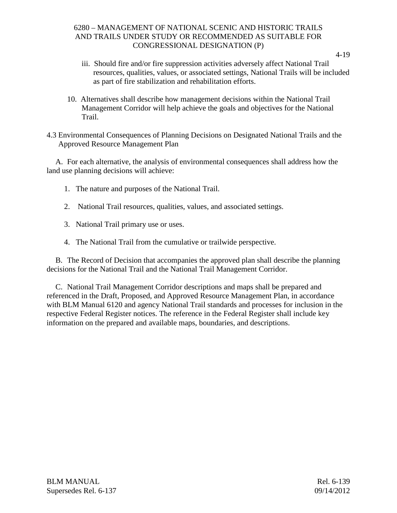- iii. Should fire and/or fire suppression activities adversely affect National Trail resources, qualities, values, or associated settings, National Trails will be included as part of fire stabilization and rehabilitation efforts.
- 10. Alternatives shall describe how management decisions within the National Trail Management Corridor will help achieve the goals and objectives for the National Trail.
- 4.3 Environmental Consequences of Planning Decisions on Designated National Trails and the Approved Resource Management Plan

A. For each alternative, the analysis of environmental consequences shall address how the land use planning decisions will achieve:

- 1. The nature and purposes of the National Trail.
- 2. National Trail resources, qualities, values, and associated settings.
- 3. National Trail primary use or uses.
- 4. The National Trail from the cumulative or trailwide perspective.

B. The Record of Decision that accompanies the approved plan shall describe the planning decisions for the National Trail and the National Trail Management Corridor.

C. National Trail Management Corridor descriptions and maps shall be prepared and referenced in the Draft, Proposed, and Approved Resource Management Plan, in accordance with BLM Manual 6120 and agency National Trail standards and processes for inclusion in the respective Federal Register notices. The reference in the Federal Register shall include key information on the prepared and available maps, boundaries, and descriptions.

<sup>4-19</sup>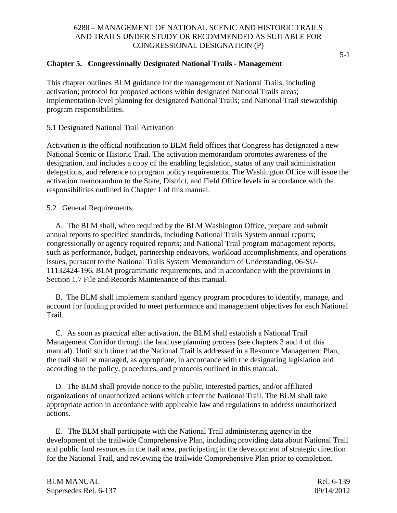### **Chapter 5. Congressionally Designated National Trails - Management**

This chapter outlines BLM guidance for the management of National Trails, including activation; protocol for proposed actions within designated National Trails areas; implementation-level planning for designated National Trails; and National Trail stewardship program responsibilities.

5.1 Designated National Trail Activation

Activation is the official notification to BLM field offices that Congress has designated a new National Scenic or Historic Trail. The activation memorandum promotes awareness of the designation, and includes a copy of the enabling legislation, status of any trail administration delegations, and reference to program policy requirements. The Washington Office will issue the activation memorandum to the State, District, and Field Office levels in accordance with the responsibilities outlined in Chapter 1 of this manual.

5.2 General Requirements

A. The BLM shall, when required by the BLM Washington Office, prepare and submit annual reports to specified standards, including National Trails System annual reports; congressionally or agency required reports; and National Trail program management reports, such as performance, budget, partnership endeavors, workload accomplishments, and operations issues, pursuant to the National Trails System Memorandum of Understanding, 06-SU-11132424-196, BLM programmatic requirements, and in accordance with the provisions in Section 1.7 File and Records Maintenance of this manual.

B. The BLM shall implement standard agency program procedures to identify, manage, and account for funding provided to meet performance and management objectives for each National Trail.

C. As soon as practical after activation, the BLM shall establish a National Trail Management Corridor through the land use planning process (see chapters 3 and 4 of this manual). Until such time that the National Trail is addressed in a Resource Management Plan, the trail shall be managed, as appropriate, in accordance with the designating legislation and according to the policy, procedures, and protocols outlined in this manual.

D. The BLM shall provide notice to the public, interested parties, and/or affiliated organizations of unauthorized actions which affect the National Trail. The BLM shall take appropriate action in accordance with applicable law and regulations to address unauthorized actions.

E. The BLM shall participate with the National Trail administering agency in the development of the trailwide Comprehensive Plan, including providing data about National Trail and public land resources in the trail area, participating in the development of strategic direction for the National Trail, and reviewing the trailwide Comprehensive Plan prior to completion.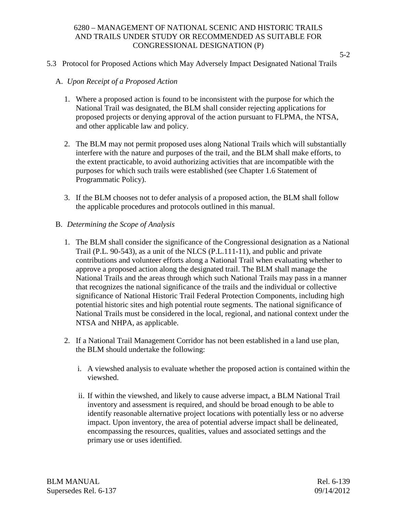#### 5.3 Protocol for Proposed Actions which May Adversely Impact Designated National Trails

5-2

### A. *Upon Receipt of a Proposed Action*

- 1. Where a proposed action is found to be inconsistent with the purpose for which the National Trail was designated, the BLM shall consider rejecting applications for proposed projects or denying approval of the action pursuant to FLPMA, the NTSA, and other applicable law and policy.
- 2. The BLM may not permit proposed uses along National Trails which will substantially interfere with the nature and purposes of the trail, and the BLM shall make efforts, to the extent practicable, to avoid authorizing activities that are incompatible with the purposes for which such trails were established (see Chapter 1.6 Statement of Programmatic Policy).
- 3. If the BLM chooses not to defer analysis of a proposed action, the BLM shall follow the applicable procedures and protocols outlined in this manual.

# B. *Determining the Scope of Analysis*

- 1. The BLM shall consider the significance of the Congressional designation as a National Trail (P.L. 90-543), as a unit of the NLCS (P.L.111-11), and public and private contributions and volunteer efforts along a National Trail when evaluating whether to approve a proposed action along the designated trail. The BLM shall manage the National Trails and the areas through which such National Trails may pass in a manner that recognizes the national significance of the trails and the individual or collective significance of National Historic Trail Federal Protection Components, including high potential historic sites and high potential route segments. The national significance of National Trails must be considered in the local, regional, and national context under the NTSA and NHPA, as applicable.
- 2. If a National Trail Management Corridor has not been established in a land use plan, the BLM should undertake the following:
	- i. A viewshed analysis to evaluate whether the proposed action is contained within the viewshed.
	- ii. If within the viewshed, and likely to cause adverse impact, a BLM National Trail inventory and assessment is required, and should be broad enough to be able to identify reasonable alternative project locations with potentially less or no adverse impact. Upon inventory, the area of potential adverse impact shall be delineated, encompassing the resources, qualities, values and associated settings and the primary use or uses identified.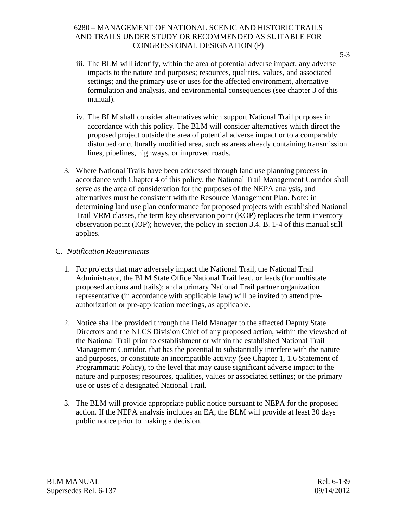- iii. The BLM will identify, within the area of potential adverse impact, any adverse impacts to the nature and purposes; resources, qualities, values, and associated settings; and the primary use or uses for the affected environment, alternative formulation and analysis, and environmental consequences (see chapter 3 of this manual).
- iv. The BLM shall consider alternatives which support National Trail purposes in accordance with this policy. The BLM will consider alternatives which direct the proposed project outside the area of potential adverse impact or to a comparably disturbed or culturally modified area, such as areas already containing transmission lines, pipelines, highways, or improved roads.
- 3. Where National Trails have been addressed through land use planning process in accordance with Chapter 4 of this policy, the National Trail Management Corridor shall serve as the area of consideration for the purposes of the NEPA analysis, and alternatives must be consistent with the Resource Management Plan. Note: in determining land use plan conformance for proposed projects with established National Trail VRM classes, the term key observation point (KOP) replaces the term inventory observation point (IOP); however, the policy in section 3.4. B. 1-4 of this manual still applies.

# C. *Notification Requirements*

- 1. For projects that may adversely impact the National Trail, the National Trail Administrator, the BLM State Office National Trail lead, or leads (for multistate proposed actions and trails); and a primary National Trail partner organization representative (in accordance with applicable law) will be invited to attend preauthorization or pre-application meetings, as applicable.
- 2. Notice shall be provided through the Field Manager to the affected Deputy State Directors and the NLCS Division Chief of any proposed action, within the viewshed of the National Trail prior to establishment or within the established National Trail Management Corridor, that has the potential to substantially interfere with the nature and purposes, or constitute an incompatible activity (see Chapter 1, 1.6 Statement of Programmatic Policy), to the level that may cause significant adverse impact to the nature and purposes; resources, qualities, values or associated settings; or the primary use or uses of a designated National Trail.
- 3. The BLM will provide appropriate public notice pursuant to NEPA for the proposed action. If the NEPA analysis includes an EA, the BLM will provide at least 30 days public notice prior to making a decision.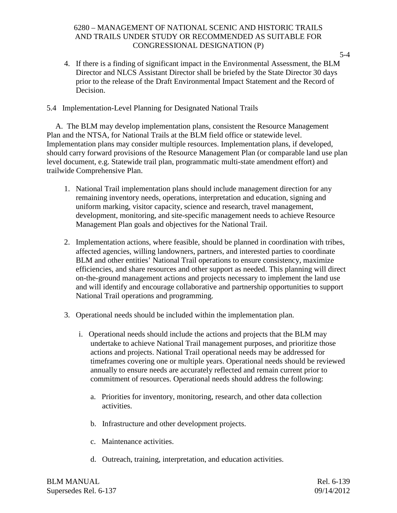4. If there is a finding of significant impact in the Environmental Assessment, the BLM Director and NLCS Assistant Director shall be briefed by the State Director 30 days prior to the release of the Draft Environmental Impact Statement and the Record of Decision.

#### 5.4 Implementation-Level Planning for Designated National Trails

A. The BLM may develop implementation plans, consistent the Resource Management Plan and the NTSA, for National Trails at the BLM field office or statewide level. Implementation plans may consider multiple resources. Implementation plans, if developed, should carry forward provisions of the Resource Management Plan (or comparable land use plan level document, e.g. Statewide trail plan, programmatic multi-state amendment effort) and trailwide Comprehensive Plan.

- 1. National Trail implementation plans should include management direction for any remaining inventory needs, operations, interpretation and education, signing and uniform marking, visitor capacity, science and research, travel management, development, monitoring, and site-specific management needs to achieve Resource Management Plan goals and objectives for the National Trail.
- 2. Implementation actions, where feasible, should be planned in coordination with tribes, affected agencies, willing landowners, partners, and interested parties to coordinate BLM and other entities' National Trail operations to ensure consistency, maximize efficiencies, and share resources and other support as needed. This planning will direct on-the-ground management actions and projects necessary to implement the land use and will identify and encourage collaborative and partnership opportunities to support National Trail operations and programming.
- 3. Operational needs should be included within the implementation plan.
	- i. Operational needs should include the actions and projects that the BLM may undertake to achieve National Trail management purposes, and prioritize those actions and projects. National Trail operational needs may be addressed for timeframes covering one or multiple years. Operational needs should be reviewed annually to ensure needs are accurately reflected and remain current prior to commitment of resources. Operational needs should address the following:
		- a. Priorities for inventory, monitoring, research, and other data collection activities.
		- b. Infrastructure and other development projects.
		- c. Maintenance activities.
		- d. Outreach, training, interpretation, and education activities.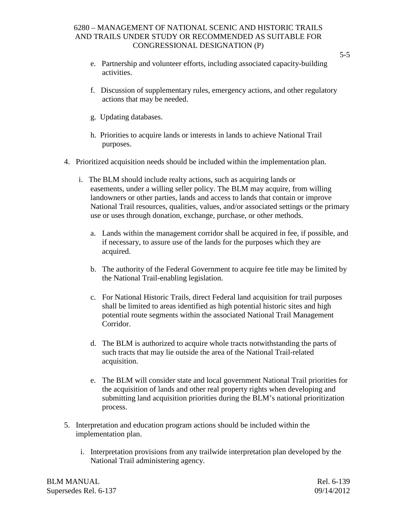- e. Partnership and volunteer efforts, including associated capacity-building activities.
- f. Discussion of supplementary rules, emergency actions, and other regulatory actions that may be needed.
- g. Updating databases.
- h. Priorities to acquire lands or interests in lands to achieve National Trail purposes.
- 4. Prioritized acquisition needs should be included within the implementation plan.
	- i. The BLM should include realty actions, such as acquiring lands or easements, under a willing seller policy. The BLM may acquire, from willing landowners or other parties, lands and access to lands that contain or improve National Trail resources, qualities, values, and/or associated settings or the primary use or uses through donation, exchange, purchase, or other methods.
		- a. Lands within the management corridor shall be acquired in fee, if possible, and if necessary, to assure use of the lands for the purposes which they are acquired.
		- b. The authority of the Federal Government to acquire fee title may be limited by the National Trail-enabling legislation.
		- c. For National Historic Trails, direct Federal land acquisition for trail purposes shall be limited to areas identified as high potential historic sites and high potential route segments within the associated National Trail Management Corridor.
		- d. The BLM is authorized to acquire whole tracts notwithstanding the parts of such tracts that may lie outside the area of the National Trail-related acquisition.
		- e. The BLM will consider state and local government National Trail priorities for the acquisition of lands and other real property rights when developing and submitting land acquisition priorities during the BLM's national prioritization process.
- 5. Interpretation and education program actions should be included within the implementation plan.
	- i. Interpretation provisions from any trailwide interpretation plan developed by the National Trail administering agency.

BLM MANUAL Rel. 6-139 Supersedes Rel. 6-137 09/14/2012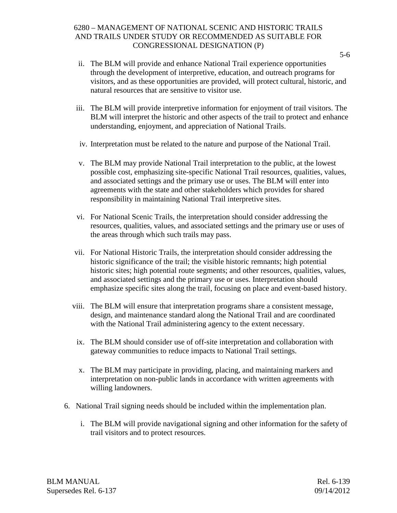- ii. The BLM will provide and enhance National Trail experience opportunities through the development of interpretive, education, and outreach programs for visitors, and as these opportunities are provided, will protect cultural, historic, and natural resources that are sensitive to visitor use.
- iii. The BLM will provide interpretive information for enjoyment of trail visitors. The BLM will interpret the historic and other aspects of the trail to protect and enhance understanding, enjoyment, and appreciation of National Trails.
- iv. Interpretation must be related to the nature and purpose of the National Trail.
- v. The BLM may provide National Trail interpretation to the public, at the lowest possible cost, emphasizing site-specific National Trail resources, qualities, values, and associated settings and the primary use or uses. The BLM will enter into agreements with the state and other stakeholders which provides for shared responsibility in maintaining National Trail interpretive sites.
- vi. For National Scenic Trails, the interpretation should consider addressing the resources, qualities, values, and associated settings and the primary use or uses of the areas through which such trails may pass.
- vii. For National Historic Trails, the interpretation should consider addressing the historic significance of the trail; the visible historic remnants; high potential historic sites; high potential route segments; and other resources, qualities, values, and associated settings and the primary use or uses. Interpretation should emphasize specific sites along the trail, focusing on place and event-based history.
- viii. The BLM will ensure that interpretation programs share a consistent message, design, and maintenance standard along the National Trail and are coordinated with the National Trail administering agency to the extent necessary.
	- ix. The BLM should consider use of off-site interpretation and collaboration with gateway communities to reduce impacts to National Trail settings.
	- x. The BLM may participate in providing, placing, and maintaining markers and interpretation on non-public lands in accordance with written agreements with willing landowners.
- 6. National Trail signing needs should be included within the implementation plan.
	- i. The BLM will provide navigational signing and other information for the safety of trail visitors and to protect resources.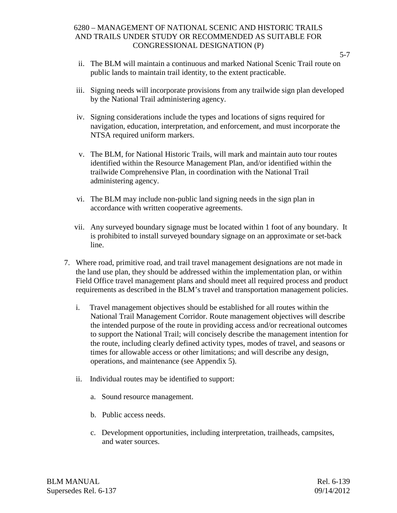- ii. The BLM will maintain a continuous and marked National Scenic Trail route on public lands to maintain trail identity, to the extent practicable.
- iii. Signing needs will incorporate provisions from any trailwide sign plan developed by the National Trail administering agency.
- iv. Signing considerations include the types and locations of signs required for navigation, education, interpretation, and enforcement, and must incorporate the NTSA required uniform markers.
- v. The BLM, for National Historic Trails, will mark and maintain auto tour routes identified within the Resource Management Plan, and/or identified within the trailwide Comprehensive Plan, in coordination with the National Trail administering agency.
- vi. The BLM may include non-public land signing needs in the sign plan in accordance with written cooperative agreements.
- vii. Any surveyed boundary signage must be located within 1 foot of any boundary. It is prohibited to install surveyed boundary signage on an approximate or set-back line.
- 7. Where road, primitive road, and trail travel management designations are not made in the land use plan, they should be addressed within the implementation plan, or within Field Office travel management plans and should meet all required process and product requirements as described in the BLM's travel and transportation management policies.
	- i. Travel management objectives should be established for all routes within the National Trail Management Corridor. Route management objectives will describe the intended purpose of the route in providing access and/or recreational outcomes to support the National Trail; will concisely describe the management intention for the route, including clearly defined activity types, modes of travel, and seasons or times for allowable access or other limitations; and will describe any design, operations, and maintenance (see Appendix 5).
	- ii. Individual routes may be identified to support:
		- a. Sound resource management.
		- b. Public access needs.
		- c. Development opportunities, including interpretation, trailheads, campsites, and water sources.

BLM MANUAL Rel. 6-139 Supersedes Rel. 6-137 09/14/2012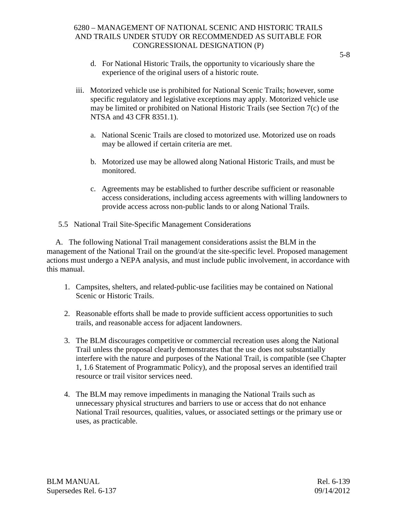- d. For National Historic Trails, the opportunity to vicariously share the experience of the original users of a historic route.
- iii. Motorized vehicle use is prohibited for National Scenic Trails; however, some specific regulatory and legislative exceptions may apply. Motorized vehicle use may be limited or prohibited on National Historic Trails (see Section 7(c) of the NTSA and 43 CFR 8351.1).
	- a. National Scenic Trails are closed to motorized use. Motorized use on roads may be allowed if certain criteria are met.
	- b. Motorized use may be allowed along National Historic Trails, and must be monitored.
	- c. Agreements may be established to further describe sufficient or reasonable access considerations, including access agreements with willing landowners to provide access across non-public lands to or along National Trails.
- 5.5 National Trail Site-Specific Management Considerations

A. The following National Trail management considerations assist the BLM in the management of the National Trail on the ground/at the site-specific level. Proposed management actions must undergo a NEPA analysis, and must include public involvement, in accordance with this manual.

- 1. Campsites, shelters, and related-public-use facilities may be contained on National Scenic or Historic Trails.
- 2. Reasonable efforts shall be made to provide sufficient access opportunities to such trails, and reasonable access for adjacent landowners.
- 3. The BLM discourages competitive or commercial recreation uses along the National Trail unless the proposal clearly demonstrates that the use does not substantially interfere with the nature and purposes of the National Trail, is compatible (see Chapter 1, 1.6 Statement of Programmatic Policy), and the proposal serves an identified trail resource or trail visitor services need.
- 4. The BLM may remove impediments in managing the National Trails such as unnecessary physical structures and barriers to use or access that do not enhance National Trail resources, qualities, values, or associated settings or the primary use or uses, as practicable.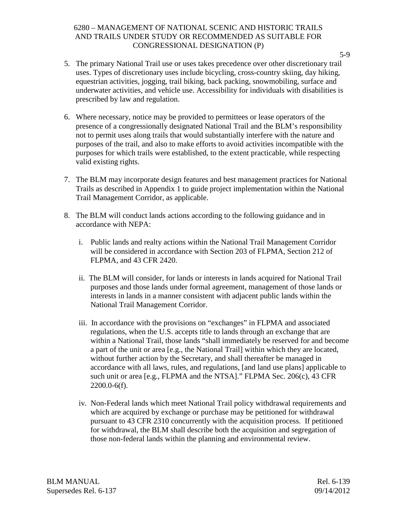- 5. The primary National Trail use or uses takes precedence over other discretionary trail uses. Types of discretionary uses include bicycling, cross-country skiing, day hiking, equestrian activities, jogging, trail biking, back packing, snowmobiling, surface and underwater activities, and vehicle use. Accessibility for individuals with disabilities is prescribed by law and regulation.
- 6. Where necessary, notice may be provided to permittees or lease operators of the presence of a congressionally designated National Trail and the BLM's responsibility not to permit uses along trails that would substantially interfere with the nature and purposes of the trail, and also to make efforts to avoid activities incompatible with the purposes for which trails were established, to the extent practicable, while respecting valid existing rights.
- 7. The BLM may incorporate design features and best management practices for National Trails as described in Appendix 1 to guide project implementation within the National Trail Management Corridor, as applicable.
- 8. The BLM will conduct lands actions according to the following guidance and in accordance with NEPA:
	- i. Public lands and realty actions within the National Trail Management Corridor will be considered in accordance with Section 203 of FLPMA, Section 212 of FLPMA, and 43 CFR 2420.
	- ii. The BLM will consider, for lands or interests in lands acquired for National Trail purposes and those lands under formal agreement, management of those lands or interests in lands in a manner consistent with adjacent public lands within the National Trail Management Corridor.
	- iii. In accordance with the provisions on "exchanges" in FLPMA and associated regulations, when the U.S. accepts title to lands through an exchange that are within a National Trail, those lands "shall immediately be reserved for and become a part of the unit or area [e.g., the National Trail] within which they are located, without further action by the Secretary, and shall thereafter be managed in accordance with all laws, rules, and regulations, [and land use plans] applicable to such unit or area [e.g., FLPMA and the NTSA]." FLPMA Sec. 206(c), 43 CFR 2200.0-6(f).
	- iv. Non-Federal lands which meet National Trail policy withdrawal requirements and which are acquired by exchange or purchase may be petitioned for withdrawal pursuant to 43 CFR 2310 concurrently with the acquisition process. If petitioned for withdrawal, the BLM shall describe both the acquisition and segregation of those non-federal lands within the planning and environmental review.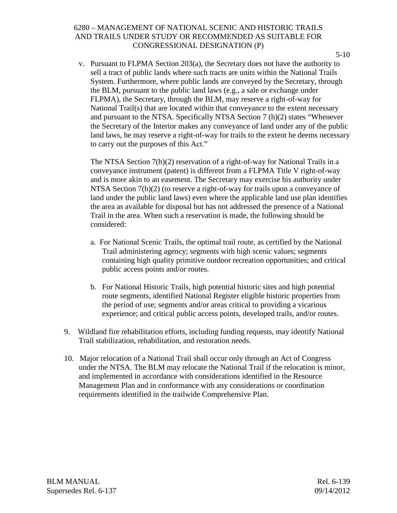v. Pursuant to FLPMA Section 203(a), the Secretary does not have the authority to sell a tract of public lands where such tracts are units within the National Trails System. Furthermore, where public lands are conveyed by the Secretary, through the BLM, pursuant to the public land laws (e.g., a sale or exchange under FLPMA), the Secretary, through the BLM, may reserve a right-of-way for National Trail(s) that are located within that conveyance to the extent necessary and pursuant to the NTSA. Specifically NTSA Section 7 (h)(2) states "Whenever the Secretary of the Interior makes any conveyance of land under any of the public land laws, he may reserve a right-of-way for trails to the extent he deems necessary to carry out the purposes of this Act."

The NTSA Section 7(h)(2) reservation of a right-of-way for National Trails in a conveyance instrument (patent) is different from a FLPMA Title V right-of-way and is more akin to an easement. The Secretary may exercise his authority under NTSA Section 7(h)(2) (to reserve a right-of-way for trails upon a conveyance of land under the public land laws) even where the applicable land use plan identifies the area as available for disposal but has not addressed the presence of a National Trail in the area. When such a reservation is made, the following should be considered:

- a. For National Scenic Trails, the optimal trail route, as certified by the National Trail administering agency; segments with high scenic values; segments containing high quality primitive outdoor recreation opportunities; and critical public access points and/or routes.
- b. For National Historic Trails, high potential historic sites and high potential route segments, identified National Register eligible historic properties from the period of use; segments and/or areas critical to providing a vicarious experience; and critical public access points, developed trails, and/or routes.
- 9. Wildland fire rehabilitation efforts, including funding requests, may identify National Trail stabilization, rehabilitation, and restoration needs.
- 10. Major relocation of a National Trail shall occur only through an Act of Congress under the NTSA. The BLM may relocate the National Trail if the relocation is minor, and implemented in accordance with considerations identified in the Resource Management Plan and in conformance with any considerations or coordination requirements identified in the trailwide Comprehensive Plan.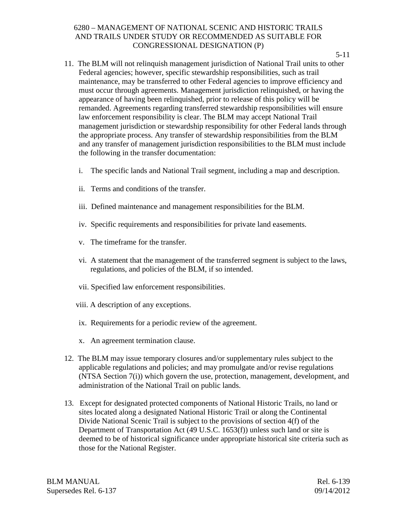- 5-11
- 11. The BLM will not relinquish management jurisdiction of National Trail units to other Federal agencies; however, specific stewardship responsibilities, such as trail maintenance, may be transferred to other Federal agencies to improve efficiency and must occur through agreements. Management jurisdiction relinquished, or having the appearance of having been relinquished, prior to release of this policy will be remanded. Agreements regarding transferred stewardship responsibilities will ensure law enforcement responsibility is clear. The BLM may accept National Trail management jurisdiction or stewardship responsibility for other Federal lands through the appropriate process. Any transfer of stewardship responsibilities from the BLM and any transfer of management jurisdiction responsibilities to the BLM must include the following in the transfer documentation:
	- i. The specific lands and National Trail segment, including a map and description.
	- ii. Terms and conditions of the transfer.
	- iii. Defined maintenance and management responsibilities for the BLM.
	- iv. Specific requirements and responsibilities for private land easements.
	- v. The timeframe for the transfer.
	- vi. A statement that the management of the transferred segment is subject to the laws, regulations, and policies of the BLM, if so intended.
	- vii. Specified law enforcement responsibilities.
	- viii. A description of any exceptions.
	- ix. Requirements for a periodic review of the agreement.
	- x. An agreement termination clause.
- 12. The BLM may issue temporary closures and/or supplementary rules subject to the applicable regulations and policies; and may promulgate and/or revise regulations (NTSA Section 7(i)) which govern the use, protection, management, development, and administration of the National Trail on public lands.
- 13. Except for designated protected components of National Historic Trails, no land or sites located along a designated National Historic Trail or along the Continental Divide National Scenic Trail is subject to the provisions of section 4(f) of the Department of Transportation Act (49 U.S.C. 1653(f)) unless such land or site is deemed to be of historical significance under appropriate historical site criteria such as those for the National Register.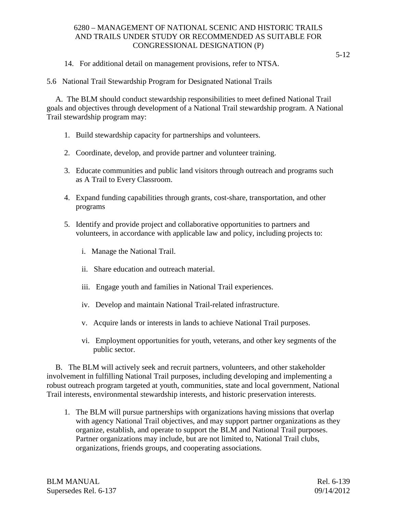14. For additional detail on management provisions, refer to NTSA.

5.6 National Trail Stewardship Program for Designated National Trails

A. The BLM should conduct stewardship responsibilities to meet defined National Trail goals and objectives through development of a National Trail stewardship program. A National Trail stewardship program may:

- 1. Build stewardship capacity for partnerships and volunteers.
- 2. Coordinate, develop, and provide partner and volunteer training.
- 3. Educate communities and public land visitors through outreach and programs such as A Trail to Every Classroom.
- 4. Expand funding capabilities through grants, cost-share, transportation, and other programs
- 5. Identify and provide project and collaborative opportunities to partners and volunteers, in accordance with applicable law and policy, including projects to:
	- i. Manage the National Trail.
	- ii. Share education and outreach material.
	- iii. Engage youth and families in National Trail experiences.
	- iv. Develop and maintain National Trail-related infrastructure.
	- v. Acquire lands or interests in lands to achieve National Trail purposes.
	- vi. Employment opportunities for youth, veterans, and other key segments of the public sector.

B. The BLM will actively seek and recruit partners, volunteers, and other stakeholder involvement in fulfilling National Trail purposes, including developing and implementing a robust outreach program targeted at youth, communities, state and local government, National Trail interests, environmental stewardship interests, and historic preservation interests.

1. The BLM will pursue partnerships with organizations having missions that overlap with agency National Trail objectives, and may support partner organizations as they organize, establish, and operate to support the BLM and National Trail purposes. Partner organizations may include, but are not limited to, National Trail clubs, organizations, friends groups, and cooperating associations.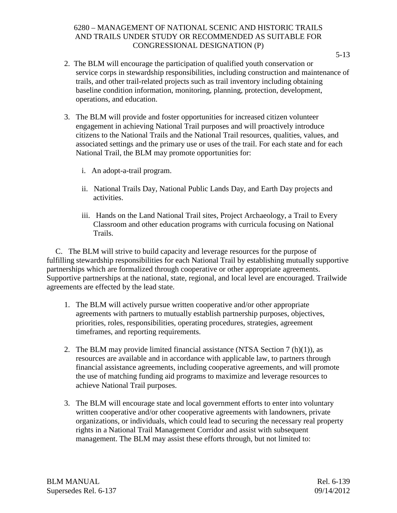- 2. The BLM will encourage the participation of qualified youth conservation or service corps in stewardship responsibilities, including construction and maintenance of trails, and other trail-related projects such as trail inventory including obtaining baseline condition information, monitoring, planning, protection, development, operations, and education.
- 3. The BLM will provide and foster opportunities for increased citizen volunteer engagement in achieving National Trail purposes and will proactively introduce citizens to the National Trails and the National Trail resources, qualities, values, and associated settings and the primary use or uses of the trail. For each state and for each National Trail, the BLM may promote opportunities for:
	- i. An adopt-a-trail program.
	- ii. National Trails Day, National Public Lands Day, and Earth Day projects and activities.
	- iii. Hands on the Land National Trail sites, Project Archaeology, a Trail to Every Classroom and other education programs with curricula focusing on National Trails.

C. The BLM will strive to build capacity and leverage resources for the purpose of fulfilling stewardship responsibilities for each National Trail by establishing mutually supportive partnerships which are formalized through cooperative or other appropriate agreements. Supportive partnerships at the national, state, regional, and local level are encouraged. Trailwide agreements are effected by the lead state.

- 1. The BLM will actively pursue written cooperative and/or other appropriate agreements with partners to mutually establish partnership purposes, objectives, priorities, roles, responsibilities, operating procedures, strategies, agreement timeframes, and reporting requirements.
- 2. The BLM may provide limited financial assistance (NTSA Section 7  $(h)(1)$ ), as resources are available and in accordance with applicable law, to partners through financial assistance agreements, including cooperative agreements, and will promote the use of matching funding aid programs to maximize and leverage resources to achieve National Trail purposes.
- 3. The BLM will encourage state and local government efforts to enter into voluntary written cooperative and/or other cooperative agreements with landowners, private organizations, or individuals, which could lead to securing the necessary real property rights in a National Trail Management Corridor and assist with subsequent management. The BLM may assist these efforts through, but not limited to: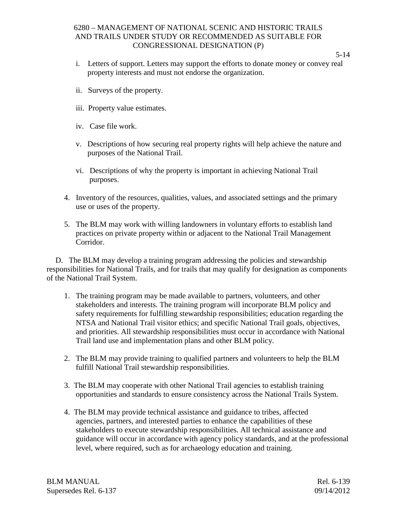- i. Letters of support. Letters may support the efforts to donate money or convey real property interests and must not endorse the organization.
- ii. Surveys of the property.
- iii. Property value estimates.
- iv. Case file work.
- v. Descriptions of how securing real property rights will help achieve the nature and purposes of the National Trail.
- vi. Descriptions of why the property is important in achieving National Trail purposes.
- 4. Inventory of the resources, qualities, values, and associated settings and the primary use or uses of the property.
- 5. The BLM may work with willing landowners in voluntary efforts to establish land practices on private property within or adjacent to the National Trail Management Corridor.

D. The BLM may develop a training program addressing the policies and stewardship responsibilities for National Trails, and for trails that may qualify for designation as components of the National Trail System.

- 1. The training program may be made available to partners, volunteers, and other stakeholders and interests. The training program will incorporate BLM policy and safety requirements for fulfilling stewardship responsibilities; education regarding the NTSA and National Trail visitor ethics; and specific National Trail goals, objectives, and priorities. All stewardship responsibilities must occur in accordance with National Trail land use and implementation plans and other BLM policy.
- 2. The BLM may provide training to qualified partners and volunteers to help the BLM fulfill National Trail stewardship responsibilities.
- 3. The BLM may cooperate with other National Trail agencies to establish training opportunities and standards to ensure consistency across the National Trails System.
- 4. The BLM may provide technical assistance and guidance to tribes, affected agencies, partners, and interested parties to enhance the capabilities of these stakeholders to execute stewardship responsibilities. All technical assistance and guidance will occur in accordance with agency policy standards, and at the professional level, where required, such as for archaeology education and training.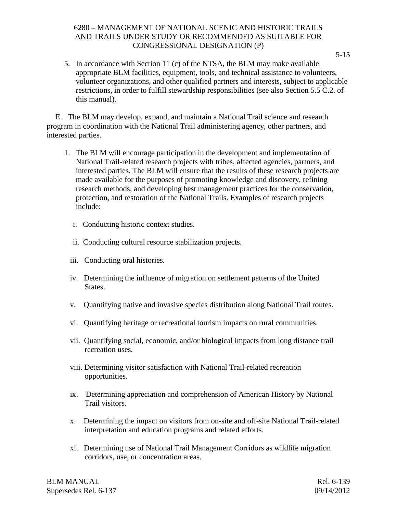5. In accordance with Section 11 (c) of the NTSA, the BLM may make available appropriate BLM facilities, equipment, tools, and technical assistance to volunteers, volunteer organizations, and other qualified partners and interests, subject to applicable restrictions, in order to fulfill stewardship responsibilities (see also Section 5.5 C.2. of this manual).

E. The BLM may develop, expand, and maintain a National Trail science and research program in coordination with the National Trail administering agency, other partners, and interested parties.

- 1. The BLM will encourage participation in the development and implementation of National Trail-related research projects with tribes, affected agencies, partners, and interested parties. The BLM will ensure that the results of these research projects are made available for the purposes of promoting knowledge and discovery, refining research methods, and developing best management practices for the conservation, protection, and restoration of the National Trails. Examples of research projects include:
	- i. Conducting historic context studies.
	- ii. Conducting cultural resource stabilization projects.
	- iii. Conducting oral histories.
	- iv. Determining the influence of migration on settlement patterns of the United States.
	- v. Quantifying native and invasive species distribution along National Trail routes.
	- vi. Quantifying heritage or recreational tourism impacts on rural communities.
	- vii. Quantifying social, economic, and/or biological impacts from long distance trail recreation uses.
	- viii. Determining visitor satisfaction with National Trail-related recreation opportunities.
	- ix. Determining appreciation and comprehension of American History by National Trail visitors.
	- x. Determining the impact on visitors from on-site and off-site National Trail-related interpretation and education programs and related efforts.
	- xi. Determining use of National Trail Management Corridors as wildlife migration corridors, use, or concentration areas.

BLM MANUAL Rel. 6-139 Supersedes Rel. 6-137 09/14/2012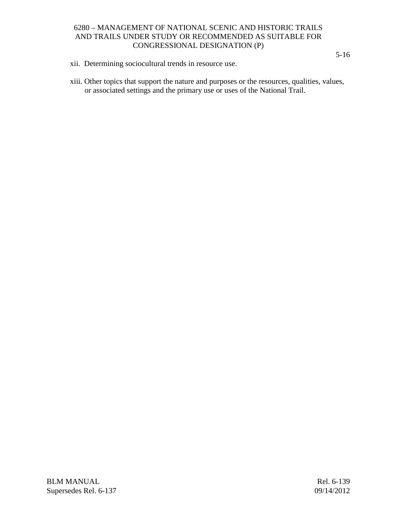- xii. Determining sociocultural trends in resource use.
- xiii. Other topics that support the nature and purposes or the resources, qualities, values, or associated settings and the primary use or uses of the National Trail.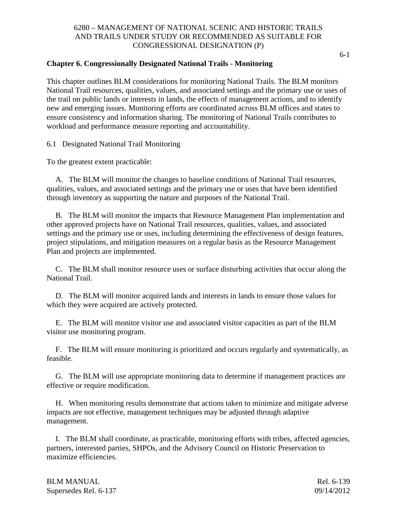#### **Chapter 6. Congressionally Designated National Trails - Monitoring**

This chapter outlines BLM considerations for monitoring National Trails. The BLM monitors National Trail resources, qualities, values, and associated settings and the primary use or uses of the trail on public lands or interests in lands, the effects of management actions, and to identify new and emerging issues. Monitoring efforts are coordinated across BLM offices and states to ensure consistency and information sharing. The monitoring of National Trails contributes to workload and performance measure reporting and accountability.

6.1 Designated National Trail Monitoring

To the greatest extent practicable:

A. The BLM will monitor the changes to baseline conditions of National Trail resources, qualities, values, and associated settings and the primary use or uses that have been identified through inventory as supporting the nature and purposes of the National Trail.

B. The BLM will monitor the impacts that Resource Management Plan implementation and other approved projects have on National Trail resources, qualities, values, and associated settings and the primary use or uses, including determining the effectiveness of design features, project stipulations, and mitigation measures on a regular basis as the Resource Management Plan and projects are implemented.

C. The BLM shall monitor resource uses or surface disturbing activities that occur along the National Trail.

D. The BLM will monitor acquired lands and interests in lands to ensure those values for which they were acquired are actively protected.

E. The BLM will monitor visitor use and associated visitor capacities as part of the BLM visitor use monitoring program.

F. The BLM will ensure monitoring is prioritized and occurs regularly and systematically, as feasible.

G. The BLM will use appropriate monitoring data to determine if management practices are effective or require modification.

H. When monitoring results demonstrate that actions taken to minimize and mitigate adverse impacts are not effective, management techniques may be adjusted through adaptive management.

I. The BLM shall coordinate, as practicable, monitoring efforts with tribes, affected agencies, partners, interested parties, SHPOs, and the Advisory Council on Historic Preservation to maximize efficiencies.

| BLM MANUAL            | Rel. 6-139 |
|-----------------------|------------|
| Supersedes Rel. 6-137 | 09/14/2012 |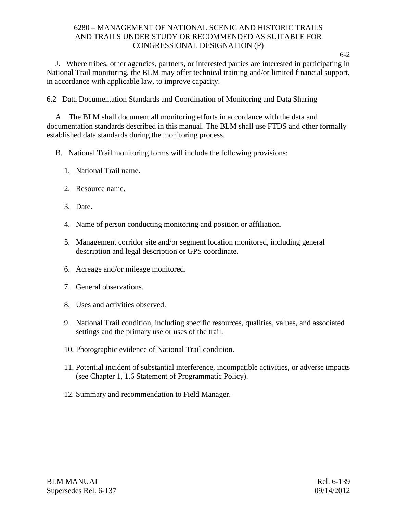J. Where tribes, other agencies, partners, or interested parties are interested in participating in National Trail monitoring, the BLM may offer technical training and/or limited financial support, in accordance with applicable law, to improve capacity.

6.2 Data Documentation Standards and Coordination of Monitoring and Data Sharing

A. The BLM shall document all monitoring efforts in accordance with the data and documentation standards described in this manual. The BLM shall use FTDS and other formally established data standards during the monitoring process.

- B. National Trail monitoring forms will include the following provisions:
	- 1. National Trail name.
	- 2. Resource name.
	- 3. Date.
	- 4. Name of person conducting monitoring and position or affiliation.
	- 5. Management corridor site and/or segment location monitored, including general description and legal description or GPS coordinate.
	- 6. Acreage and/or mileage monitored.
	- 7. General observations.
	- 8. Uses and activities observed.
	- 9. National Trail condition, including specific resources, qualities, values, and associated settings and the primary use or uses of the trail.
	- 10. Photographic evidence of National Trail condition.
	- 11. Potential incident of substantial interference, incompatible activities, or adverse impacts (see Chapter 1, 1.6 Statement of Programmatic Policy).
	- 12. Summary and recommendation to Field Manager.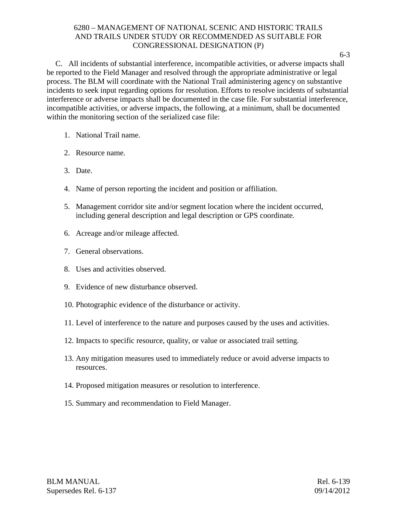6-3

C. All incidents of substantial interference, incompatible activities, or adverse impacts shall be reported to the Field Manager and resolved through the appropriate administrative or legal process. The BLM will coordinate with the National Trail administering agency on substantive incidents to seek input regarding options for resolution. Efforts to resolve incidents of substantial interference or adverse impacts shall be documented in the case file. For substantial interference, incompatible activities, or adverse impacts, the following, at a minimum, shall be documented within the monitoring section of the serialized case file:

- 1. National Trail name.
- 2. Resource name.
- 3. Date.
- 4. Name of person reporting the incident and position or affiliation.
- 5. Management corridor site and/or segment location where the incident occurred, including general description and legal description or GPS coordinate.
- 6. Acreage and/or mileage affected.
- 7. General observations.
- 8. Uses and activities observed.
- 9. Evidence of new disturbance observed.
- 10. Photographic evidence of the disturbance or activity.
- 11. Level of interference to the nature and purposes caused by the uses and activities.
- 12. Impacts to specific resource, quality, or value or associated trail setting.
- 13. Any mitigation measures used to immediately reduce or avoid adverse impacts to resources.
- 14. Proposed mitigation measures or resolution to interference.
- 15. Summary and recommendation to Field Manager.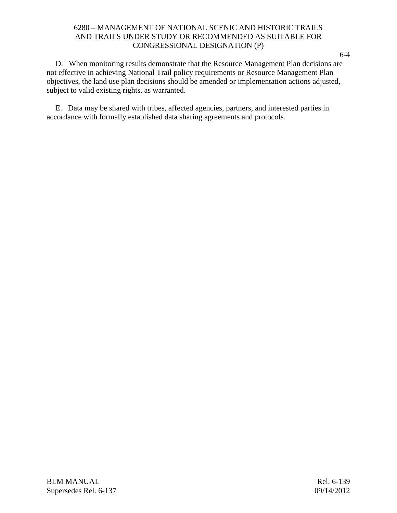D. When monitoring results demonstrate that the Resource Management Plan decisions are not effective in achieving National Trail policy requirements or Resource Management Plan objectives, the land use plan decisions should be amended or implementation actions adjusted, subject to valid existing rights, as warranted.

E. Data may be shared with tribes, affected agencies, partners, and interested parties in accordance with formally established data sharing agreements and protocols.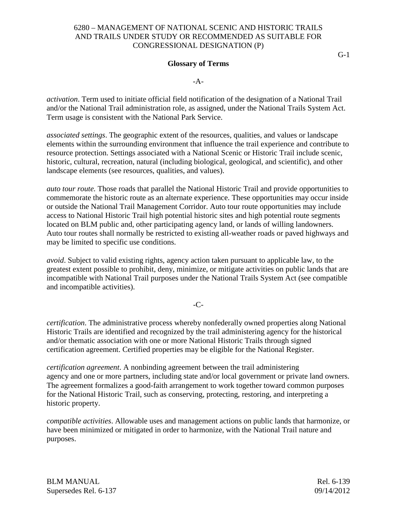#### **Glossary of Terms**

-A-

*activation*. Term used to initiate official field notification of the designation of a National Trail and/or the National Trail administration role, as assigned, under the National Trails System Act. Term usage is consistent with the National Park Service.

*associated settings*. The geographic extent of the resources, qualities, and values or landscape elements within the surrounding environment that influence the trail experience and contribute to resource protection. Settings associated with a National Scenic or Historic Trail include scenic, historic, cultural, recreation, natural (including biological, geological, and scientific), and other landscape elements (see resources, qualities, and values).

*auto tour route.* Those roads that parallel the National Historic Trail and provide opportunities to commemorate the historic route as an alternate experience. These opportunities may occur inside or outside the National Trail Management Corridor. Auto tour route opportunities may include access to National Historic Trail high potential historic sites and high potential route segments located on BLM public and, other participating agency land, or lands of willing landowners. Auto tour routes shall normally be restricted to existing all-weather roads or paved highways and may be limited to specific use conditions.

*avoid*. Subject to valid existing rights, agency action taken pursuant to applicable law, to the greatest extent possible to prohibit, deny, minimize, or mitigate activities on public lands that are incompatible with National Trail purposes under the National Trails System Act (see compatible and incompatible activities).

#### -C-

*certification*. The administrative process whereby nonfederally owned properties along National Historic Trails are identified and recognized by the trail administering agency for the historical and/or thematic association with one or more National Historic Trails through signed certification agreement. Certified properties may be eligible for the National Register.

*certification agreement*. A nonbinding agreement between the trail administering agency and one or more partners, including state and/or local government or private land owners. The agreement formalizes a good-faith arrangement to work together toward common purposes for the National Historic Trail, such as conserving, protecting, restoring, and interpreting a historic property.

*compatible activities*. Allowable uses and management actions on public lands that harmonize, or have been minimized or mitigated in order to harmonize, with the National Trail nature and purposes.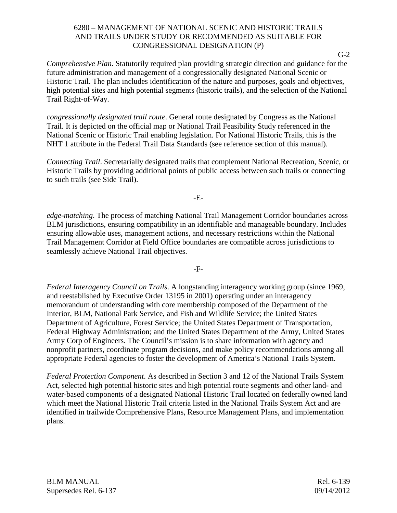*Comprehensive Plan*. Statutorily required plan providing strategic direction and guidance for the future administration and management of a congressionally designated National Scenic or Historic Trail. The plan includes identification of the nature and purposes, goals and objectives, high potential sites and high potential segments (historic trails), and the selection of the National Trail Right-of-Way.

*congressionally designated trail route*. General route designated by Congress as the National Trail. It is depicted on the official map or National Trail Feasibility Study referenced in the National Scenic or Historic Trail enabling legislation. For National Historic Trails, this is the NHT 1 attribute in the Federal Trail Data Standards (see reference section of this manual).

*Connecting Trail*. Secretarially designated trails that complement National Recreation, Scenic, or Historic Trails by providing additional points of public access between such trails or connecting to such trails (see Side Trail).

-E-

*edge-matching*. The process of matching National Trail Management Corridor boundaries across BLM jurisdictions, ensuring compatibility in an identifiable and manageable boundary. Includes ensuring allowable uses, management actions, and necessary restrictions within the National Trail Management Corridor at Field Office boundaries are compatible across jurisdictions to seamlessly achieve National Trail objectives.

-F-

*Federal Interagency Council on Trails*. A longstanding interagency working group (since 1969, and reestablished by Executive Order 13195 in 2001) operating under an interagency memorandum of understanding with core membership composed of the Department of the Interior, BLM, National Park Service, and Fish and Wildlife Service; the United States Department of Agriculture, Forest Service; the United States Department of Transportation, Federal Highway Administration; and the United States Department of the Army, United States Army Corp of Engineers. The Council's mission is to share information with agency and nonprofit partners, coordinate program decisions, and make policy recommendations among all appropriate Federal agencies to foster the development of America's National Trails System.

*Federal Protection Component*. As described in Section 3 and 12 of the National Trails System Act, selected high potential historic sites and high potential route segments and other land- and water-based components of a designated National Historic Trail located on federally owned land which meet the National Historic Trail criteria listed in the National Trails System Act and are identified in trailwide Comprehensive Plans, Resource Management Plans, and implementation plans.

BLM MANUAL Rel. 6-139 Supersedes Rel. 6-137 09/14/2012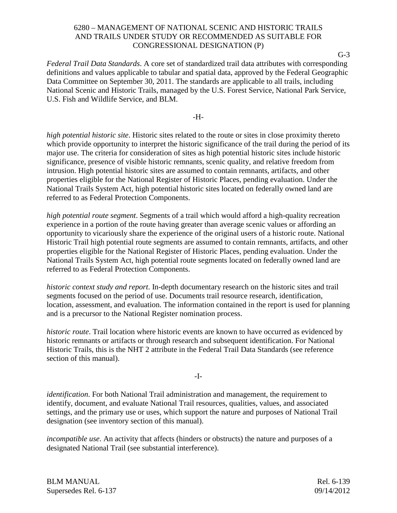*Federal Trail Data Standards*. A core set of standardized trail data attributes with corresponding definitions and values applicable to tabular and spatial data, approved by the Federal Geographic Data Committee on September 30, 2011. The standards are applicable to all trails, including National Scenic and Historic Trails, managed by the U.S. Forest Service, National Park Service, U.S. Fish and Wildlife Service, and BLM.

-H-

*high potential historic site*. Historic sites related to the route or sites in close proximity thereto which provide opportunity to interpret the historic significance of the trail during the period of its major use. The criteria for consideration of sites as high potential historic sites include historic significance, presence of visible historic remnants, scenic quality, and relative freedom from intrusion. High potential historic sites are assumed to contain remnants, artifacts, and other properties eligible for the National Register of Historic Places, pending evaluation. Under the National Trails System Act, high potential historic sites located on federally owned land are referred to as Federal Protection Components.

*high potential route segment*. Segments of a trail which would afford a high-quality recreation experience in a portion of the route having greater than average scenic values or affording an opportunity to vicariously share the experience of the original users of a historic route. National Historic Trail high potential route segments are assumed to contain remnants, artifacts, and other properties eligible for the National Register of Historic Places, pending evaluation. Under the National Trails System Act, high potential route segments located on federally owned land are referred to as Federal Protection Components.

*historic context study and report*. In-depth documentary research on the historic sites and trail segments focused on the period of use. Documents trail resource research, identification, location, assessment, and evaluation. The information contained in the report is used for planning and is a precursor to the National Register nomination process.

*historic route*. Trail location where historic events are known to have occurred as evidenced by historic remnants or artifacts or through research and subsequent identification. For National Historic Trails, this is the NHT 2 attribute in the Federal Trail Data Standards (see reference section of this manual).

-I-

*identification*. For both National Trail administration and management, the requirement to identify, document, and evaluate National Trail resources, qualities, values, and associated settings, and the primary use or uses, which support the nature and purposes of National Trail designation (see inventory section of this manual).

*incompatible use*. An activity that affects (hinders or obstructs) the nature and purposes of a designated National Trail (see substantial interference).

BLM MANUAL Rel. 6-139 Supersedes Rel. 6-137 09/14/2012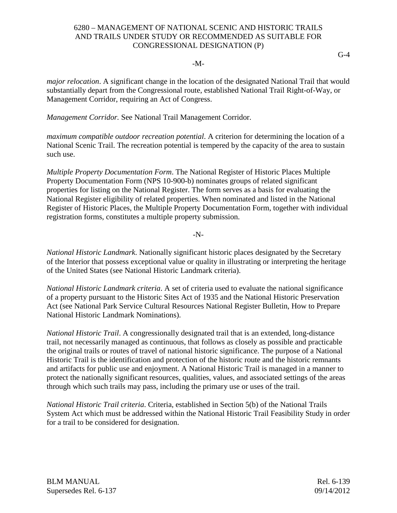#### -M-

*major relocation*. A significant change in the location of the designated National Trail that would substantially depart from the Congressional route, established National Trail Right-of-Way, or Management Corridor, requiring an Act of Congress.

*Management Corridor.* See National Trail Management Corridor.

*maximum compatible outdoor recreation potential*. A criterion for determining the location of a National Scenic Trail. The recreation potential is tempered by the capacity of the area to sustain such use.

*Multiple Property Documentation Form*. The National Register of Historic Places Multiple Property Documentation Form (NPS 10-900-b) nominates groups of related significant properties for listing on the National Register. The form serves as a basis for evaluating the National Register eligibility of related properties. When nominated and listed in the National Register of Historic Places, the Multiple Property Documentation Form, together with individual registration forms, constitutes a multiple property submission.

-N-

*National Historic Landmark*. Nationally significant historic places designated by the Secretary of the Interior that possess exceptional value or quality in illustrating or interpreting the heritage of the United States (see National Historic Landmark criteria).

*National Historic Landmark criteria*. A set of criteria used to evaluate the national significance of a property pursuant to the Historic Sites Act of 1935 and the National Historic Preservation Act (see National Park Service Cultural Resources National Register Bulletin, How to Prepare National Historic Landmark Nominations).

*National Historic Trail*. A congressionally designated trail that is an extended, long-distance trail, not necessarily managed as continuous, that follows as closely as possible and practicable the original trails or routes of travel of national historic significance. The purpose of a National Historic Trail is the identification and protection of the historic route and the historic remnants and artifacts for public use and enjoyment. A National Historic Trail is managed in a manner to protect the nationally significant resources, qualities, values, and associated settings of the areas through which such trails may pass, including the primary use or uses of the trail.

*National Historic Trail criteria*. Criteria, established in Section 5(b) of the National Trails System Act which must be addressed within the National Historic Trail Feasibility Study in order for a trail to be considered for designation.

BLM MANUAL Rel. 6-139 Supersedes Rel. 6-137 09/14/2012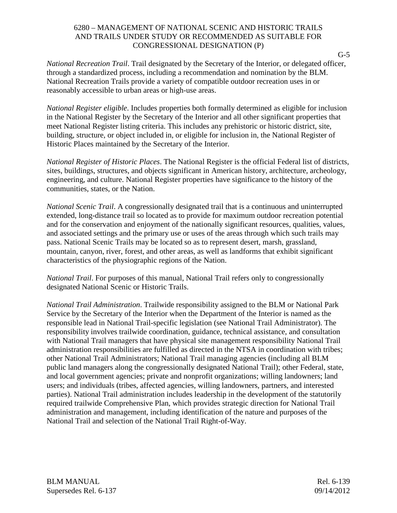*National Recreation Trail*. Trail designated by the Secretary of the Interior, or delegated officer, through a standardized process, including a recommendation and nomination by the BLM. National Recreation Trails provide a variety of compatible outdoor recreation uses in or reasonably accessible to urban areas or high-use areas.

*National Register eligible*. Includes properties both formally determined as eligible for inclusion in the National Register by the Secretary of the Interior and all other significant properties that meet National Register listing criteria. This includes any prehistoric or historic district, site, building, structure, or object included in, or eligible for inclusion in, the National Register of Historic Places maintained by the Secretary of the Interior.

*National Register of Historic Places*. The National Register is the official Federal list of districts, sites, buildings, structures, and objects significant in American history, architecture, archeology, engineering, and culture. National Register properties have significance to the history of the communities, states, or the Nation.

*National Scenic Trail*. A congressionally designated trail that is a continuous and uninterrupted extended, long-distance trail so located as to provide for maximum outdoor recreation potential and for the conservation and enjoyment of the nationally significant resources, qualities, values, and associated settings and the primary use or uses of the areas through which such trails may pass. National Scenic Trails may be located so as to represent desert, marsh, grassland, mountain, canyon, river, forest, and other areas, as well as landforms that exhibit significant characteristics of the physiographic regions of the Nation.

*National Trail*. For purposes of this manual, National Trail refers only to congressionally designated National Scenic or Historic Trails.

*National Trail Administration*. Trailwide responsibility assigned to the BLM or National Park Service by the Secretary of the Interior when the Department of the Interior is named as the responsible lead in National Trail-specific legislation (see National Trail Administrator). The responsibility involves trailwide coordination, guidance, technical assistance, and consultation with National Trail managers that have physical site management responsibility National Trail administration responsibilities are fulfilled as directed in the NTSA in coordination with tribes; other National Trail Administrators; National Trail managing agencies (including all BLM public land managers along the congressionally designated National Trail); other Federal, state, and local government agencies; private and nonprofit organizations; willing landowners; land users; and individuals (tribes, affected agencies, willing landowners, partners, and interested parties). National Trail administration includes leadership in the development of the statutorily required trailwide Comprehensive Plan, which provides strategic direction for National Trail administration and management, including identification of the nature and purposes of the National Trail and selection of the National Trail Right-of-Way.

BLM MANUAL Rel. 6-139 Supersedes Rel. 6-137 09/14/2012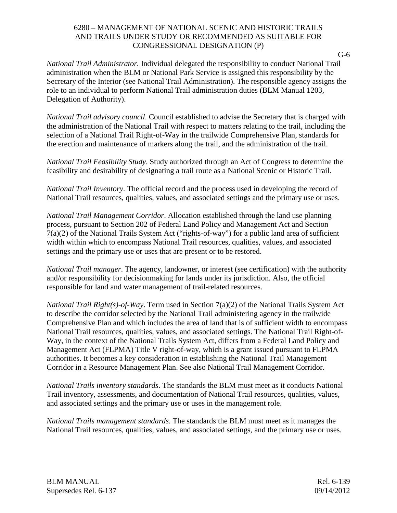*National Trail Administrator.* Individual delegated the responsibility to conduct National Trail administration when the BLM or National Park Service is assigned this responsibility by the Secretary of the Interior (see National Trail Administration). The responsible agency assigns the role to an individual to perform National Trail administration duties (BLM Manual 1203, Delegation of Authority).

*National Trail advisory council*. Council established to advise the Secretary that is charged with the administration of the National Trail with respect to matters relating to the trail, including the selection of a National Trail Right-of-Way in the trailwide Comprehensive Plan, standards for the erection and maintenance of markers along the trail, and the administration of the trail.

*National Trail Feasibility Study*. Study authorized through an Act of Congress to determine the feasibility and desirability of designating a trail route as a National Scenic or Historic Trail.

*National Trail Inventory*. The official record and the process used in developing the record of National Trail resources, qualities, values, and associated settings and the primary use or uses.

*National Trail Management Corridor*. Allocation established through the land use planning process, pursuant to Section 202 of Federal Land Policy and Management Act and Section 7(a)(2) of the National Trails System Act ("rights-of-way") for a public land area of sufficient width within which to encompass National Trail resources, qualities, values, and associated settings and the primary use or uses that are present or to be restored.

*National Trail manager*. The agency, landowner, or interest (see certification) with the authority and/or responsibility for decisionmaking for lands under its jurisdiction. Also, the official responsible for land and water management of trail-related resources.

*National Trail Right(s)-of-Way*. Term used in Section 7(a)(2) of the National Trails System Act to describe the corridor selected by the National Trail administering agency in the trailwide Comprehensive Plan and which includes the area of land that is of sufficient width to encompass National Trail resources, qualities, values, and associated settings. The National Trail Right-of-Way, in the context of the National Trails System Act, differs from a Federal Land Policy and Management Act (FLPMA) Title V right-of-way, which is a grant issued pursuant to FLPMA authorities. It becomes a key consideration in establishing the National Trail Management Corridor in a Resource Management Plan. See also National Trail Management Corridor.

*National Trails inventory standards*. The standards the BLM must meet as it conducts National Trail inventory, assessments, and documentation of National Trail resources, qualities, values, and associated settings and the primary use or uses in the management role.

*National Trails management standards*. The standards the BLM must meet as it manages the National Trail resources, qualities, values, and associated settings, and the primary use or uses.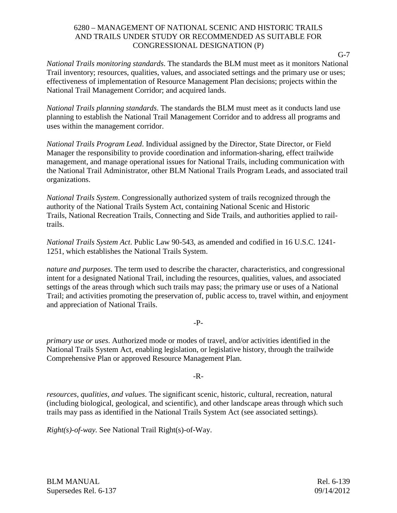*National Trails monitoring standards*. The standards the BLM must meet as it monitors National Trail inventory; resources, qualities, values, and associated settings and the primary use or uses; effectiveness of implementation of Resource Management Plan decisions; projects within the National Trail Management Corridor; and acquired lands.

*National Trails planning standards*. The standards the BLM must meet as it conducts land use planning to establish the National Trail Management Corridor and to address all programs and uses within the management corridor.

*National Trails Program Lead*. Individual assigned by the Director, State Director, or Field Manager the responsibility to provide coordination and information-sharing, effect trailwide management, and manage operational issues for National Trails, including communication with the National Trail Administrator, other BLM National Trails Program Leads, and associated trail organizations.

*National Trails System*. Congressionally authorized system of trails recognized through the authority of the National Trails System Act, containing National Scenic and Historic Trails, National Recreation Trails, Connecting and Side Trails, and authorities applied to railtrails.

*National Trails System Act*. Public Law 90-543, as amended and codified in 16 U.S.C. 1241- 1251, which establishes the National Trails System.

*nature and purposes*. The term used to describe the character, characteristics, and congressional intent for a designated National Trail, including the resources, qualities, values, and associated settings of the areas through which such trails may pass; the primary use or uses of a National Trail; and activities promoting the preservation of, public access to, travel within, and enjoyment and appreciation of National Trails.

-P-

*primary use or uses*. Authorized mode or modes of travel, and/or activities identified in the National Trails System Act, enabling legislation, or legislative history, through the trailwide Comprehensive Plan or approved Resource Management Plan.

-R-

*resources, qualities, and values*. The significant scenic, historic, cultural, recreation, natural (including biological, geological, and scientific), and other landscape areas through which such trails may pass as identified in the National Trails System Act (see associated settings).

*Right(s)-of-way.* See National Trail Right(s)-of-Way.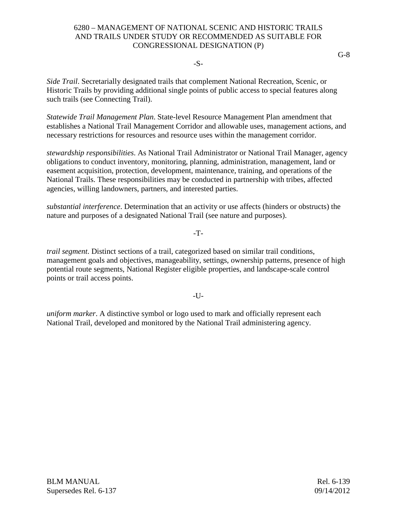#### -S-

*Side Trail*. Secretarially designated trails that complement National Recreation, Scenic, or Historic Trails by providing additional single points of public access to special features along such trails (see Connecting Trail).

*Statewide Trail Management Plan*. State-level Resource Management Plan amendment that establishes a National Trail Management Corridor and allowable uses, management actions, and necessary restrictions for resources and resource uses within the management corridor.

*stewardship responsibilities*. As National Trail Administrator or National Trail Manager, agency obligations to conduct inventory, monitoring, planning, administration, management, land or easement acquisition, protection, development, maintenance, training, and operations of the National Trails. These responsibilities may be conducted in partnership with tribes, affected agencies, willing landowners, partners, and interested parties.

*substantial interference*. Determination that an activity or use affects (hinders or obstructs) the nature and purposes of a designated National Trail (see nature and purposes).

-T-

*trail segment*. Distinct sections of a trail, categorized based on similar trail conditions, management goals and objectives, manageability, settings, ownership patterns, presence of high potential route segments, National Register eligible properties, and landscape-scale control points or trail access points.

 $-I$  J $-$ 

*uniform marker*. A distinctive symbol or logo used to mark and officially represent each National Trail, developed and monitored by the National Trail administering agency.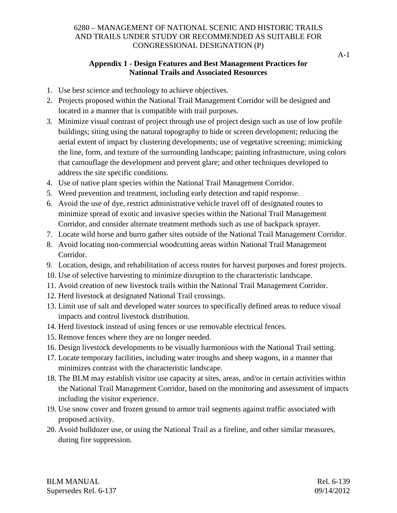## **Appendix 1 - Design Features and Best Management Practices for National Trails and Associated Resources**

- 1. Use best science and technology to achieve objectives.
- 2. Projects proposed within the National Trail Management Corridor will be designed and located in a manner that is compatible with trail purposes.
- 3. Minimize visual contrast of project through use of project design such as use of low profile buildings; siting using the natural topography to hide or screen development; reducing the aerial extent of impact by clustering developments; use of vegetative screening; mimicking the line, form, and texture of the surrounding landscape; painting infrastructure, using colors that camouflage the development and prevent glare; and other techniques developed to address the site specific conditions.
- 4. Use of native plant species within the National Trail Management Corridor.
- 5. Weed prevention and treatment, including early detection and rapid response.
- 6. Avoid the use of dye, restrict administrative vehicle travel off of designated routes to minimize spread of exotic and invasive species within the National Trail Management Corridor, and consider alternate treatment methods such as use of backpack sprayer.
- 7. Locate wild horse and burro gather sites outside of the National Trail Management Corridor.
- 8. Avoid locating non-commercial woodcutting areas within National Trail Management Corridor.
- 9. Location, design, and rehabilitation of access routes for harvest purposes and forest projects.
- 10. Use of selective harvesting to minimize disruption to the characteristic landscape.
- 11. Avoid creation of new livestock trails within the National Trail Management Corridor.
- 12. Herd livestock at designated National Trail crossings.
- 13. Limit use of salt and developed water sources to specifically defined areas to reduce visual impacts and control livestock distribution.
- 14. Herd livestock instead of using fences or use removable electrical fences.
- 15. Remove fences where they are no longer needed.
- 16. Design livestock developments to be visually harmonious with the National Trail setting.
- 17. Locate temporary facilities, including water troughs and sheep wagons, in a manner that minimizes contrast with the characteristic landscape.
- 18. The BLM may establish visitor use capacity at sites, areas, and/or in certain activities within the National Trail Management Corridor, based on the monitoring and assessment of impacts including the visitor experience.
- 19. Use snow cover and frozen ground to armor trail segments against traffic associated with proposed activity.
- 20. Avoid bulldozer use, or using the National Trail as a fireline, and other similar measures, during fire suppression.

BLM MANUAL Rel. 6-139 Supersedes Rel. 6-137 09/14/2012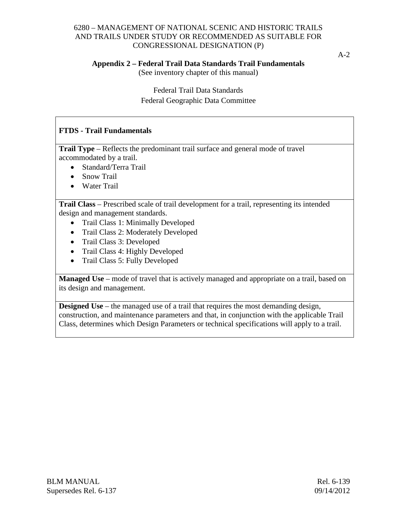A-2

#### **Appendix 2 – Federal Trail Data Standards Trail Fundamentals**

(See inventory chapter of this manual)

Federal Trail Data Standards Federal Geographic Data Committee

## **FTDS - Trail Fundamentals**

**Trail Type** – Reflects the predominant trail surface and general mode of travel accommodated by a trail.

- Standard/Terra Trail
- Snow Trail
- Water Trail

**Trail Class** – Prescribed scale of trail development for a trail, representing its intended design and management standards.

- Trail Class 1: Minimally Developed
- Trail Class 2: Moderately Developed
- Trail Class 3: Developed
- Trail Class 4: Highly Developed
- Trail Class 5: Fully Developed

**Managed Use** – mode of travel that is actively managed and appropriate on a trail, based on its design and management.

**Designed Use** – the managed use of a trail that requires the most demanding design, construction, and maintenance parameters and that, in conjunction with the applicable Trail Class, determines which Design Parameters or technical specifications will apply to a trail.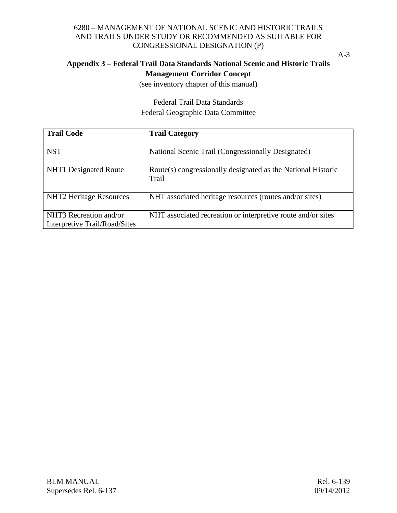A-3

## **Appendix 3 – Federal Trail Data Standards National Scenic and Historic Trails Management Corridor Concept**

(see inventory chapter of this manual)

Federal Trail Data Standards Federal Geographic Data Committee

| <b>Trail Code</b>                                       | <b>Trail Category</b>                                                 |
|---------------------------------------------------------|-----------------------------------------------------------------------|
| <b>NST</b>                                              | National Scenic Trail (Congressionally Designated)                    |
| NHT1 Designated Route                                   | Route(s) congressionally designated as the National Historic<br>Trail |
| <b>NHT2</b> Heritage Resources                          | NHT associated heritage resources (routes and/or sites)               |
| NHT3 Recreation and/or<br>Interpretive Trail/Road/Sites | NHT associated recreation or interpretive route and/or sites          |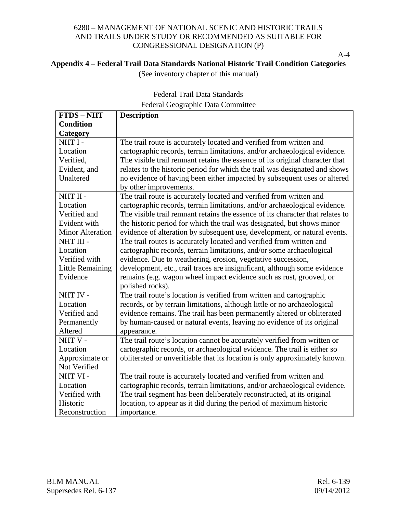A-4

## **Appendix 4 – Federal Trail Data Standards National Historic Trail Condition Categories**

(See inventory chapter of this manual)

| <b>FTDS-NHT</b>         | <b>Description</b>                                                             |
|-------------------------|--------------------------------------------------------------------------------|
| <b>Condition</b>        |                                                                                |
| Category                |                                                                                |
| NHT I-                  | The trail route is accurately located and verified from written and            |
| Location                | cartographic records, terrain limitations, and/or archaeological evidence.     |
| Verified,               | The visible trail remnant retains the essence of its original character that   |
| Evident, and            | relates to the historic period for which the trail was designated and shows    |
| Unaltered               | no evidence of having been either impacted by subsequent uses or altered       |
|                         | by other improvements.                                                         |
| NHT II -                | The trail route is accurately located and verified from written and            |
| Location                | cartographic records, terrain limitations, and/or archaeological evidence.     |
| Verified and            | The visible trail remnant retains the essence of its character that relates to |
| Evident with            | the historic period for which the trail was designated, but shows minor        |
| <b>Minor Alteration</b> | evidence of alteration by subsequent use, development, or natural events.      |
| NHT III -               | The trail routes is accurately located and verified from written and           |
| Location                | cartographic records, terrain limitations, and/or some archaeological          |
| Verified with           | evidence. Due to weathering, erosion, vegetative succession,                   |
| <b>Little Remaining</b> | development, etc., trail traces are insignificant, although some evidence      |
| Evidence                | remains (e.g. wagon wheel impact evidence such as rust, grooved, or            |
|                         | polished rocks).                                                               |
| NHT IV -                | The trail route's location is verified from written and cartographic           |
| Location                | records, or by terrain limitations, although little or no archaeological       |
| Verified and            | evidence remains. The trail has been permanently altered or obliterated        |
| Permanently             | by human-caused or natural events, leaving no evidence of its original         |
| Altered                 | appearance.                                                                    |
| NHTV-                   | The trail route's location cannot be accurately verified from written or       |
| Location                | cartographic records, or archaeological evidence. The trail is either so       |
| Approximate or          | obliterated or unverifiable that its location is only approximately known.     |
| Not Verified            |                                                                                |
| NHT VI-                 | The trail route is accurately located and verified from written and            |
| Location                | cartographic records, terrain limitations, and/or archaeological evidence.     |
| Verified with           | The trail segment has been deliberately reconstructed, at its original         |
| Historic                | location, to appear as it did during the period of maximum historic            |
| Reconstruction          | importance.                                                                    |

# Federal Trail Data Standards Federal Geographic Data Committee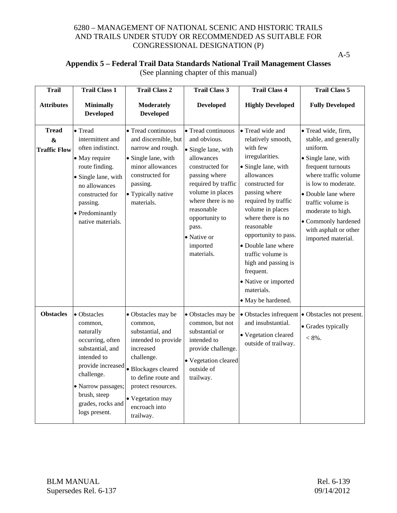A-5

## **Appendix 5 – Federal Trail Data Standards National Trail Management Classes** (See planning chapter of this manual)

| <b>Trail</b>                                             | <b>Trail Class 1</b>                                                                                                                                                                                      | <b>Trail Class 2</b>                                                                                                                                                                                                      | <b>Trail Class 3</b>                                                                                                                                                                                                                                          | <b>Trail Class 4</b>                                                                                                                                                                                                                                                                                                                                                                             | <b>Trail Class 5</b>                                                                                                                                                                                                                                                                       |
|----------------------------------------------------------|-----------------------------------------------------------------------------------------------------------------------------------------------------------------------------------------------------------|---------------------------------------------------------------------------------------------------------------------------------------------------------------------------------------------------------------------------|---------------------------------------------------------------------------------------------------------------------------------------------------------------------------------------------------------------------------------------------------------------|--------------------------------------------------------------------------------------------------------------------------------------------------------------------------------------------------------------------------------------------------------------------------------------------------------------------------------------------------------------------------------------------------|--------------------------------------------------------------------------------------------------------------------------------------------------------------------------------------------------------------------------------------------------------------------------------------------|
| <b>Attributes</b>                                        | <b>Minimally</b><br><b>Developed</b>                                                                                                                                                                      | <b>Moderately</b><br><b>Developed</b>                                                                                                                                                                                     | <b>Developed</b>                                                                                                                                                                                                                                              | <b>Highly Developed</b>                                                                                                                                                                                                                                                                                                                                                                          | <b>Fully Developed</b>                                                                                                                                                                                                                                                                     |
| <b>Tread</b><br>$\boldsymbol{\&}$<br><b>Traffic Flow</b> | • Tread<br>intermittent and<br>often indistinct.<br>• May require<br>route finding.<br>• Single lane, with<br>no allowances<br>constructed for<br>passing.<br>• Predominantly<br>native materials.        | • Tread continuous<br>and discernible, but<br>narrow and rough.<br>• Single lane, with<br>minor allowances<br>constructed for<br>passing.<br>• Typically native<br>materials.                                             | • Tread continuous<br>and obvious.<br>• Single lane, with<br>allowances<br>constructed for<br>passing where<br>required by traffic<br>volume in places<br>where there is no<br>reasonable<br>opportunity to<br>pass.<br>• Native or<br>imported<br>materials. | • Tread wide and<br>relatively smooth,<br>with few<br>irregularities.<br>• Single lane, with<br>allowances<br>constructed for<br>passing where<br>required by traffic<br>volume in places<br>where there is no<br>reasonable<br>opportunity to pass.<br>• Double lane where<br>traffic volume is<br>high and passing is<br>frequent.<br>• Native or imported<br>materials.<br>• May be hardened. | · Tread wide, firm,<br>stable, and generally<br>uniform.<br>• Single lane, with<br>frequent turnouts<br>where traffic volume<br>is low to moderate.<br>• Double lane where<br>traffic volume is<br>moderate to high.<br>• Commonly hardened<br>with asphalt or other<br>imported material. |
| <b>Obstacles</b>                                         | • Obstacles<br>common,<br>naturally<br>occurring, often<br>substantial, and<br>intended to<br>provide increased<br>challenge.<br>• Narrow passages;<br>brush, steep<br>grades, rocks and<br>logs present. | • Obstacles may be<br>common,<br>substantial, and<br>intended to provide<br>increased<br>challenge.<br>· Blockages cleared<br>to define route and<br>protect resources.<br>• Vegetation may<br>encroach into<br>trailway. | • Obstacles may be<br>common, but not<br>substantial or<br>intended to<br>provide challenge.<br>• Vegetation cleared<br>outside of<br>trailway.                                                                                                               | • Obstacles infrequent<br>and insubstantial.<br>• Vegetation cleared<br>outside of trailway.                                                                                                                                                                                                                                                                                                     | • Obstacles not present.<br>• Grades typically<br>$< 8\%$ .                                                                                                                                                                                                                                |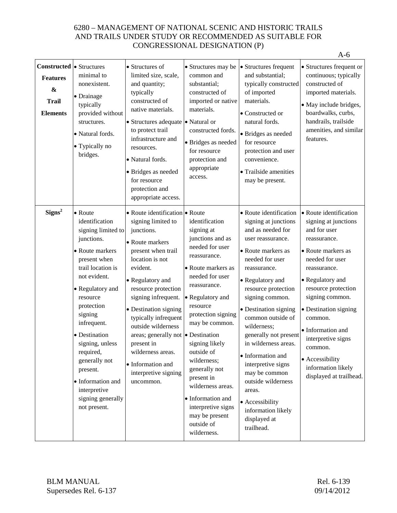|                                                                                               |                                                                                                                                                                                                                                                                                                                                                                       |                                                                                                                                                                                                                                                                                                                                                                                                                                |                                                                                                                                                                                                                                                                                                                                                                                                                   |                                                                                                                                                                                                                                                                                                                                                                                                                                                                                                  | $A-6$                                                                                                                                                                                                                                                                                                                                                               |
|-----------------------------------------------------------------------------------------------|-----------------------------------------------------------------------------------------------------------------------------------------------------------------------------------------------------------------------------------------------------------------------------------------------------------------------------------------------------------------------|--------------------------------------------------------------------------------------------------------------------------------------------------------------------------------------------------------------------------------------------------------------------------------------------------------------------------------------------------------------------------------------------------------------------------------|-------------------------------------------------------------------------------------------------------------------------------------------------------------------------------------------------------------------------------------------------------------------------------------------------------------------------------------------------------------------------------------------------------------------|--------------------------------------------------------------------------------------------------------------------------------------------------------------------------------------------------------------------------------------------------------------------------------------------------------------------------------------------------------------------------------------------------------------------------------------------------------------------------------------------------|---------------------------------------------------------------------------------------------------------------------------------------------------------------------------------------------------------------------------------------------------------------------------------------------------------------------------------------------------------------------|
| <b>Constructed</b><br><b>Features</b><br>$\boldsymbol{\&}$<br><b>Trail</b><br><b>Elements</b> | • Structures<br>minimal to<br>nonexistent.<br>· Drainage<br>typically<br>provided without<br>structures.<br>· Natural fords.<br>• Typically no<br>bridges.                                                                                                                                                                                                            | • Structures of<br>limited size, scale,<br>and quantity;<br>typically<br>constructed of<br>native materials.<br>• Structures adequate • Natural or<br>to protect trail<br>infrastructure and<br>resources.<br>• Natural fords.<br>• Bridges as needed<br>for resource<br>protection and<br>appropriate access.                                                                                                                 | • Structures may be<br>common and<br>substantial;<br>constructed of<br>imported or native<br>materials.<br>constructed fords.<br>· Bridges as needed<br>for resource<br>protection and<br>appropriate<br>access.                                                                                                                                                                                                  | • Structures frequent<br>and substantial;<br>typically constructed<br>of imported<br>materials.<br>• Constructed or<br>natural fords.<br>· Bridges as needed<br>for resource<br>protection and user<br>convenience.<br>• Trailside amenities<br>may be present.                                                                                                                                                                                                                                  | • Structures frequent or<br>continuous; typically<br>constructed of<br>imported materials.<br>• May include bridges,<br>boardwalks, curbs,<br>handrails, trailside<br>amenities, and similar<br>features.                                                                                                                                                           |
| Signs <sup>2</sup>                                                                            | • Route<br>identification<br>signing limited to<br>junctions.<br>• Route markers<br>present when<br>trail location is<br>not evident.<br>• Regulatory and<br>resource<br>protection<br>signing<br>infrequent.<br>· Destination<br>signing, unless<br>required,<br>generally not<br>present.<br>• Information and<br>interpretive<br>signing generally<br>not present. | • Route identification • Route<br>signing limited to<br>junctions.<br>• Route markers<br>present when trail<br>location is not<br>evident.<br>• Regulatory and<br>resource protection<br>signing infrequent.<br>• Destination signing<br>typically infrequent<br>outside wilderness<br>areas; generally not $\bullet$ Destination<br>present in<br>wilderness areas.<br>• Information and<br>interpretive signing<br>uncommon. | identification<br>signing at<br>junctions and as<br>needed for user<br>reassurance.<br>• Route markers as<br>needed for user<br>reassurance.<br>• Regulatory and<br>resource<br>protection signing<br>may be common.<br>signing likely<br>outside of<br>wilderness;<br>generally not<br>present in<br>wilderness areas.<br>• Information and<br>interpretive signs<br>may be present<br>outside of<br>wilderness. | • Route identification<br>signing at junctions<br>and as needed for<br>user reassurance.<br>• Route markers as<br>needed for user<br>reassurance.<br>• Regulatory and<br>resource protection<br>signing common.<br>• Destination signing<br>common outside of<br>wilderness;<br>generally not present<br>in wilderness areas.<br>• Information and<br>interpretive signs<br>may be common<br>outside wilderness<br>areas.<br>• Accessibility<br>information likely<br>displayed at<br>trailhead. | • Route identification<br>signing at junctions<br>and for user<br>reassurance.<br>• Route markers as<br>needed for user<br>reassurance.<br>• Regulatory and<br>resource protection<br>signing common.<br>• Destination signing<br>common.<br>• Information and<br>interpretive signs<br>common.<br>• Accessibility<br>information likely<br>displayed at trailhead. |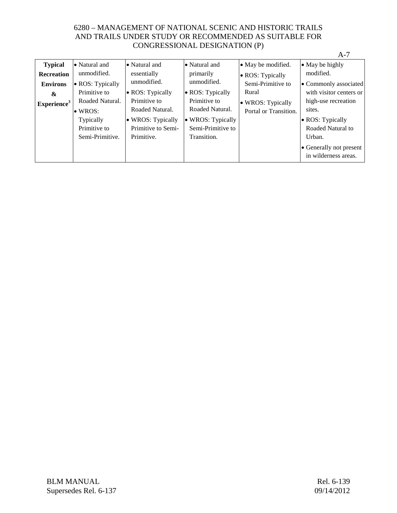|                         |                  |                    |                   |                       | $A-7$                   |
|-------------------------|------------------|--------------------|-------------------|-----------------------|-------------------------|
| <b>Typical</b>          | • Natural and    | • Natural and      | • Natural and     | • May be modified.    | • May be highly         |
| Recreation              | unmodified.      | essentially        | primarily         | • ROS: Typically      | modified.               |
| <b>Environs</b>         | • ROS: Typically | unmodified.        | unmodified.       | Semi-Primitive to     | • Commonly associated   |
| &                       | Primitive to     | • ROS: Typically   | • ROS: Typically  | Rural                 | with visitor centers or |
| Experience <sup>3</sup> | Roaded Natural.  | Primitive to       | Primitive to      | • WROS: Typically     | high-use recreation     |
|                         | $\bullet$ WROS:  | Roaded Natural.    | Roaded Natural.   | Portal or Transition. | sites.                  |
|                         | Typically        | • WROS: Typically  | • WROS: Typically |                       | • ROS: Typically        |
|                         | Primitive to     | Primitive to Semi- | Semi-Primitive to |                       | Roaded Natural to       |
|                         | Semi-Primitive.  | Primitive.         | Transition.       |                       | Urban.                  |
|                         |                  |                    |                   |                       | • Generally not present |
|                         |                  |                    |                   |                       | in wilderness areas.    |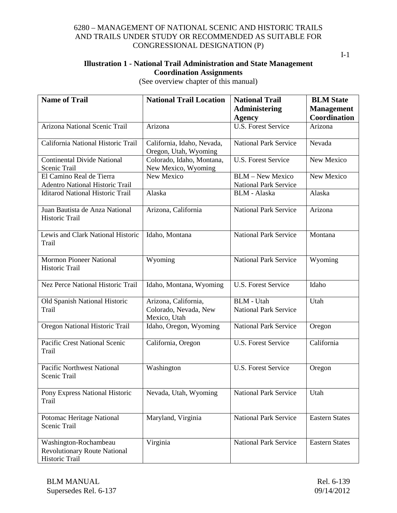I-1

## **Illustration 1 - National Trail Administration and State Management Coordination Assignments**

(See overview chapter of this manual)

| <b>Name of Trail</b>                                                           | <b>National Trail Location</b>                                | <b>National Trail</b>                                   | <b>BLM</b> State      |
|--------------------------------------------------------------------------------|---------------------------------------------------------------|---------------------------------------------------------|-----------------------|
|                                                                                |                                                               | <b>Administering</b>                                    | <b>Management</b>     |
|                                                                                |                                                               | <b>Agency</b>                                           | Coordination          |
| Arizona National Scenic Trail                                                  | Arizona                                                       | <b>U.S. Forest Service</b>                              | Arizona               |
| California National Historic Trail                                             | California, Idaho, Nevada,<br>Oregon, Utah, Wyoming           | <b>National Park Service</b>                            | Nevada                |
| <b>Continental Divide National</b><br>Scenic Trail                             | Colorado, Idaho, Montana,<br>New Mexico, Wyoming              | <b>U.S. Forest Service</b>                              | New Mexico            |
| El Camino Real de Tierra<br><b>Adentro National Historic Trail</b>             | New Mexico                                                    | <b>BLM</b> - New Mexico<br><b>National Park Service</b> | New Mexico            |
| <b>Iditarod National Historic Trail</b>                                        | Alaska                                                        | <b>BLM</b> - Alaska                                     | Alaska                |
| Juan Bautista de Anza National<br>Historic Trail                               | Arizona, California                                           | <b>National Park Service</b>                            | Arizona               |
| Lewis and Clark National Historic<br>Trail                                     | Idaho, Montana                                                | <b>National Park Service</b>                            | Montana               |
| <b>Mormon Pioneer National</b><br>Historic Trail                               | Wyoming                                                       | <b>National Park Service</b>                            | Wyoming               |
| <b>Nez Perce National Historic Trail</b>                                       | Idaho, Montana, Wyoming                                       | <b>U.S. Forest Service</b>                              | Idaho                 |
| Old Spanish National Historic<br>Trail                                         | Arizona, California,<br>Colorado, Nevada, New<br>Mexico, Utah | <b>BLM</b> - Utah<br><b>National Park Service</b>       | Utah                  |
| Oregon National Historic Trail                                                 | Idaho, Oregon, Wyoming                                        | <b>National Park Service</b>                            | Oregon                |
| Pacific Crest National Scenic<br>Trail                                         | California, Oregon                                            | <b>U.S. Forest Service</b>                              | California            |
| Pacific Northwest National<br>Scenic Trail                                     | Washington                                                    | <b>U.S. Forest Service</b>                              | Oregon                |
| Pony Express National Historic<br>Trail                                        | Nevada, Utah, Wyoming                                         | <b>National Park Service</b>                            | Utah                  |
| Potomac Heritage National<br>Scenic Trail                                      | Maryland, Virginia                                            | <b>National Park Service</b>                            | <b>Eastern States</b> |
| Washington-Rochambeau<br><b>Revolutionary Route National</b><br>Historic Trail | Virginia                                                      | <b>National Park Service</b>                            | <b>Eastern States</b> |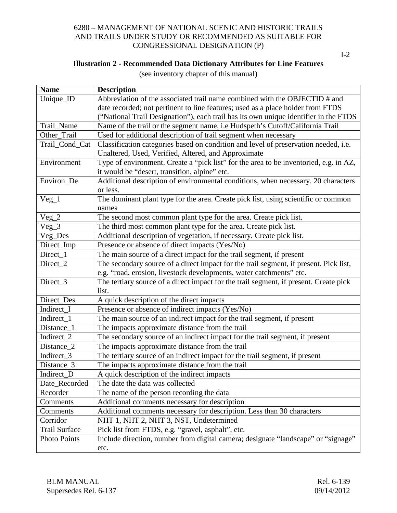I-2

## **Illustration 2 - Recommended Data Dictionary Attributes for Line Features**

(see inventory chapter of this manual)

| <b>Name</b>          | <b>Description</b>                                                                    |
|----------------------|---------------------------------------------------------------------------------------|
| Unique_ID            | Abbreviation of the associated trail name combined with the OBJECTID # and            |
|                      | date recorded; not pertinent to line features; used as a place holder from FTDS       |
|                      | ("National Trail Designation"), each trail has its own unique identifier in the FTDS  |
| Trail_Name           | Name of the trail or the segment name, i.e Hudspeth's Cutoff/California Trail         |
| Other_Trail          | Used for additional description of trail segment when necessary                       |
| Trail_Cond_Cat       | Classification categories based on condition and level of preservation needed, i.e.   |
|                      | Unaltered, Used, Verified, Altered, and Approximate                                   |
| Environment          | Type of environment. Create a "pick list" for the area to be inventoried, e.g. in AZ, |
|                      | it would be "desert, transition, alpine" etc.                                         |
| Environ_De           | Additional description of environmental conditions, when necessary. 20 characters     |
|                      | or less.                                                                              |
| $Veg_1$              | The dominant plant type for the area. Create pick list, using scientific or common    |
|                      | names                                                                                 |
| $Veg_2$              | The second most common plant type for the area. Create pick list.                     |
| $Veg_3$              | The third most common plant type for the area. Create pick list.                      |
| Veg_Des              | Additional description of vegetation, if necessary. Create pick list.                 |
| Direct_Imp           | Presence or absence of direct impacts (Yes/No)                                        |
| Direct_1             | The main source of a direct impact for the trail segment, if present                  |
| Direct_2             | The secondary source of a direct impact for the trail segment, if present. Pick list, |
|                      | e.g. "road, erosion, livestock developments, water catchments" etc.                   |
| Direct_3             | The tertiary source of a direct impact for the trail segment, if present. Create pick |
|                      | list.                                                                                 |
| Direct_Des           | A quick description of the direct impacts                                             |
| Indirect_I           | Presence or absence of indirect impacts (Yes/No)                                      |
| Indirect_1           | The main source of an indirect impact for the trail segment, if present               |
| Distance_1           | The impacts approximate distance from the trail                                       |
| Indirect_2           | The secondary source of an indirect impact for the trail segment, if present          |
| Distance_2           | The impacts approximate distance from the trail                                       |
| Indirect_3           | The tertiary source of an indirect impact for the trail segment, if present           |
| Distance_3           | The impacts approximate distance from the trail                                       |
| Indirect_D           | A quick description of the indirect impacts                                           |
| Date_Recorded        | The date the data was collected                                                       |
| Recorder             | The name of the person recording the data                                             |
| Comments             | Additional comments necessary for description                                         |
| Comments             | Additional comments necessary for description. Less than 30 characters                |
| Corridor             | NHT 1, NHT 2, NHT 3, NST, Undetermined                                                |
| <b>Trail Surface</b> | Pick list from FTDS, e.g. "gravel, asphalt", etc.                                     |
| <b>Photo Points</b>  | Include direction, number from digital camera; designate "landscape" or "signage"     |
|                      | etc.                                                                                  |